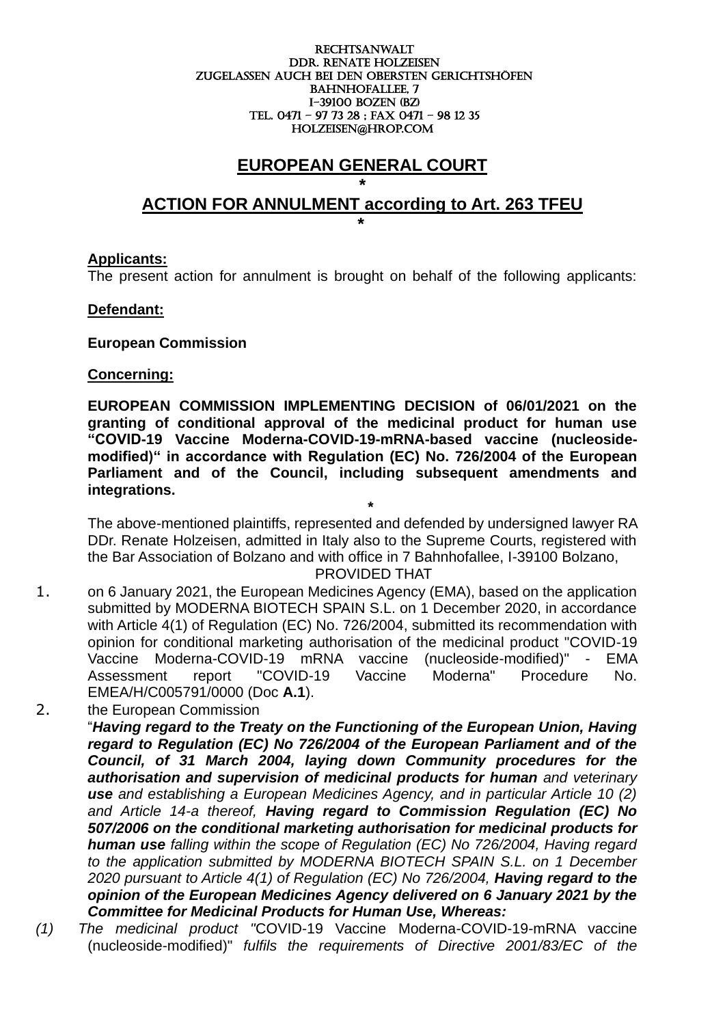#### RECHTSANWALT DDr. Renate holzeisen ZUGELASSEN AUCH BEI DEN OBERSTEN GERICHTSHÖFEN BAHNHOFALLEE, 7 I-39100 boZEN (BZ) Tel. 0471 – 97 73 28 ; fax 0471 – 98 12 35 holzeisen@hrop.com

## **EUROPEAN GENERAL COURT**

## **\* ACTION FOR ANNULMENT according to Art. 263 TFEU**

#### **Applicants:**

The present action for annulment is brought on behalf of the following applicants:

#### **Defendant:**

#### **European Commission**

**\*** 

#### **Concerning:**

**EUROPEAN COMMISSION IMPLEMENTING DECISION of 06/01/2021 on the granting of conditional approval of the medicinal product for human use "COVID-19 Vaccine Moderna-COVID-19-mRNA-based vaccine (nucleosidemodified)" in accordance with Regulation (EC) No. 726/2004 of the European Parliament and of the Council, including subsequent amendments and integrations.**

**\*** The above-mentioned plaintiffs, represented and defended by undersigned lawyer RA DDr. Renate Holzeisen, admitted in Italy also to the Supreme Courts, registered with the Bar Association of Bolzano and with office in 7 Bahnhofallee, I-39100 Bolzano, PROVIDED THAT

- 1. on 6 January 2021, the European Medicines Agency (EMA), based on the application submitted by MODERNA BIOTECH SPAIN S.L. on 1 December 2020, in accordance with Article 4(1) of Regulation (EC) No. 726/2004, submitted its recommendation with opinion for conditional marketing authorisation of the medicinal product "COVID-19 Vaccine Moderna-COVID-19 mRNA vaccine (nucleoside-modified)" - EMA Assessment report "COVID-19 Vaccine Moderna" Procedure No. EMEA/H/C005791/0000 (Doc **A.1**).
- 2. the European Commission "*Having regard to the Treaty on the Functioning of the European Union, Having regard to Regulation (EC) No 726/2004 of the European Parliament and of the Council, of 31 March 2004, laying down Community procedures for the authorisation and supervision of medicinal products for human and veterinary use and establishing a European Medicines Agency, and in particular Article 10 (2) and Article 14-a thereof, Having regard to Commission Regulation (EC) No 507/2006 on the conditional marketing authorisation for medicinal products for human use falling within the scope of Regulation (EC) No 726/2004, Having regard*  to the application submitted by MODERNA BIOTECH SPAIN S.L. on 1 December *2020 pursuant to Article 4(1) of Regulation (EC) No 726/2004, Having regard to the opinion of the European Medicines Agency delivered on 6 January 2021 by the Committee for Medicinal Products for Human Use, Whereas:*
- *(1) The medicinal product "*COVID-19 Vaccine Moderna-COVID-19-mRNA vaccine (nucleoside-modified)" *fulfils the requirements of Directive 2001/83/EC of the*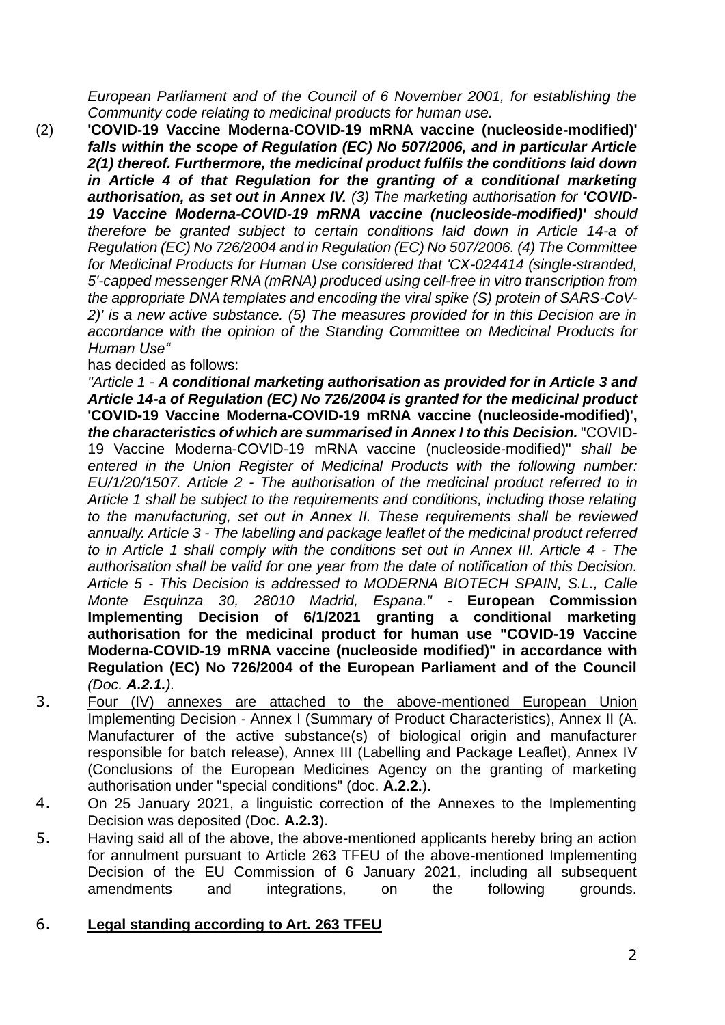*European Parliament and of the Council of 6 November 2001, for establishing the Community code relating to medicinal products for human use.*

(2) **'COVID-19 Vaccine Moderna-COVID-19 mRNA vaccine (nucleoside-modified)'**  *falls within the scope of Regulation (EC) No 507/2006, and in particular Article 2(1) thereof. Furthermore, the medicinal product fulfils the conditions laid down in Article 4 of that Regulation for the granting of a conditional marketing authorisation, as set out in Annex IV. (3) The marketing authorisation for 'COVID-19 Vaccine Moderna-COVID-19 mRNA vaccine (nucleoside-modified)' should therefore be granted subject to certain conditions laid down in Article 14-a of Regulation (EC) No 726/2004 and in Regulation (EC) No 507/2006. (4) The Committee for Medicinal Products for Human Use considered that 'CX-024414 (single-stranded, 5'-capped messenger RNA (mRNA) produced using cell-free in vitro transcription from the appropriate DNA templates and encoding the viral spike (S) protein of SARS-CoV-2)' is a new active substance. (5) The measures provided for in this Decision are in accordance with the opinion of the Standing Committee on Medicinal Products for Human Use"*

has decided as follows:

*"Article 1 - A conditional marketing authorisation as provided for in Article 3 and Article 14-a of Regulation (EC) No 726/2004 is granted for the medicinal product*  **'COVID-19 Vaccine Moderna-COVID-19 mRNA vaccine (nucleoside-modified)',** *the characteristics of which are summarised in Annex I to this Decision.* "COVID-19 Vaccine Moderna-COVID-19 mRNA vaccine (nucleoside-modified)" *shall be entered in the Union Register of Medicinal Products with the following number: EU/1/20/1507. Article 2 - The authorisation of the medicinal product referred to in Article 1 shall be subject to the requirements and conditions, including those relating to the manufacturing, set out in Annex II. These requirements shall be reviewed annually. Article 3 - The labelling and package leaflet of the medicinal product referred to in Article 1 shall comply with the conditions set out in Annex III. Article 4 - The authorisation shall be valid for one year from the date of notification of this Decision. Article 5 - This Decision is addressed to MODERNA BIOTECH SPAIN, S.L., Calle Monte Esquinza 30, 28010 Madrid, Espana." -* **European Commission Implementing Decision of 6/1/2021 granting a conditional marketing authorisation for the medicinal product for human use "COVID-19 Vaccine Moderna-COVID-19 mRNA vaccine (nucleoside modified)" in accordance with Regulation (EC) No 726/2004 of the European Parliament and of the Council** *(Doc. A.2.1.).*

- 3. Four (IV) annexes are attached to the above-mentioned European Union Implementing Decision - Annex I (Summary of Product Characteristics), Annex II (A. Manufacturer of the active substance(s) of biological origin and manufacturer responsible for batch release), Annex III (Labelling and Package Leaflet), Annex IV (Conclusions of the European Medicines Agency on the granting of marketing authorisation under "special conditions" (doc. **A.2.2.**).
- 4. On 25 January 2021, a linguistic correction of the Annexes to the Implementing Decision was deposited (Doc. **A.2.3**).
- 5. Having said all of the above, the above-mentioned applicants hereby bring an action for annulment pursuant to Article 263 TFEU of the above-mentioned Implementing Decision of the EU Commission of 6 January 2021, including all subsequent amendments and integrations, on the following grounds.

## 6. **Legal standing according to Art. 263 TFEU**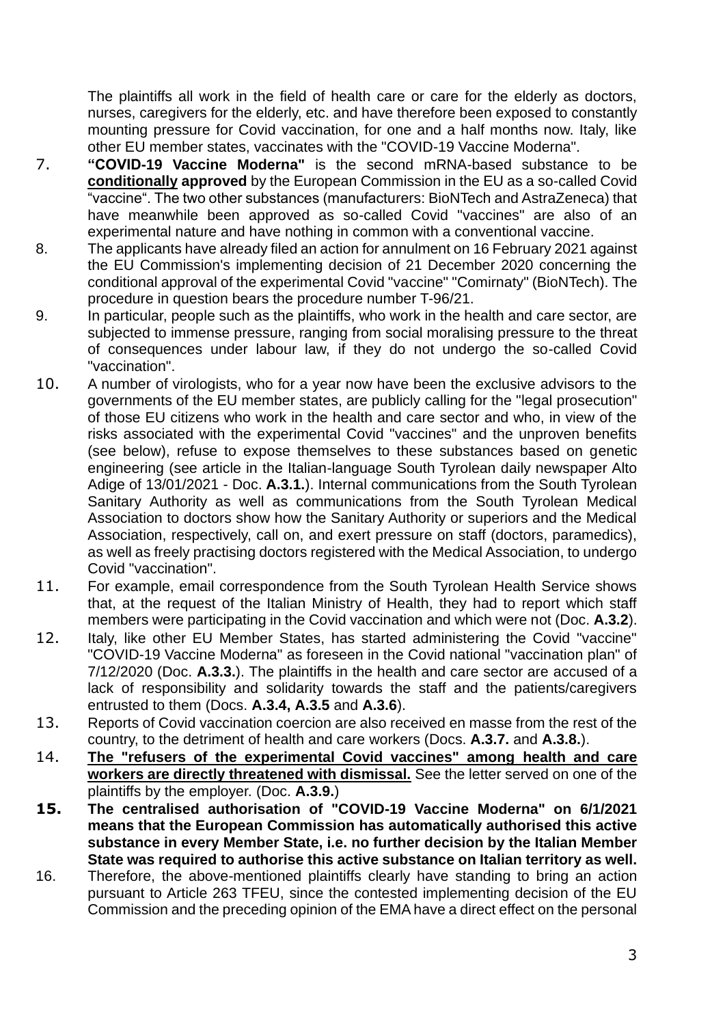The plaintiffs all work in the field of health care or care for the elderly as doctors, nurses, caregivers for the elderly, etc. and have therefore been exposed to constantly mounting pressure for Covid vaccination, for one and a half months now. Italy, like other EU member states, vaccinates with the "COVID-19 Vaccine Moderna".

- 7. **"COVID-19 Vaccine Moderna"** is the second mRNA-based substance to be **conditionally approved** by the European Commission in the EU as a so-called Covid "vaccine". The two other substances (manufacturers: BioNTech and AstraZeneca) that have meanwhile been approved as so-called Covid "vaccines" are also of an experimental nature and have nothing in common with a conventional vaccine.
- 8. The applicants have already filed an action for annulment on 16 February 2021 against the EU Commission's implementing decision of 21 December 2020 concerning the conditional approval of the experimental Covid "vaccine" "Comirnaty" (BioNTech). The procedure in question bears the procedure number T-96/21.
- 9. In particular, people such as the plaintiffs, who work in the health and care sector, are subjected to immense pressure, ranging from social moralising pressure to the threat of consequences under labour law, if they do not undergo the so-called Covid "vaccination".
- 10. A number of virologists, who for a year now have been the exclusive advisors to the governments of the EU member states, are publicly calling for the "legal prosecution" of those EU citizens who work in the health and care sector and who, in view of the risks associated with the experimental Covid "vaccines" and the unproven benefits (see below), refuse to expose themselves to these substances based on genetic engineering (see article in the Italian-language South Tyrolean daily newspaper Alto Adige of 13/01/2021 - Doc. **A.3.1.**). Internal communications from the South Tyrolean Sanitary Authority as well as communications from the South Tyrolean Medical Association to doctors show how the Sanitary Authority or superiors and the Medical Association, respectively, call on, and exert pressure on staff (doctors, paramedics), as well as freely practising doctors registered with the Medical Association, to undergo Covid "vaccination".
- 11. For example, email correspondence from the South Tyrolean Health Service shows that, at the request of the Italian Ministry of Health, they had to report which staff members were participating in the Covid vaccination and which were not (Doc. **A.3.2**).
- 12. Italy, like other EU Member States, has started administering the Covid "vaccine" "COVID-19 Vaccine Moderna" as foreseen in the Covid national "vaccination plan" of 7/12/2020 (Doc. **A.3.3.**). The plaintiffs in the health and care sector are accused of a lack of responsibility and solidarity towards the staff and the patients/caregivers entrusted to them (Docs. **A.3.4, A.3.5** and **A.3.6**).
- 13. Reports of Covid vaccination coercion are also received en masse from the rest of the country, to the detriment of health and care workers (Docs. **A.3.7.** and **A.3.8.**).
- 14. **The "refusers of the experimental Covid vaccines" among health and care workers are directly threatened with dismissal.** See the letter served on one of the plaintiffs by the employer. (Doc. **A.3.9.**)
- **15. The centralised authorisation of "COVID-19 Vaccine Moderna" on 6/1/2021 means that the European Commission has automatically authorised this active substance in every Member State, i.e. no further decision by the Italian Member State was required to authorise this active substance on Italian territory as well.**
- 16. Therefore, the above-mentioned plaintiffs clearly have standing to bring an action pursuant to Article 263 TFEU, since the contested implementing decision of the EU Commission and the preceding opinion of the EMA have a direct effect on the personal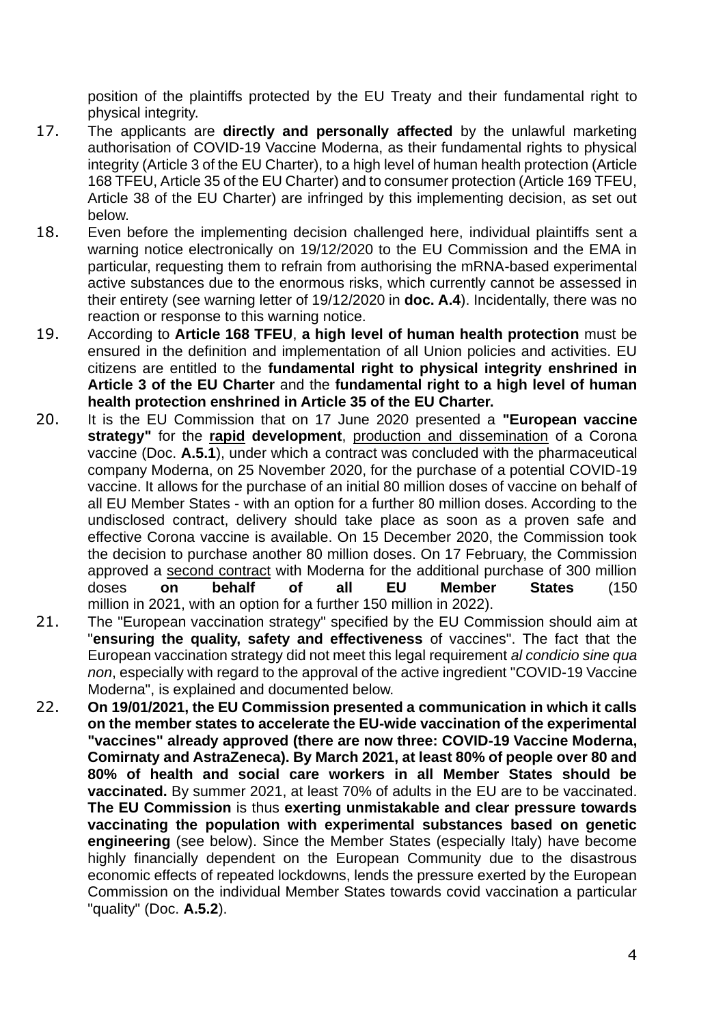position of the plaintiffs protected by the EU Treaty and their fundamental right to physical integrity.

- 17. The applicants are **directly and personally affected** by the unlawful marketing authorisation of COVID-19 Vaccine Moderna, as their fundamental rights to physical integrity (Article 3 of the EU Charter), to a high level of human health protection (Article 168 TFEU, Article 35 of the EU Charter) and to consumer protection (Article 169 TFEU, Article 38 of the EU Charter) are infringed by this implementing decision, as set out below.
- 18. Even before the implementing decision challenged here, individual plaintiffs sent a warning notice electronically on 19/12/2020 to the EU Commission and the EMA in particular, requesting them to refrain from authorising the mRNA-based experimental active substances due to the enormous risks, which currently cannot be assessed in their entirety (see warning letter of 19/12/2020 in **doc. A.4**). Incidentally, there was no reaction or response to this warning notice.
- 19. According to **Article 168 TFEU**, **a high level of human health protection** must be ensured in the definition and implementation of all Union policies and activities. EU citizens are entitled to the **fundamental right to physical integrity enshrined in Article 3 of the EU Charter** and the **fundamental right to a high level of human health protection enshrined in Article 35 of the EU Charter.**
- 20. It is the EU Commission that on 17 June 2020 presented a **"European vaccine strategy"** for the **rapid development**, production and dissemination of a Corona vaccine (Doc. **A.5.1**), under which a contract was concluded with the pharmaceutical company Moderna, on 25 November 2020, for the purchase of a potential COVID-19 vaccine. It allows for the purchase of an initial 80 million doses of vaccine on behalf of all EU Member States - with an option for a further 80 million doses. According to the undisclosed contract, delivery should take place as soon as a proven safe and effective Corona vaccine is available. On 15 December 2020, the Commission took the decision to purchase another 80 million doses. On 17 February, the Commission approved a second contract with Moderna for the additional purchase of 300 million doses **on behalf of all EU Member States** (150 million in 2021, with an option for a further 150 million in 2022).
- 21. The "European vaccination strategy" specified by the EU Commission should aim at "**ensuring the quality, safety and effectiveness** of vaccines". The fact that the European vaccination strategy did not meet this legal requirement *al condicio sine qua non*, especially with regard to the approval of the active ingredient "COVID-19 Vaccine Moderna", is explained and documented below.
- 22. **On 19/01/2021, the EU Commission presented a communication in which it calls on the member states to accelerate the EU-wide vaccination of the experimental "vaccines" already approved (there are now three: COVID-19 Vaccine Moderna, Comirnaty and AstraZeneca). By March 2021, at least 80% of people over 80 and 80% of health and social care workers in all Member States should be vaccinated.** By summer 2021, at least 70% of adults in the EU are to be vaccinated. **The EU Commission** is thus **exerting unmistakable and clear pressure towards vaccinating the population with experimental substances based on genetic engineering** (see below). Since the Member States (especially Italy) have become highly financially dependent on the European Community due to the disastrous economic effects of repeated lockdowns, lends the pressure exerted by the European Commission on the individual Member States towards covid vaccination a particular "quality" (Doc. **A.5.2**).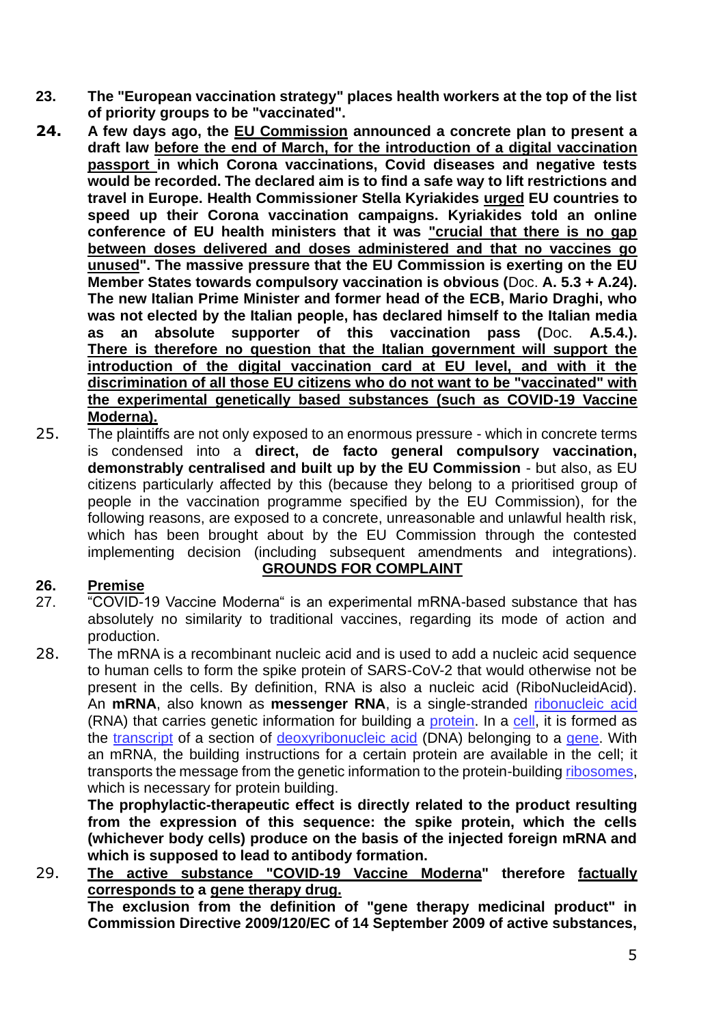- **23. The "European vaccination strategy" places health workers at the top of the list of priority groups to be "vaccinated".**
- **24. A few days ago, the EU Commission announced a concrete plan to present a draft law before the end of March, for the introduction of a digital vaccination passport in which Corona vaccinations, Covid diseases and negative tests would be recorded. The declared aim is to find a safe way to lift restrictions and travel in Europe. Health Commissioner Stella Kyriakides urged EU countries to speed up their Corona vaccination campaigns. Kyriakides told an online conference of EU health ministers that it was "crucial that there is no gap between doses delivered and doses administered and that no vaccines go unused". The massive pressure that the EU Commission is exerting on the EU Member States towards compulsory vaccination is obvious (**Doc. **A. 5.3 + A.24). The new Italian Prime Minister and former head of the ECB, Mario Draghi, who was not elected by the Italian people, has declared himself to the Italian media as an absolute supporter of this vaccination pass (**Doc. **A.5.4.). There is therefore no question that the Italian government will support the introduction of the digital vaccination card at EU level, and with it the discrimination of all those EU citizens who do not want to be "vaccinated" with the experimental genetically based substances (such as COVID-19 Vaccine Moderna).**
- 25. The plaintiffs are not only exposed to an enormous pressure which in concrete terms is condensed into a **direct, de facto general compulsory vaccination, demonstrably centralised and built up by the EU Commission** - but also, as EU citizens particularly affected by this (because they belong to a prioritised group of people in the vaccination programme specified by the EU Commission), for the following reasons, are exposed to a concrete, unreasonable and unlawful health risk, which has been brought about by the EU Commission through the contested implementing decision (including subsequent amendments and integrations).

## **26. Premise**

- **GROUNDS FOR COMPLAINT**
- 27. "COVID-19 Vaccine Moderna" is an experimental mRNA-based substance that has absolutely no similarity to traditional vaccines, regarding its mode of action and production.
- 28. The mRNA is a recombinant nucleic acid and is used to add a nucleic acid sequence to human cells to form the spike protein of SARS-CoV-2 that would otherwise not be present in the cells. By definition, RNA is also a nucleic acid (RiboNucleidAcid). An **mRNA**, also known as **messenger RNA**, is a single-stranded ribonucleic acid (RNA) that carries genetic information for building a protein. In a cell, it is formed as the transcript of a section of deoxyribonucleic acid (DNA) belonging to a gene. With an mRNA, the building instructions for a certain protein are available in the cell; it transports the message from the genetic information to the protein-building ribosomes, which is necessary for protein building.

**The prophylactic-therapeutic effect is directly related to the product resulting from the expression of this sequence: the spike protein, which the cells (whichever body cells) produce on the basis of the injected foreign mRNA and which is supposed to lead to antibody formation.**

29. **The active substance "COVID-19 Vaccine Moderna" therefore factually corresponds to a gene therapy drug. The exclusion from the definition of "gene therapy medicinal product" in Commission Directive 2009/120/EC of 14 September 2009 of active substances,**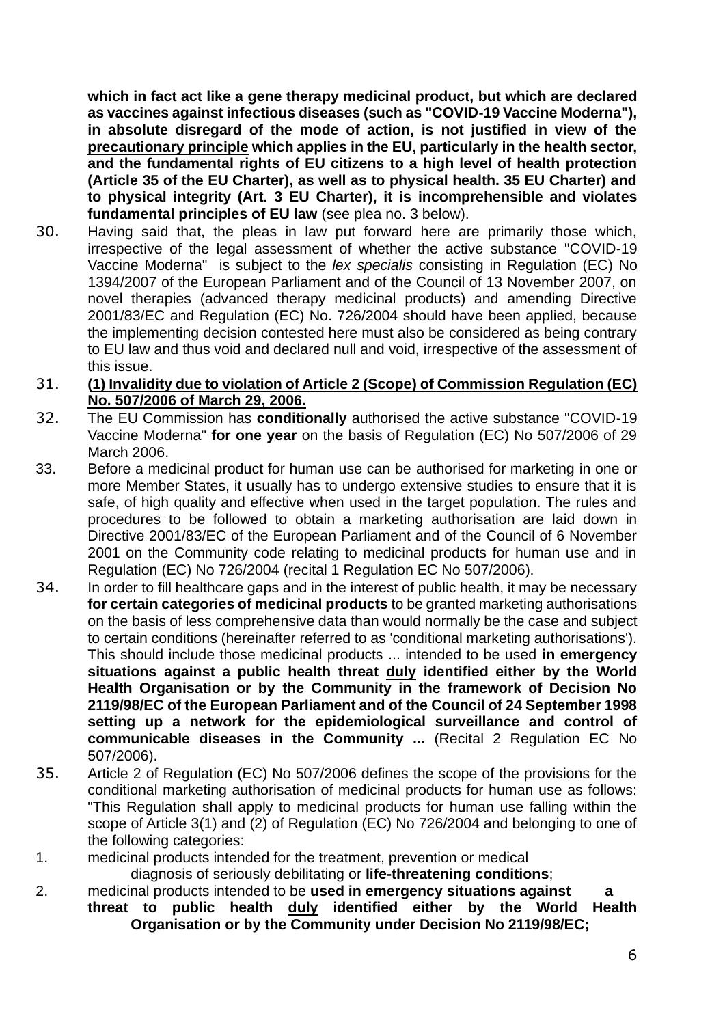**which in fact act like a gene therapy medicinal product, but which are declared as vaccines against infectious diseases (such as "COVID-19 Vaccine Moderna"), in absolute disregard of the mode of action, is not justified in view of the precautionary principle which applies in the EU, particularly in the health sector, and the fundamental rights of EU citizens to a high level of health protection (Article 35 of the EU Charter), as well as to physical health. 35 EU Charter) and to physical integrity (Art. 3 EU Charter), it is incomprehensible and violates fundamental principles of EU law** (see plea no. 3 below).

- 30. Having said that, the pleas in law put forward here are primarily those which, irrespective of the legal assessment of whether the active substance "COVID-19 Vaccine Moderna" is subject to the *lex specialis* consisting in Regulation (EC) No 1394/2007 of the European Parliament and of the Council of 13 November 2007, on novel therapies (advanced therapy medicinal products) and amending Directive 2001/83/EC and Regulation (EC) No. 726/2004 should have been applied, because the implementing decision contested here must also be considered as being contrary to EU law and thus void and declared null and void, irrespective of the assessment of this issue.
- 31. **(1) Invalidity due to violation of Article 2 (Scope) of Commission Regulation (EC) No. 507/2006 of March 29, 2006.**
- 32. The EU Commission has **conditionally** authorised the active substance "COVID-19 Vaccine Moderna" **for one year** on the basis of Regulation (EC) No 507/2006 of 29 March 2006.
- 33. Before a medicinal product for human use can be authorised for marketing in one or more Member States, it usually has to undergo extensive studies to ensure that it is safe, of high quality and effective when used in the target population. The rules and procedures to be followed to obtain a marketing authorisation are laid down in Directive 2001/83/EC of the European Parliament and of the Council of 6 November 2001 on the Community code relating to medicinal products for human use and in Regulation (EC) No 726/2004 (recital 1 Regulation EC No 507/2006).
- 34. In order to fill healthcare gaps and in the interest of public health, it may be necessary **for certain categories of medicinal products** to be granted marketing authorisations on the basis of less comprehensive data than would normally be the case and subject to certain conditions (hereinafter referred to as 'conditional marketing authorisations'). This should include those medicinal products ... intended to be used **in emergency situations against a public health threat duly identified either by the World Health Organisation or by the Community in the framework of Decision No 2119/98/EC of the European Parliament and of the Council of 24 September 1998 setting up a network for the epidemiological surveillance and control of communicable diseases in the Community ...** (Recital 2 Regulation EC No 507/2006).
- 35. Article 2 of Regulation (EC) No 507/2006 defines the scope of the provisions for the conditional marketing authorisation of medicinal products for human use as follows: "This Regulation shall apply to medicinal products for human use falling within the scope of Article 3(1) and (2) of Regulation (EC) No 726/2004 and belonging to one of the following categories:
- 1. medicinal products intended for the treatment, prevention or medical diagnosis of seriously debilitating or **life-threatening conditions**;
- 2. medicinal products intended to be **used in emergency situations against a threat to public health duly identified either by the World Health Organisation or by the Community under Decision No 2119/98/EC;**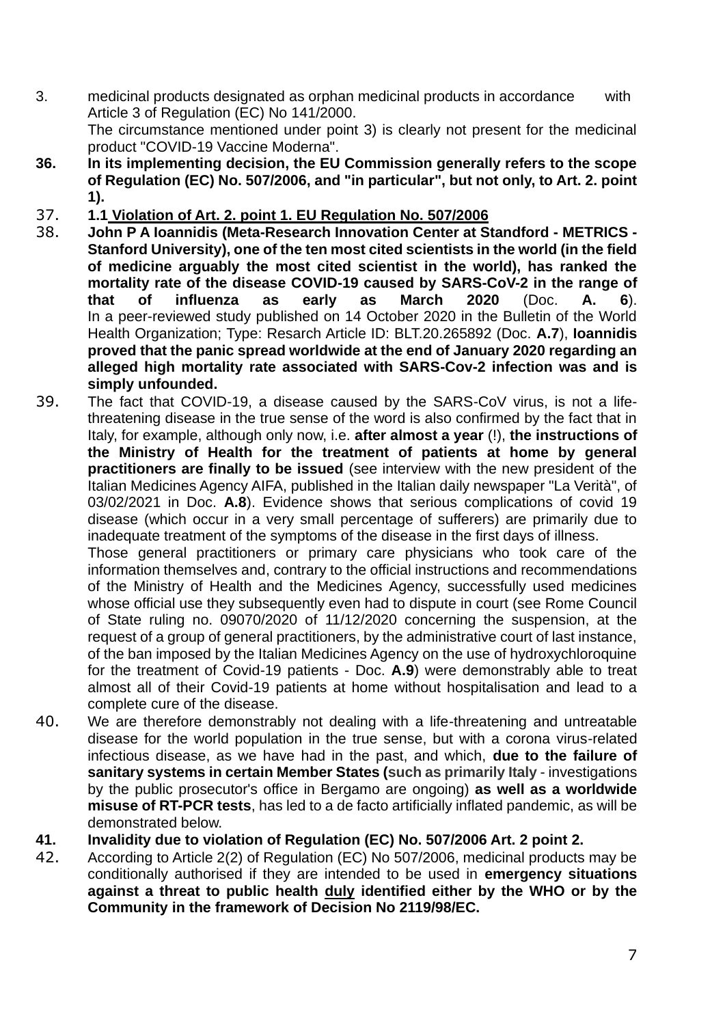- 3. medicinal products designated as orphan medicinal products in accordance with Article 3 of Regulation (EC) No 141/2000. The circumstance mentioned under point 3) is clearly not present for the medicinal product "COVID-19 Vaccine Moderna".
- **36. In its implementing decision, the EU Commission generally refers to the scope of Regulation (EC) No. 507/2006, and "in particular", but not only, to Art. 2. point 1).**
- 37. **1.1 Violation of Art. 2. point 1. EU Regulation No. 507/2006**
- 38. **John P A Ioannidis (Meta-Research Innovation Center at Standford - METRICS - Stanford University), one of the ten most cited scientists in the world (in the field of medicine arguably the most cited scientist in the world), has ranked the mortality rate of the disease COVID-19 caused by SARS-CoV-2 in the range of that of influenza as early as March 2020** (Doc. **A. 6**). In a peer-reviewed study published on 14 October 2020 in the Bulletin of the World Health Organization; Type: Resarch Article ID: BLT.20.265892 (Doc. **A.7**), **Ioannidis proved that the panic spread worldwide at the end of January 2020 regarding an alleged high mortality rate associated with SARS-Cov-2 infection was and is simply unfounded.**
- 39. The fact that COVID-19, a disease caused by the SARS-CoV virus, is not a lifethreatening disease in the true sense of the word is also confirmed by the fact that in Italy, for example, although only now, i.e. **after almost a year** (!), **the instructions of the Ministry of Health for the treatment of patients at home by general practitioners are finally to be issued** (see interview with the new president of the Italian Medicines Agency AIFA, published in the Italian daily newspaper "La Verità", of 03/02/2021 in Doc. **A.8**). Evidence shows that serious complications of covid 19 disease (which occur in a very small percentage of sufferers) are primarily due to inadequate treatment of the symptoms of the disease in the first days of illness.

Those general practitioners or primary care physicians who took care of the information themselves and, contrary to the official instructions and recommendations of the Ministry of Health and the Medicines Agency, successfully used medicines whose official use they subsequently even had to dispute in court (see Rome Council of State ruling no. 09070/2020 of 11/12/2020 concerning the suspension, at the request of a group of general practitioners, by the administrative court of last instance, of the ban imposed by the Italian Medicines Agency on the use of hydroxychloroquine for the treatment of Covid-19 patients - Doc. **A.9**) were demonstrably able to treat almost all of their Covid-19 patients at home without hospitalisation and lead to a complete cure of the disease.

- 40. We are therefore demonstrably not dealing with a life-threatening and untreatable disease for the world population in the true sense, but with a corona virus-related infectious disease, as we have had in the past, and which, **due to the failure of sanitary systems in certain Member States (such as primarily Italy** - investigations by the public prosecutor's office in Bergamo are ongoing) **as well as a worldwide misuse of RT-PCR tests**, has led to a de facto artificially inflated pandemic, as will be demonstrated below.
- **41. Invalidity due to violation of Regulation (EC) No. 507/2006 Art. 2 point 2.**
- 42. According to Article 2(2) of Regulation (EC) No 507/2006, medicinal products may be conditionally authorised if they are intended to be used in **emergency situations against a threat to public health duly identified either by the WHO or by the Community in the framework of Decision No 2119/98/EC.**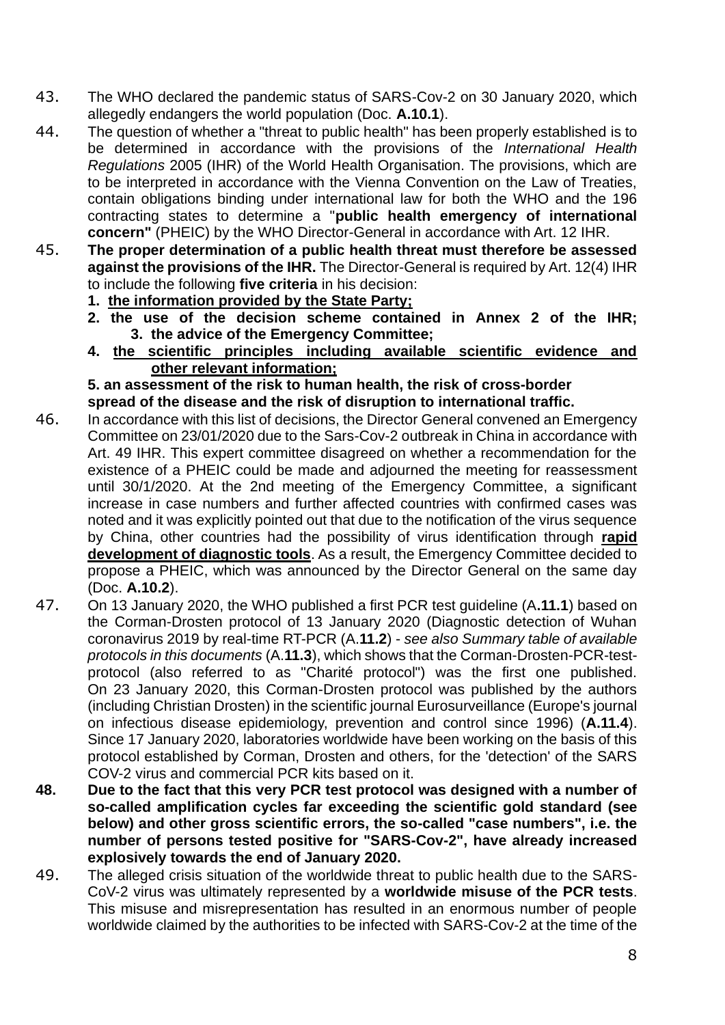- 43. The WHO declared the pandemic status of SARS-Cov-2 on 30 January 2020, which allegedly endangers the world population (Doc. **A.10.1**).
- 44. The question of whether a "threat to public health" has been properly established is to be determined in accordance with the provisions of the *International Health Regulations* 2005 (IHR) of the World Health Organisation. The provisions, which are to be interpreted in accordance with the Vienna Convention on the Law of Treaties, contain obligations binding under international law for both the WHO and the 196 contracting states to determine a "**public health emergency of international concern"** (PHEIC) by the WHO Director-General in accordance with Art. 12 IHR.
- 45. **The proper determination of a public health threat must therefore be assessed against the provisions of the IHR.** The Director-General is required by Art. 12(4) IHR to include the following **five criteria** in his decision:
	- **1. the information provided by the State Party;**
	- **2. the use of the decision scheme contained in Annex 2 of the IHR; 3. the advice of the Emergency Committee;**
	- **4. the scientific principles including available scientific evidence and other relevant information;**

**5. an assessment of the risk to human health, the risk of cross-border spread of the disease and the risk of disruption to international traffic.**

- 46. In accordance with this list of decisions, the Director General convened an Emergency Committee on 23/01/2020 due to the Sars-Cov-2 outbreak in China in accordance with Art. 49 IHR. This expert committee disagreed on whether a recommendation for the existence of a PHEIC could be made and adjourned the meeting for reassessment until 30/1/2020. At the 2nd meeting of the Emergency Committee, a significant increase in case numbers and further affected countries with confirmed cases was noted and it was explicitly pointed out that due to the notification of the virus sequence by China, other countries had the possibility of virus identification through **rapid development of diagnostic tools**. As a result, the Emergency Committee decided to propose a PHEIC, which was announced by the Director General on the same day (Doc. **A.10.2**).
- 47. On 13 January 2020, the WHO published a first PCR test guideline (A**.11.1**) based on the Corman-Drosten protocol of 13 January 2020 (Diagnostic detection of Wuhan coronavirus 2019 by real-time RT-PCR (A.**11.2**) - *see also Summary table of available protocols in this documents* (A.**11.3**), which shows that the Corman-Drosten-PCR-testprotocol (also referred to as "Charité protocol") was the first one published. On 23 January 2020, this Corman-Drosten protocol was published by the authors (including Christian Drosten) in the scientific journal Eurosurveillance (Europe's journal on infectious disease epidemiology, prevention and control since 1996) (**A.11.4**). Since 17 January 2020, laboratories worldwide have been working on the basis of this protocol established by Corman, Drosten and others, for the 'detection' of the SARS COV-2 virus and commercial PCR kits based on it.
- **48. Due to the fact that this very PCR test protocol was designed with a number of so-called amplification cycles far exceeding the scientific gold standard (see below) and other gross scientific errors, the so-called "case numbers", i.e. the number of persons tested positive for "SARS-Cov-2", have already increased explosively towards the end of January 2020.**
- 49. The alleged crisis situation of the worldwide threat to public health due to the SARS-CoV-2 virus was ultimately represented by a **worldwide misuse of the PCR tests**. This misuse and misrepresentation has resulted in an enormous number of people worldwide claimed by the authorities to be infected with SARS-Cov-2 at the time of the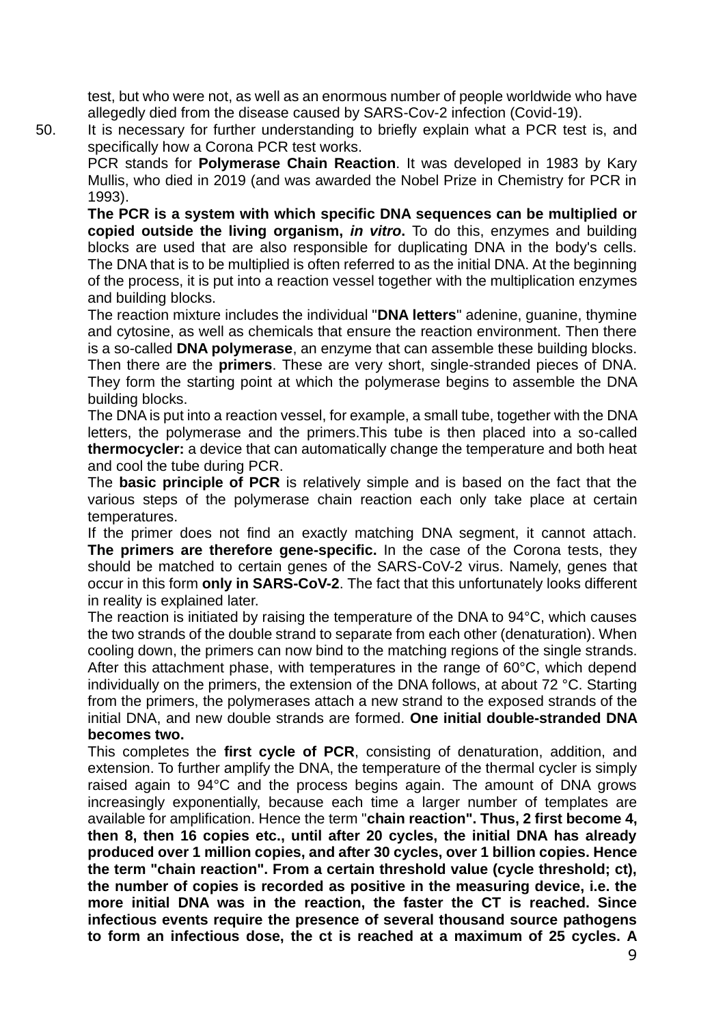test, but who were not, as well as an enormous number of people worldwide who have allegedly died from the disease caused by SARS-Cov-2 infection (Covid-19).

50. It is necessary for further understanding to briefly explain what a PCR test is, and specifically how a Corona PCR test works.

PCR stands for **Polymerase Chain Reaction**. It was developed in 1983 by Kary Mullis, who died in 2019 (and was awarded the Nobel Prize in Chemistry for PCR in 1993).

**The PCR is a system with which specific DNA sequences can be multiplied or copied outside the living organism,** *in vitro***.** To do this, enzymes and building blocks are used that are also responsible for duplicating DNA in the body's cells. The DNA that is to be multiplied is often referred to as the initial DNA. At the beginning of the process, it is put into a reaction vessel together with the multiplication enzymes and building blocks.

The reaction mixture includes the individual "**DNA letters**" adenine, guanine, thymine and cytosine, as well as chemicals that ensure the reaction environment. Then there is a so-called **DNA polymerase**, an enzyme that can assemble these building blocks. Then there are the **primers**. These are very short, single-stranded pieces of DNA. They form the starting point at which the polymerase begins to assemble the DNA building blocks.

The DNA is put into a reaction vessel, for example, a small tube, together with the DNA letters, the polymerase and the primers.This tube is then placed into a so-called **thermocycler:** a device that can automatically change the temperature and both heat and cool the tube during PCR.

The **basic principle of PCR** is relatively simple and is based on the fact that the various steps of the polymerase chain reaction each only take place at certain temperatures.

If the primer does not find an exactly matching DNA segment, it cannot attach. **The primers are therefore gene-specific.** In the case of the Corona tests, they should be matched to certain genes of the SARS-CoV-2 virus. Namely, genes that occur in this form **only in SARS-CoV-2**. The fact that this unfortunately looks different in reality is explained later.

The reaction is initiated by raising the temperature of the DNA to 94°C, which causes the two strands of the double strand to separate from each other (denaturation). When cooling down, the primers can now bind to the matching regions of the single strands. After this attachment phase, with temperatures in the range of 60°C, which depend individually on the primers, the extension of the DNA follows, at about 72 °C. Starting from the primers, the polymerases attach a new strand to the exposed strands of the initial DNA, and new double strands are formed. **One initial double-stranded DNA becomes two.**

This completes the **first cycle of PCR**, consisting of denaturation, addition, and extension. To further amplify the DNA, the temperature of the thermal cycler is simply raised again to 94°C and the process begins again. The amount of DNA grows increasingly exponentially, because each time a larger number of templates are available for amplification. Hence the term "**chain reaction". Thus, 2 first become 4, then 8, then 16 copies etc., until after 20 cycles, the initial DNA has already produced over 1 million copies, and after 30 cycles, over 1 billion copies. Hence the term "chain reaction". From a certain threshold value (cycle threshold; ct), the number of copies is recorded as positive in the measuring device, i.e. the more initial DNA was in the reaction, the faster the CT is reached. Since infectious events require the presence of several thousand source pathogens to form an infectious dose, the ct is reached at a maximum of 25 cycles. A** 

9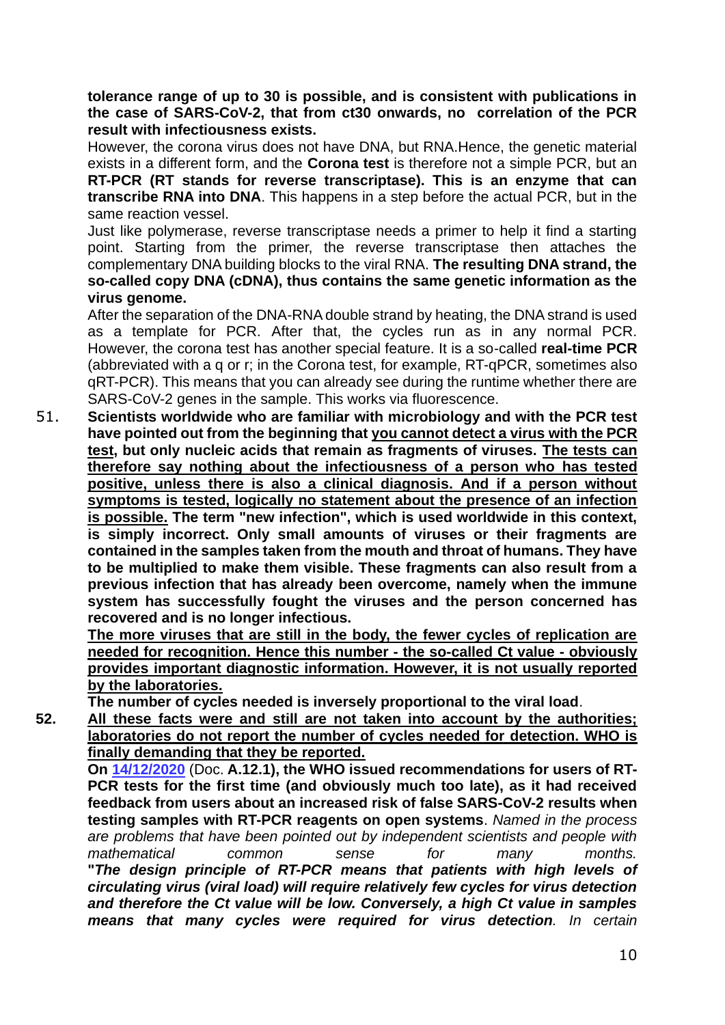**tolerance range of up to 30 is possible, and is consistent with publications in the case of SARS-CoV-2, that from ct30 onwards, no correlation of the PCR result with infectiousness exists.**

However, the corona virus does not have DNA, but RNA.Hence, the genetic material exists in a different form, and the **Corona test** is therefore not a simple PCR, but an **RT-PCR (RT stands for reverse transcriptase). This is an enzyme that can transcribe RNA into DNA**. This happens in a step before the actual PCR, but in the same reaction vessel.

Just like polymerase, reverse transcriptase needs a primer to help it find a starting point. Starting from the primer, the reverse transcriptase then attaches the complementary DNA building blocks to the viral RNA. **The resulting DNA strand, the so-called copy DNA (cDNA), thus contains the same genetic information as the virus genome.**

After the separation of the DNA-RNA double strand by heating, the DNA strand is used as a template for PCR. After that, the cycles run as in any normal PCR. However, the corona test has another special feature. It is a so-called **real-time PCR** (abbreviated with a q or r; in the Corona test, for example, RT-qPCR, sometimes also qRT-PCR). This means that you can already see during the runtime whether there are SARS-CoV-2 genes in the sample. This works via fluorescence.

51. **Scientists worldwide who are familiar with microbiology and with the PCR test have pointed out from the beginning that you cannot detect a virus with the PCR test, but only nucleic acids that remain as fragments of viruses. The tests can therefore say nothing about the infectiousness of a person who has tested positive, unless there is also a clinical diagnosis. And if a person without symptoms is tested, logically no statement about the presence of an infection is possible. The term "new infection", which is used worldwide in this context, is simply incorrect. Only small amounts of viruses or their fragments are contained in the samples taken from the mouth and throat of humans. They have to be multiplied to make them visible. These fragments can also result from a previous infection that has already been overcome, namely when the immune system has successfully fought the viruses and the person concerned has recovered and is no longer infectious.**

**The more viruses that are still in the body, the fewer cycles of replication are needed for recognition. Hence this number - the so-called Ct value - obviously provides important diagnostic information. However, it is not usually reported by the laboratories.**

**The number of cycles needed is inversely proportional to the viral load**.

**52. All these facts were and still are not taken into account by the authorities; laboratories do not report the number of cycles needed for detection. WHO is finally demanding that they be reported.**

**On 14/12/2020** (Doc. **A.12.1), the WHO issued recommendations for users of RT-PCR tests for the first time (and obviously much too late), as it had received feedback from users about an increased risk of false SARS-CoV-2 results when testing samples with RT-PCR reagents on open systems**. *Named in the process are problems that have been pointed out by independent scientists and people with mathematical common sense for many months.* **"***The design principle of RT-PCR means that patients with high levels of circulating virus (viral load) will require relatively few cycles for virus detection and therefore the Ct value will be low. Conversely, a high Ct value in samples means that many cycles were required for virus detection. In certain*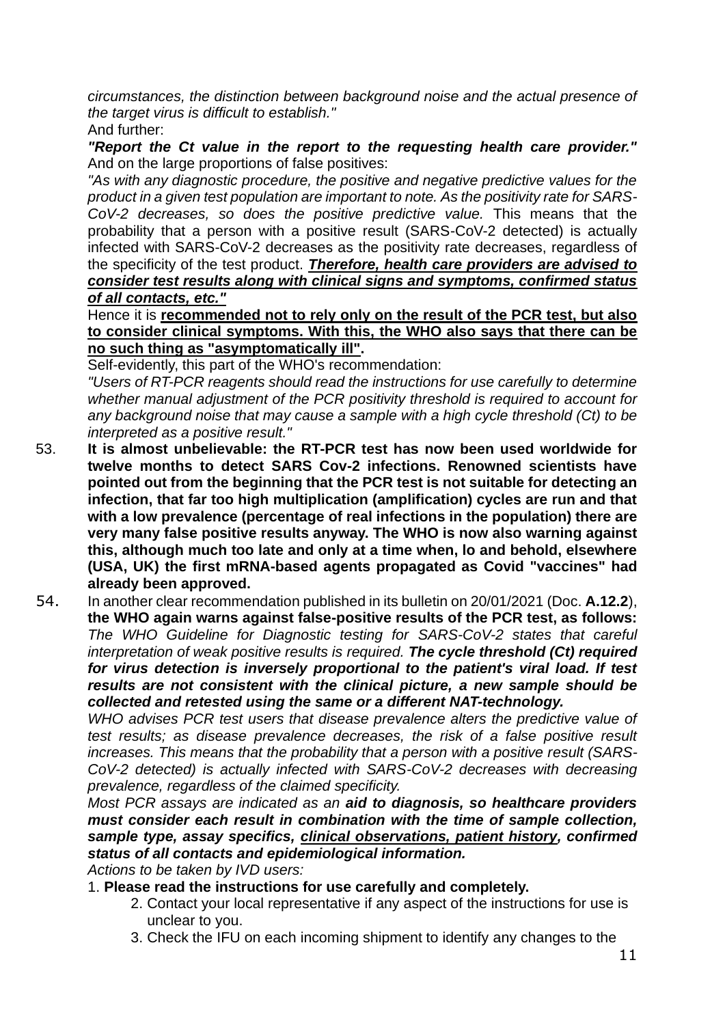*circumstances, the distinction between background noise and the actual presence of the target virus is difficult to establish."*

And further:

*"Report the Ct value in the report to the requesting health care provider."* And on the large proportions of false positives:

*"As with any diagnostic procedure, the positive and negative predictive values for the product in a given test population are important to note. As the positivity rate for SARS-CoV-2 decreases, so does the positive predictive value.* This means that the probability that a person with a positive result (SARS-CoV-2 detected) is actually infected with SARS-CoV-2 decreases as the positivity rate decreases, regardless of the specificity of the test product. *Therefore, health care providers are advised to consider test results along with clinical signs and symptoms, confirmed status of all contacts, etc."*

Hence it is **recommended not to rely only on the result of the PCR test, but also to consider clinical symptoms. With this, the WHO also says that there can be no such thing as "asymptomatically ill".**

Self-evidently, this part of the WHO's recommendation:

*"Users of RT-PCR reagents should read the instructions for use carefully to determine whether manual adjustment of the PCR positivity threshold is required to account for any background noise that may cause a sample with a high cycle threshold (Ct) to be interpreted as a positive result."*

- 53. **It is almost unbelievable: the RT-PCR test has now been used worldwide for twelve months to detect SARS Cov-2 infections. Renowned scientists have pointed out from the beginning that the PCR test is not suitable for detecting an infection, that far too high multiplication (amplification) cycles are run and that with a low prevalence (percentage of real infections in the population) there are very many false positive results anyway. The WHO is now also warning against this, although much too late and only at a time when, lo and behold, elsewhere (USA, UK) the first mRNA-based agents propagated as Covid "vaccines" had already been approved.**
- 54. In another clear recommendation published in its bulletin on 20/01/2021 (Doc. **A.12.2**), **the WHO again warns against false-positive results of the PCR test, as follows:** *The WHO Guideline for Diagnostic testing for SARS-CoV-2 states that careful interpretation of weak positive results is required. The cycle threshold (Ct) required for virus detection is inversely proportional to the patient's viral load. If test results are not consistent with the clinical picture, a new sample should be collected and retested using the same or a different NAT-technology.*

*WHO advises PCR test users that disease prevalence alters the predictive value of test results; as disease prevalence decreases, the risk of a false positive result increases. This means that the probability that a person with a positive result (SARS-CoV-2 detected) is actually infected with SARS-CoV-2 decreases with decreasing prevalence, regardless of the claimed specificity.*

*Most PCR assays are indicated as an aid to diagnosis, so healthcare providers must consider each result in combination with the time of sample collection, sample type, assay specifics, clinical observations, patient history, confirmed status of all contacts and epidemiological information.*

*Actions to be taken by IVD users:*

- 1. **Please read the instructions for use carefully and completely.**
	- 2. Contact your local representative if any aspect of the instructions for use is unclear to you.
	- 3. Check the IFU on each incoming shipment to identify any changes to the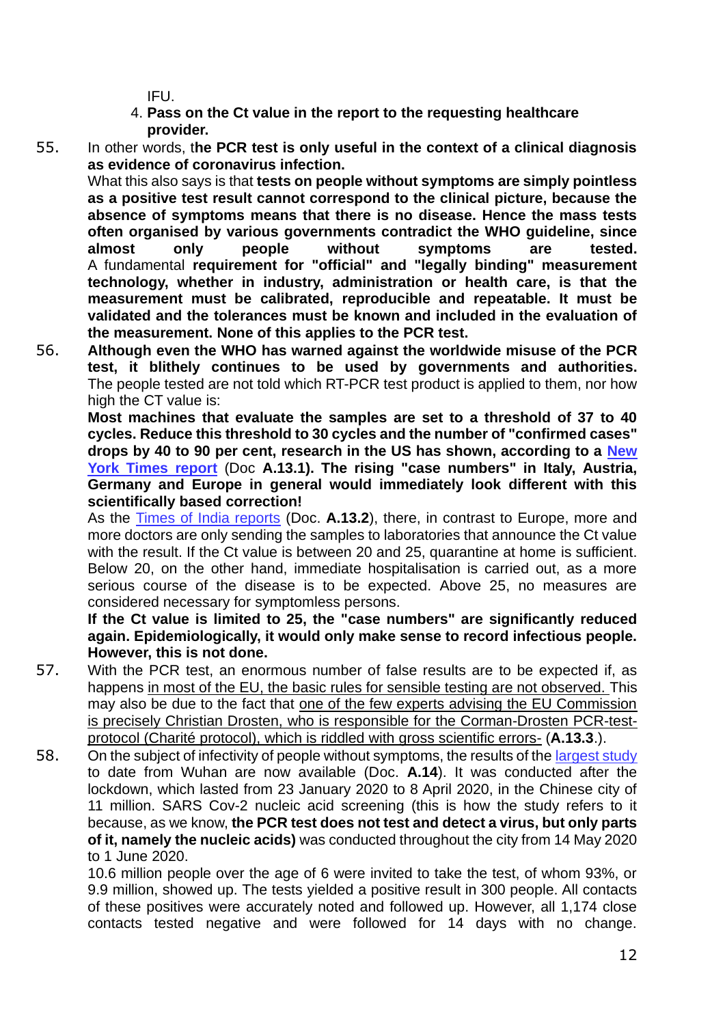IFU.

- 4. **Pass on the Ct value in the report to the requesting healthcare provider.**
- 55. In other words, t**he PCR test is only useful in the context of a clinical diagnosis as evidence of coronavirus infection.**

What this also says is that **tests on people without symptoms are simply pointless as a positive test result cannot correspond to the clinical picture, because the absence of symptoms means that there is no disease. Hence the mass tests often organised by various governments contradict the WHO guideline, since almost only people without symptoms are tested.** A fundamental **requirement for "official" and "legally binding" measurement technology, whether in industry, administration or health care, is that the measurement must be calibrated, reproducible and repeatable. It must be validated and the tolerances must be known and included in the evaluation of the measurement. None of this applies to the PCR test.**

56. **Although even the WHO has warned against the worldwide misuse of the PCR test, it blithely continues to be used by governments and authorities.** The people tested are not told which RT-PCR test product is applied to them, nor how high the CT value is:

**Most machines that evaluate the samples are set to a threshold of 37 to 40 cycles. Reduce this threshold to 30 cycles and the number of "confirmed cases" drops by 40 to 90 per cent, research in the US has shown, according to a New York Times report** (Doc **A.13.1). The rising "case numbers" in Italy, Austria, Germany and Europe in general would immediately look different with this scientifically based correction!**

As the Times of India reports (Doc. **A.13.2**), there, in contrast to Europe, more and more doctors are only sending the samples to laboratories that announce the Ct value with the result. If the Ct value is between 20 and 25, quarantine at home is sufficient. Below 20, on the other hand, immediate hospitalisation is carried out, as a more serious course of the disease is to be expected. Above 25, no measures are considered necessary for symptomless persons.

**If the Ct value is limited to 25, the "case numbers" are significantly reduced again. Epidemiologically, it would only make sense to record infectious people. However, this is not done.**

- 57. With the PCR test, an enormous number of false results are to be expected if, as happens in most of the EU, the basic rules for sensible testing are not observed. This may also be due to the fact that one of the few experts advising the EU Commission is precisely Christian Drosten, who is responsible for the Corman-Drosten PCR-testprotocol (Charité protocol), which is riddled with gross scientific errors- (**A.13.3**.).
- 58. On the subject of infectivity of people without symptoms, the results of the largest study to date from Wuhan are now available (Doc. **A.14**). It was conducted after the lockdown, which lasted from 23 January 2020 to 8 April 2020, in the Chinese city of 11 million. SARS Cov-2 nucleic acid screening (this is how the study refers to it because, as we know, **the PCR test does not test and detect a virus, but only parts of it, namely the nucleic acids)** was conducted throughout the city from 14 May 2020 to 1 June 2020.

10.6 million people over the age of 6 were invited to take the test, of whom 93%, or 9.9 million, showed up. The tests yielded a positive result in 300 people. All contacts of these positives were accurately noted and followed up. However, all 1,174 close contacts tested negative and were followed for 14 days with no change.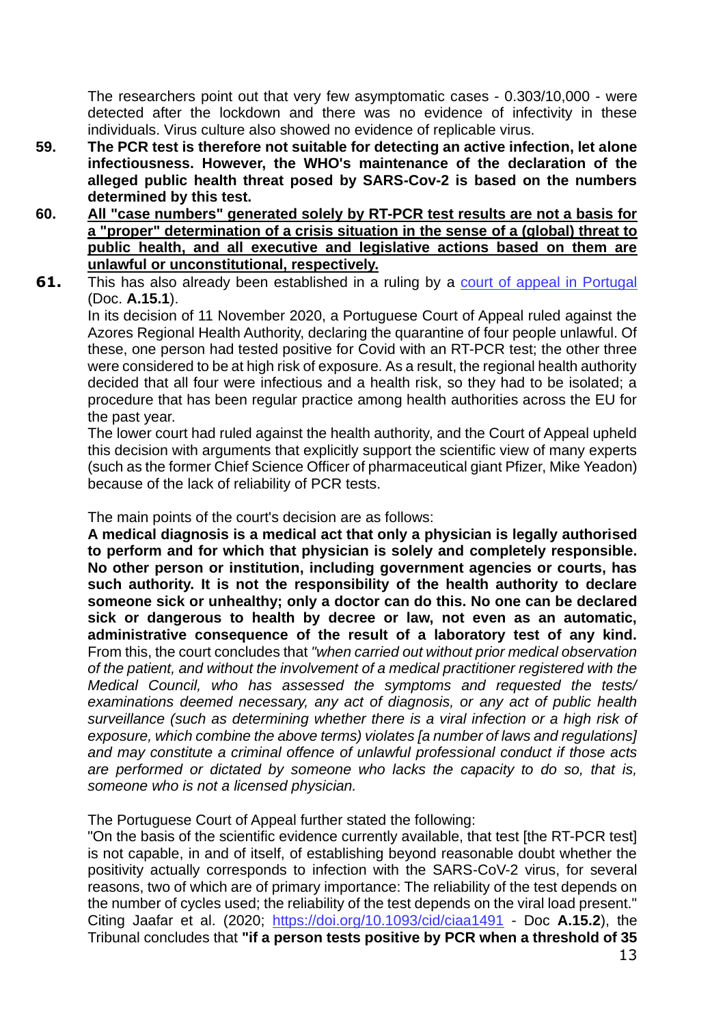The researchers point out that very few asymptomatic cases - 0.303/10,000 - were detected after the lockdown and there was no evidence of infectivity in these individuals. Virus culture also showed no evidence of replicable virus.

- **59. The PCR test is therefore not suitable for detecting an active infection, let alone infectiousness. However, the WHO's maintenance of the declaration of the alleged public health threat posed by SARS-Cov-2 is based on the numbers determined by this test.**
- **60. All "case numbers" generated solely by RT-PCR test results are not a basis for a "proper" determination of a crisis situation in the sense of a (global) threat to public health, and all executive and legislative actions based on them are unlawful or unconstitutional, respectively.**
- **61.** This has also already been established in a ruling by a court of appeal in Portugal (Doc. **A.15.1**).

In its decision of 11 November 2020, a Portuguese Court of Appeal ruled against the Azores Regional Health Authority, declaring the quarantine of four people unlawful. Of these, one person had tested positive for Covid with an RT-PCR test; the other three were considered to be at high risk of exposure. As a result, the regional health authority decided that all four were infectious and a health risk, so they had to be isolated; a procedure that has been regular practice among health authorities across the EU for the past year.

The lower court had ruled against the health authority, and the Court of Appeal upheld this decision with arguments that explicitly support the scientific view of many experts (such as the former Chief Science Officer of pharmaceutical giant Pfizer, Mike Yeadon) because of the lack of reliability of PCR tests.

The main points of the court's decision are as follows:

**A medical diagnosis is a medical act that only a physician is legally authorised to perform and for which that physician is solely and completely responsible. No other person or institution, including government agencies or courts, has such authority. It is not the responsibility of the health authority to declare someone sick or unhealthy; only a doctor can do this. No one can be declared sick or dangerous to health by decree or law, not even as an automatic, administrative consequence of the result of a laboratory test of any kind.** From this, the court concludes that *"when carried out without prior medical observation of the patient, and without the involvement of a medical practitioner registered with the Medical Council, who has assessed the symptoms and requested the tests/ examinations deemed necessary, any act of diagnosis, or any act of public health surveillance (such as determining whether there is a viral infection or a high risk of exposure, which combine the above terms) violates [a number of laws and regulations] and may constitute a criminal offence of unlawful professional conduct if those acts are performed or dictated by someone who lacks the capacity to do so, that is, someone who is not a licensed physician.*

The Portuguese Court of Appeal further stated the following:

"On the basis of the scientific evidence currently available, that test [the RT-PCR test] is not capable, in and of itself, of establishing beyond reasonable doubt whether the positivity actually corresponds to infection with the SARS-CoV-2 virus, for several reasons, two of which are of primary importance: The reliability of the test depends on the number of cycles used; the reliability of the test depends on the viral load present." Citing Jaafar et al. (2020; https://doi.org/10.1093/cid/ciaa1491 - Doc **A.15.2**), the Tribunal concludes that **"if a person tests positive by PCR when a threshold of 35**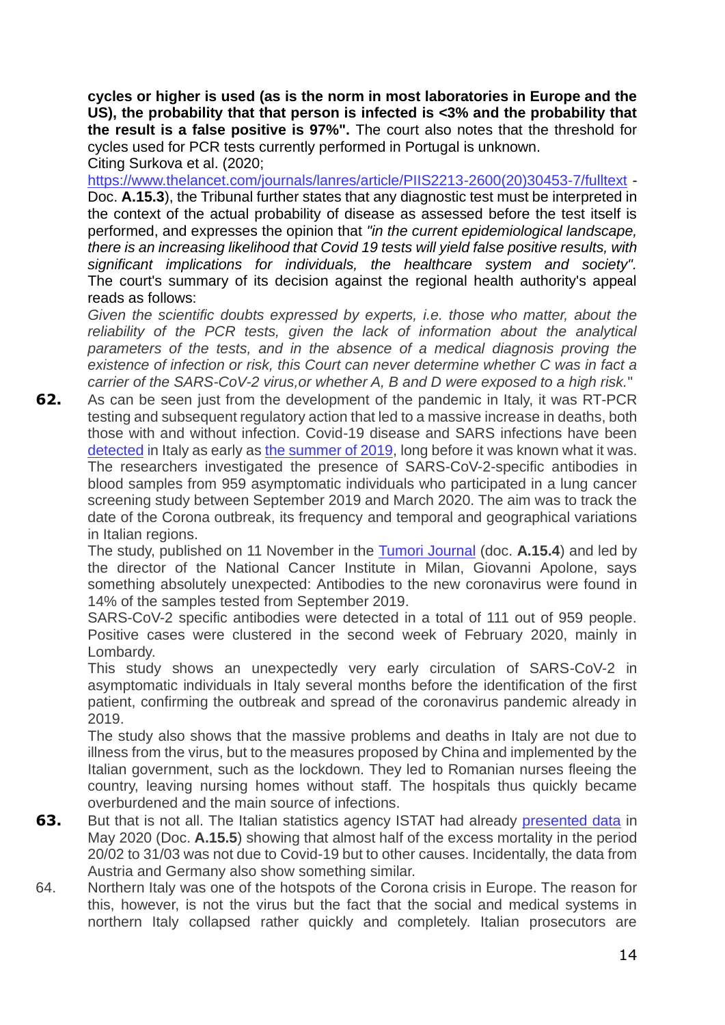**cycles or higher is used (as is the norm in most laboratories in Europe and the US), the probability that that person is infected is <3% and the probability that the result is a false positive is 97%".** The court also notes that the threshold for cycles used for PCR tests currently performed in Portugal is unknown.

Citing Surkova et al. (2020; https://www.thelancet.com/journals/lanres/article/PIIS2213-2600(20)30453-7/fulltext - Doc. **A.15.3**), the Tribunal further states that any diagnostic test must be interpreted in the context of the actual probability of disease as assessed before the test itself is performed, and expresses the opinion that *"in the current epidemiological landscape, there is an increasing likelihood that Covid 19 tests will yield false positive results, with significant implications for individuals, the healthcare system and society".* The court's summary of its decision against the regional health authority's appeal reads as follows:

*Given the scientific doubts expressed by experts, i.e. those who matter, about the reliability of the PCR tests, given the lack of information about the analytical*  parameters of the tests, and in the absence of a medical diagnosis proving the *existence of infection or risk, this Court can never determine whether C was in fact a carrier of the SARS-CoV-2 virus,or whether A, B and D were exposed to a high risk.*"

**62.** As can be seen just from the development of the pandemic in Italy, it was RT-PCR testing and subsequent regulatory action that led to a massive increase in deaths, both those with and without infection. Covid-19 disease and SARS infections have been detected in Italy as early as the summer of 2019, long before it was known what it was. The researchers investigated the presence of SARS-CoV-2-specific antibodies in blood samples from 959 asymptomatic individuals who participated in a lung cancer screening study between September 2019 and March 2020. The aim was to track the date of the Corona outbreak, its frequency and temporal and geographical variations in Italian regions.

The study, published on 11 November in the Tumori Journal (doc. **A.15.4**) and led by the director of the National Cancer Institute in Milan, Giovanni Apolone, says something absolutely unexpected: Antibodies to the new coronavirus were found in 14% of the samples tested from September 2019.

SARS-CoV-2 specific antibodies were detected in a total of 111 out of 959 people. Positive cases were clustered in the second week of February 2020, mainly in Lombardy.

This study shows an unexpectedly very early circulation of SARS-CoV-2 in asymptomatic individuals in Italy several months before the identification of the first patient, confirming the outbreak and spread of the coronavirus pandemic already in 2019.

The study also shows that the massive problems and deaths in Italy are not due to illness from the virus, but to the measures proposed by China and implemented by the Italian government, such as the lockdown. They led to Romanian nurses fleeing the country, leaving nursing homes without staff. The hospitals thus quickly became overburdened and the main source of infections.

- **63.** But that is not all. The Italian statistics agency ISTAT had already presented data in May 2020 (Doc. **A.15.5**) showing that almost half of the excess mortality in the period 20/02 to 31/03 was not due to Covid-19 but to other causes. Incidentally, the data from Austria and Germany also show something similar.
- 64. Northern Italy was one of the hotspots of the Corona crisis in Europe. The reason for this, however, is not the virus but the fact that the social and medical systems in northern Italy collapsed rather quickly and completely. Italian prosecutors are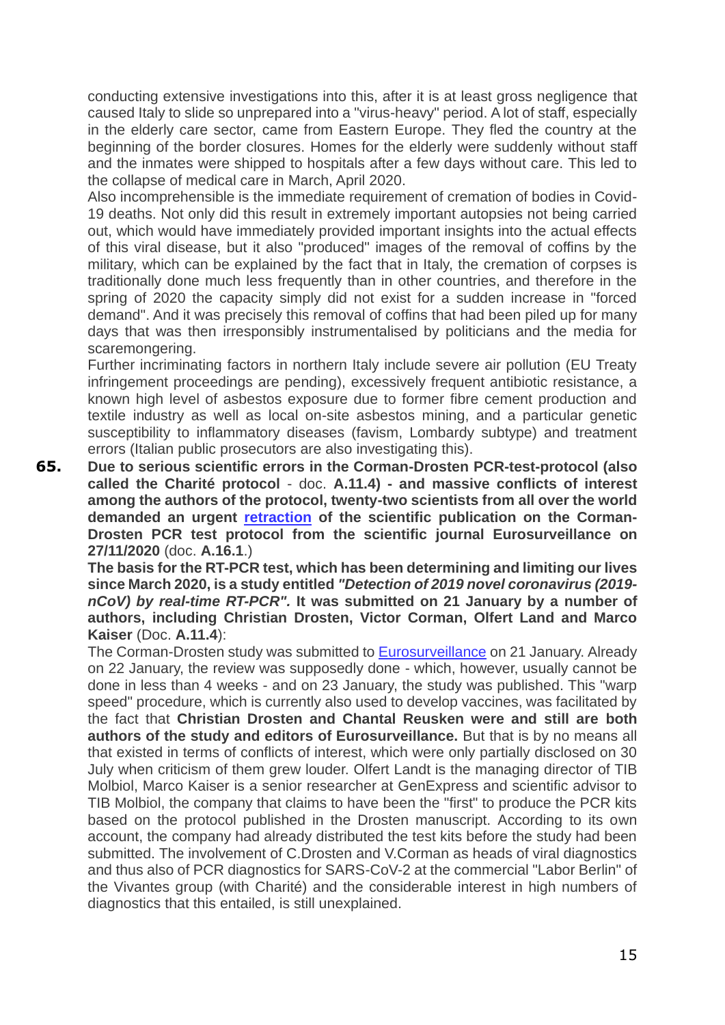conducting extensive investigations into this, after it is at least gross negligence that caused Italy to slide so unprepared into a "virus-heavy" period. A lot of staff, especially in the elderly care sector, came from Eastern Europe. They fled the country at the beginning of the border closures. Homes for the elderly were suddenly without staff and the inmates were shipped to hospitals after a few days without care. This led to the collapse of medical care in March, April 2020.

Also incomprehensible is the immediate requirement of cremation of bodies in Covid-19 deaths. Not only did this result in extremely important autopsies not being carried out, which would have immediately provided important insights into the actual effects of this viral disease, but it also "produced" images of the removal of coffins by the military, which can be explained by the fact that in Italy, the cremation of corpses is traditionally done much less frequently than in other countries, and therefore in the spring of 2020 the capacity simply did not exist for a sudden increase in "forced demand". And it was precisely this removal of coffins that had been piled up for many days that was then irresponsibly instrumentalised by politicians and the media for scaremongering.

Further incriminating factors in northern Italy include severe air pollution (EU Treaty infringement proceedings are pending), excessively frequent antibiotic resistance, a known high level of asbestos exposure due to former fibre cement production and textile industry as well as local on-site asbestos mining, and a particular genetic susceptibility to inflammatory diseases (favism, Lombardy subtype) and treatment errors (Italian public prosecutors are also investigating this).

**65. Due to serious scientific errors in the Corman-Drosten PCR-test-protocol (also called the Charité protocol** - doc. **A.11.4) - and massive conflicts of interest among the authors of the protocol, twenty-two scientists from all over the world demanded an urgent retraction of the scientific publication on the Corman-Drosten PCR test protocol from the scientific journal Eurosurveillance on 27/11/2020** (doc. **A.16.1**.)

**The basis for the RT-PCR test, which has been determining and limiting our lives since March 2020, is a study entitled** *"Detection of 2019 novel coronavirus (2019 nCoV) by real-time RT-PCR".* **It was submitted on 21 January by a number of authors, including Christian Drosten, Victor Corman, Olfert Land and Marco Kaiser** (Doc. **A.11.4**):

The Corman-Drosten study was submitted to Eurosurveillance on 21 January. Already on 22 January, the review was supposedly done - which, however, usually cannot be done in less than 4 weeks - and on 23 January, the study was published. This "warp speed" procedure, which is currently also used to develop vaccines, was facilitated by the fact that **Christian Drosten and Chantal Reusken were and still are both authors of the study and editors of Eurosurveillance.** But that is by no means all that existed in terms of conflicts of interest, which were only partially disclosed on 30 July when criticism of them grew louder. Olfert Landt is the managing director of TIB Molbiol, Marco Kaiser is a senior researcher at GenExpress and scientific advisor to TIB Molbiol, the company that claims to have been the "first" to produce the PCR kits based on the protocol published in the Drosten manuscript. According to its own account, the company had already distributed the test kits before the study had been submitted. The involvement of C.Drosten and V.Corman as heads of viral diagnostics and thus also of PCR diagnostics for SARS-CoV-2 at the commercial "Labor Berlin" of the Vivantes group (with Charité) and the considerable interest in high numbers of diagnostics that this entailed, is still unexplained.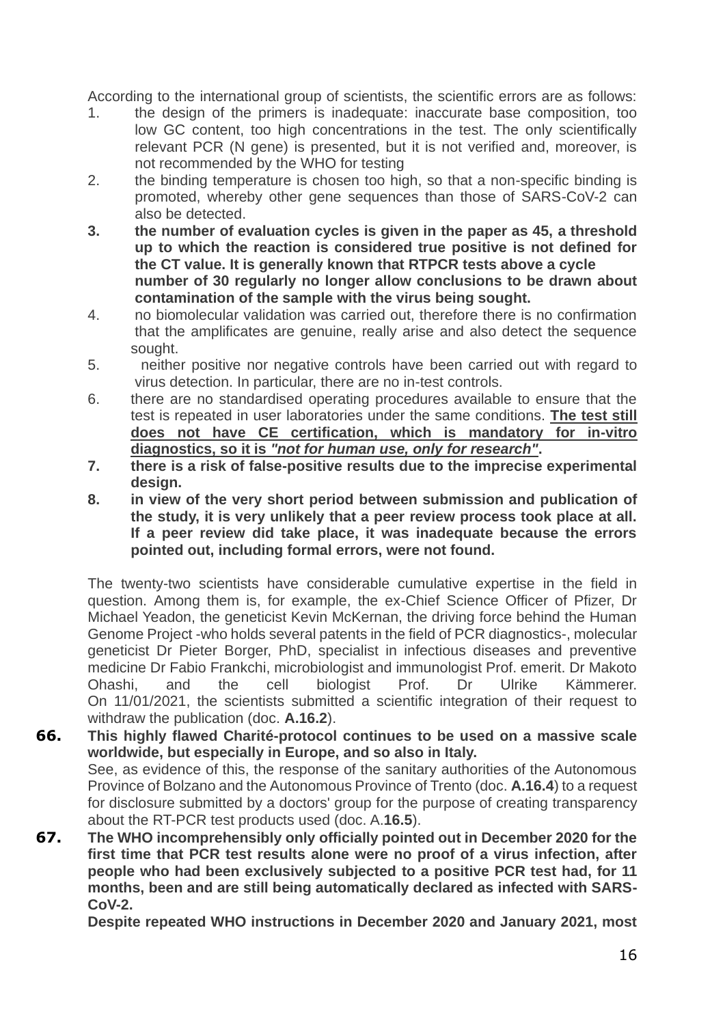According to the international group of scientists, the scientific errors are as follows:

- 1. the design of the primers is inadequate: inaccurate base composition, too low GC content, too high concentrations in the test. The only scientifically relevant PCR (N gene) is presented, but it is not verified and, moreover, is not recommended by the WHO for testing
- 2. the binding temperature is chosen too high, so that a non-specific binding is promoted, whereby other gene sequences than those of SARS-CoV-2 can also be detected.
- **3. the number of evaluation cycles is given in the paper as 45, a threshold up to which the reaction is considered true positive is not defined for the CT value. It is generally known that RTPCR tests above a cycle number of 30 regularly no longer allow conclusions to be drawn about contamination of the sample with the virus being sought.**
- 4. no biomolecular validation was carried out, therefore there is no confirmation that the amplificates are genuine, really arise and also detect the sequence sought.
- 5. neither positive nor negative controls have been carried out with regard to virus detection. In particular, there are no in-test controls.
- 6. there are no standardised operating procedures available to ensure that the test is repeated in user laboratories under the same conditions. **The test still does not have CE certification, which is mandatory for in-vitro diagnostics, so it is** *"not for human use, only for research"***.**
- **7. there is a risk of false-positive results due to the imprecise experimental design.**
- **8. in view of the very short period between submission and publication of the study, it is very unlikely that a peer review process took place at all. If a peer review did take place, it was inadequate because the errors pointed out, including formal errors, were not found.**

The twenty-two scientists have considerable cumulative expertise in the field in question. Among them is, for example, the ex-Chief Science Officer of Pfizer, Dr Michael Yeadon, the geneticist Kevin McKernan, the driving force behind the Human Genome Project -who holds several patents in the field of PCR diagnostics-, molecular geneticist Dr Pieter Borger, PhD, specialist in infectious diseases and preventive medicine Dr Fabio Frankchi, microbiologist and immunologist Prof. emerit. Dr Makoto Ohashi, and the cell biologist Prof. Dr Ulrike Kämmerer. On 11/01/2021, the scientists submitted a scientific integration of their request to withdraw the publication (doc. **A.16.2**).

- **66. This highly flawed Charité-protocol continues to be used on a massive scale worldwide, but especially in Europe, and so also in Italy.** See, as evidence of this, the response of the sanitary authorities of the Autonomous Province of Bolzano and the Autonomous Province of Trento (doc. **A.16.4**) to a request for disclosure submitted by a doctors' group for the purpose of creating transparency about the RT-PCR test products used (doc. A.**16.5**).
- **67. The WHO incomprehensibly only officially pointed out in December 2020 for the first time that PCR test results alone were no proof of a virus infection, after people who had been exclusively subjected to a positive PCR test had, for 11 months, been and are still being automatically declared as infected with SARS-CoV-2.**

**Despite repeated WHO instructions in December 2020 and January 2021, most**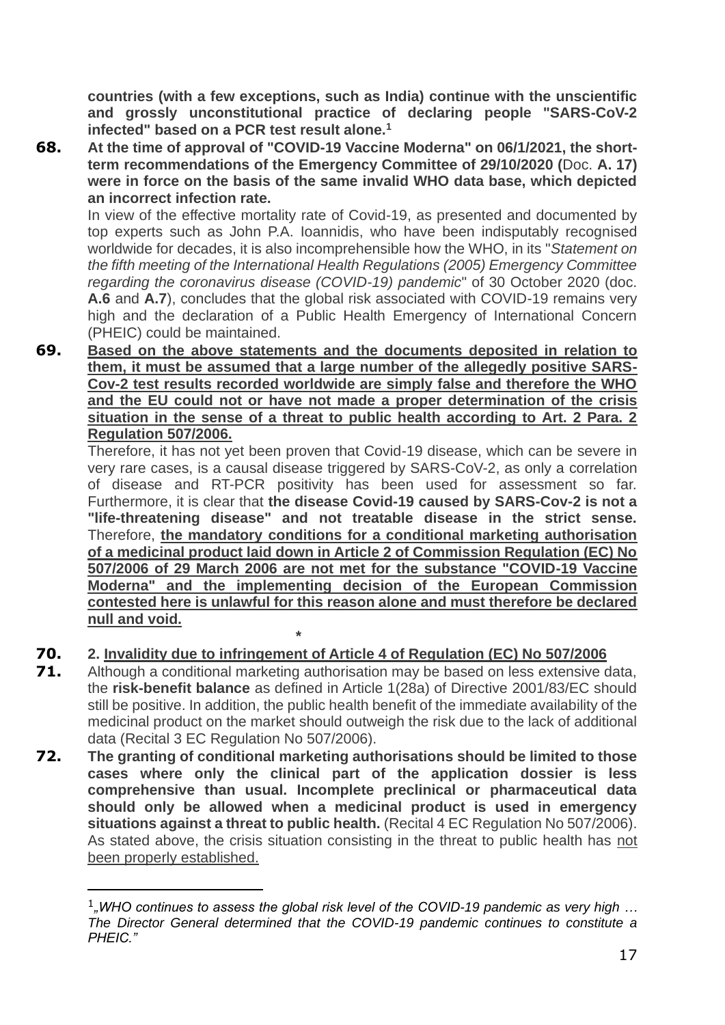**countries (with a few exceptions, such as India) continue with the unscientific and grossly unconstitutional practice of declaring people "SARS-CoV-2 infected" based on a PCR test result alone.<sup>1</sup>**

**68. At the time of approval of "COVID-19 Vaccine Moderna" on 06/1/2021, the shortterm recommendations of the Emergency Committee of 29/10/2020 (**Doc. **A. 17) were in force on the basis of the same invalid WHO data base, which depicted an incorrect infection rate.**

In view of the effective mortality rate of Covid-19, as presented and documented by top experts such as John P.A. Ioannidis, who have been indisputably recognised worldwide for decades, it is also incomprehensible how the WHO, in its "*Statement on the fifth meeting of the International Health Regulations (2005) Emergency Committee regarding the coronavirus disease (COVID-19) pandemic*" of 30 October 2020 (doc. **A.6** and **A.7**), concludes that the global risk associated with COVID-19 remains very high and the declaration of a Public Health Emergency of International Concern (PHEIC) could be maintained.

**69. Based on the above statements and the documents deposited in relation to them, it must be assumed that a large number of the allegedly positive SARS-Cov-2 test results recorded worldwide are simply false and therefore the WHO and the EU could not or have not made a proper determination of the crisis situation in the sense of a threat to public health according to Art. 2 Para. 2 Regulation 507/2006.**

Therefore, it has not yet been proven that Covid-19 disease, which can be severe in very rare cases, is a causal disease triggered by SARS-CoV-2, as only a correlation of disease and RT-PCR positivity has been used for assessment so far. Furthermore, it is clear that **the disease Covid-19 caused by SARS-Cov-2 is not a "life-threatening disease" and not treatable disease in the strict sense.** Therefore, **the mandatory conditions for a conditional marketing authorisation of a medicinal product laid down in Article 2 of Commission Regulation (EC) No 507/2006 of 29 March 2006 are not met for the substance "COVID-19 Vaccine Moderna" and the implementing decision of the European Commission contested here is unlawful for this reason alone and must therefore be declared null and void.**

## **70. 2. Invalidity due to infringement of Article 4 of Regulation (EC) No 507/2006**

 **\***

- **71.** Although a conditional marketing authorisation may be based on less extensive data, the **risk-benefit balance** as defined in Article 1(28a) of Directive 2001/83/EC should still be positive. In addition, the public health benefit of the immediate availability of the medicinal product on the market should outweigh the risk due to the lack of additional data (Recital 3 EC Regulation No 507/2006).
- **72. The granting of conditional marketing authorisations should be limited to those cases where only the clinical part of the application dossier is less comprehensive than usual. Incomplete preclinical or pharmaceutical data should only be allowed when a medicinal product is used in emergency situations against a threat to public health.** (Recital 4 EC Regulation No 507/2006). As stated above, the crisis situation consisting in the threat to public health has not been properly established.

<sup>&</sup>lt;sup>1</sup><sub>n</sub>WHO continues to assess the global risk level of the COVID-19 pandemic as very high ... *The Director General determined that the COVID-19 pandemic continues to constitute a PHEIC."*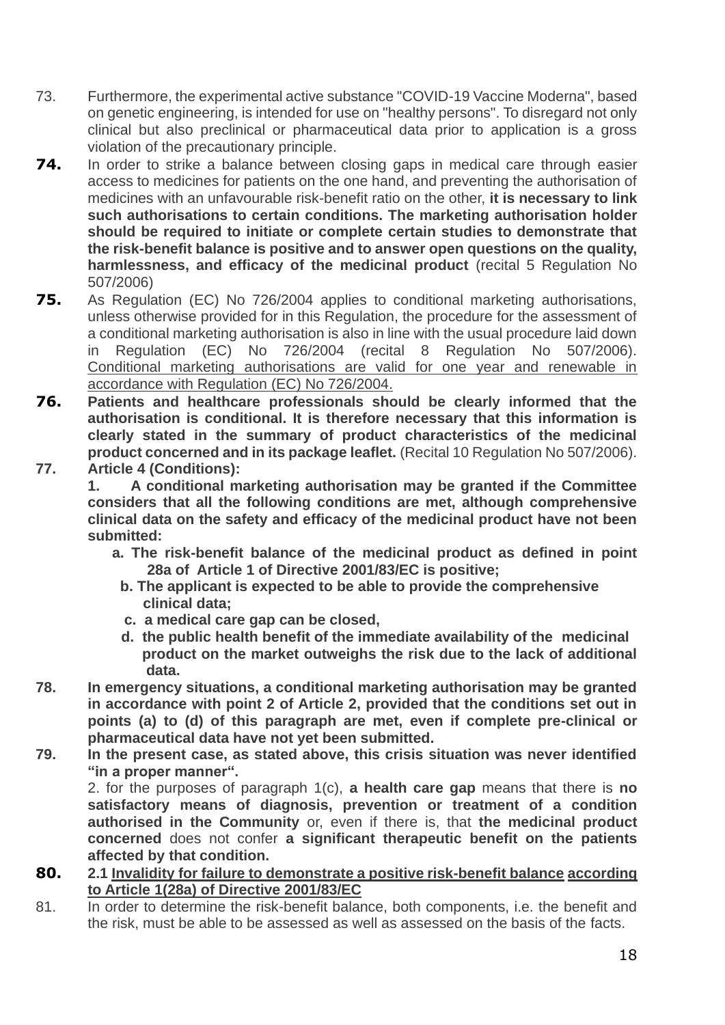- 73. Furthermore, the experimental active substance "COVID-19 Vaccine Moderna", based on genetic engineering, is intended for use on "healthy persons". To disregard not only clinical but also preclinical or pharmaceutical data prior to application is a gross violation of the precautionary principle.
- **74.** In order to strike a balance between closing gaps in medical care through easier access to medicines for patients on the one hand, and preventing the authorisation of medicines with an unfavourable risk-benefit ratio on the other, **it is necessary to link such authorisations to certain conditions. The marketing authorisation holder should be required to initiate or complete certain studies to demonstrate that the risk-benefit balance is positive and to answer open questions on the quality, harmlessness, and efficacy of the medicinal product** (recital 5 Regulation No 507/2006)
- **75.** As Regulation (EC) No 726/2004 applies to conditional marketing authorisations, unless otherwise provided for in this Regulation, the procedure for the assessment of a conditional marketing authorisation is also in line with the usual procedure laid down in Regulation (EC) No 726/2004 (recital 8 Regulation No 507/2006). Conditional marketing authorisations are valid for one year and renewable in accordance with Regulation (EC) No 726/2004.
- **76. Patients and healthcare professionals should be clearly informed that the authorisation is conditional. It is therefore necessary that this information is clearly stated in the summary of product characteristics of the medicinal product concerned and in its package leaflet.** (Recital 10 Regulation No 507/2006). **77. Article 4 (Conditions):**

**1. A conditional marketing authorisation may be granted if the Committee considers that all the following conditions are met, although comprehensive clinical data on the safety and efficacy of the medicinal product have not been submitted:**

- **a. The risk-benefit balance of the medicinal product as defined in point 28a of Article 1 of Directive 2001/83/EC is positive;**
	- **b. The applicant is expected to be able to provide the comprehensive clinical data;**
	- **c. a medical care gap can be closed,**
	- **d. the public health benefit of the immediate availability of the medicinal product on the market outweighs the risk due to the lack of additional data.**
- **78. In emergency situations, a conditional marketing authorisation may be granted in accordance with point 2 of Article 2, provided that the conditions set out in points (a) to (d) of this paragraph are met, even if complete pre-clinical or pharmaceutical data have not yet been submitted.**
- **79. In the present case, as stated above, this crisis situation was never identified "in a proper manner".**

2. for the purposes of paragraph 1(c), **a health care gap** means that there is **no satisfactory means of diagnosis, prevention or treatment of a condition authorised in the Community** or, even if there is, that **the medicinal product concerned** does not confer **a significant therapeutic benefit on the patients affected by that condition.**

- **80. 2.1 Invalidity for failure to demonstrate a positive risk-benefit balance according to Article 1(28a) of Directive 2001/83/EC**
- 81. In order to determine the risk-benefit balance, both components, i.e. the benefit and the risk, must be able to be assessed as well as assessed on the basis of the facts.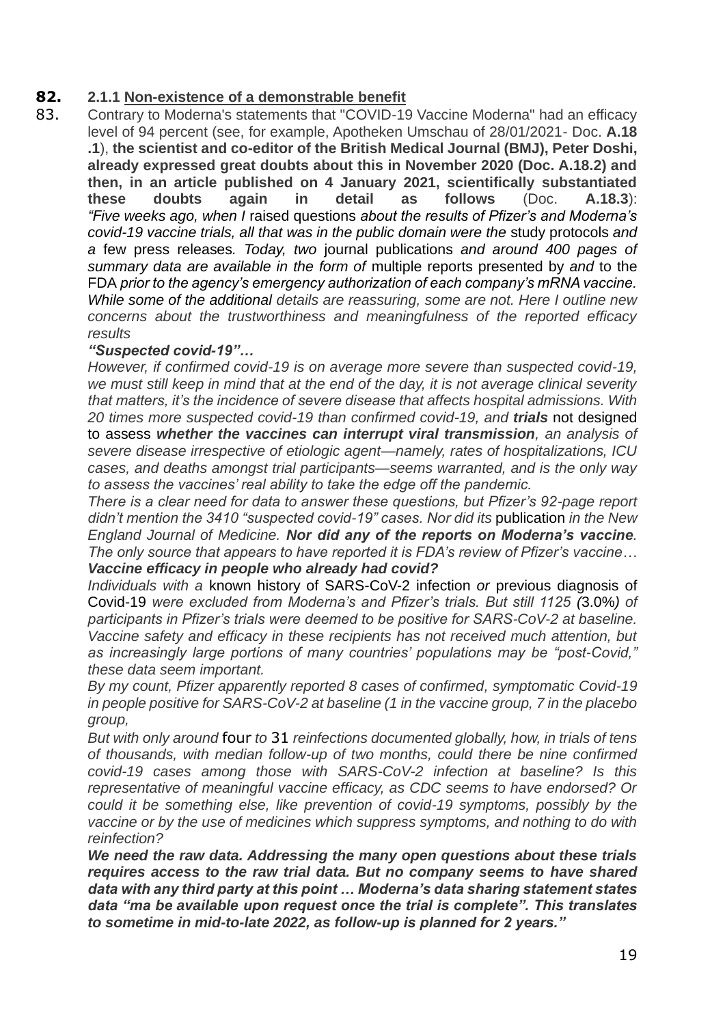## **82. 2.1.1 Non-existence of a demonstrable benefit**

83. Contrary to Moderna's statements that "COVID-19 Vaccine Moderna" had an efficacy level of 94 percent (see, for example, Apotheken Umschau of 28/01/2021- Doc. **A.18 .1**), **the scientist and co-editor of the British Medical Journal (BMJ), Peter Doshi, already expressed great doubts about this in November 2020 (Doc. A.18.2) and then, in an article published on 4 January 2021, scientifically substantiated these doubts again in detail as follows** (Doc. **A.18.3**): *"Five weeks ago, when I* [raised questions](https://blogs.bmj.com/bmj/2020/11/26/peter-doshi-pfizer-and-modernas-95-effective-vaccines-lets-be-cautious-and-first-see-the-full-data/) *about the results of Pfizer's and Moderna's covid-19 vaccine trials, all that was in the public domain were the* [study protocols](https://restoringtrials.org/2020/09/18/covid19trialprotocolandstudydocs/) *and a* [few](https://investors.pfizer.com/investor-news/press-release-details/2020/Pfizer-and-BioNTech-Announce-Vaccine-Candidate-Against-COVID-19-Achieved-Success-in-First-Interim-Analysis-from-Phase-3-Study/default.aspx) [press](https://investors.modernatx.com/news-releases/news-release-details/modernas-covid-19-vaccine-candidate-meets-its-primary-efficacy) [releases](https://investors.pfizer.com/investor-news/press-release-details/2020/Pfizer-and-BioNTech-Conclude-Phase-3-Study-of-COVID-19-Vaccine-Candidate-Meeting-All-Primary-Efficacy-Endpoints/default.aspx)*. Today, two* [journal](https://doi.org/10.1056/NEJMoa2034577) [publications](https://doi.org/10.1056/NEJMoa2035389) *and around 400 pages of summary data are available in the form of* [multiple](https://www.fda.gov/media/144416/download) [reports](https://www.fda.gov/media/144673/download) [presented](https://www.fda.gov/media/144245/download) [by](https://www.fda.gov/media/144434/download) *and* [to](https://www.fda.gov/media/144246/download) [the](https://www.fda.gov/media/144452/download) [FDA](https://www.fda.gov/media/144453/download) *prior to the agency's emergency authorization of each company's mRNA vaccine. While some of the additional details are reassuring, some are not. Here I outline new concerns about the trustworthiness and meaningfulness of the reported efficacy results*

#### *"Suspected covid-19"…*

*However, if confirmed covid-19 is on average more severe than suspected covid-19, we must still keep in mind that at the end of the day, it is not average clinical severity that matters, it's the incidence of severe disease that affects hospital admissions. With 20 times more suspected covid-19 than confirmed covid-19, and trials* [not designed](https://www.bmj.com/content/371/bmj.m4037)  [to assess](https://www.bmj.com/content/371/bmj.m4037) *whether the vaccines can interrupt viral transmission, an analysis of severe disease irrespective of etiologic agent—namely, rates of hospitalizations, ICU cases, and deaths amongst trial participants—seems warranted, and is the only way to assess the vaccines' real ability to take the edge off the pandemic.*

*There is a clear need for data to answer these questions, but Pfizer's 92-page report*  didn't mention the 3410 "suspected covid-19" cases. Nor did its [publication](https://doi.org/10.1056/NEJMoa2034577) *in the New England Journal of Medicine. Nor did any of the reports on Moderna's vaccine. The only source that appears to have reported it is FDA's review of Pfizer's vaccine… Vaccine efficacy in people who already had covid?*

*Individuals with a* known history of SARS-CoV-2 infection *or* previous diagnosis of Covid-19 *were excluded from Moderna's and Pfizer's trials. But still 1125 (*3.0%*) of participants in Pfizer's trials were deemed to be positive for SARS-CoV-2 at baseline. Vaccine safety and efficacy in these recipients has not received much attention, but as increasingly large portions of many countries' populations may be "post-Covid," these data seem important.*

*By my count, Pfizer apparently reported 8 cases of confirmed, symptomatic Covid-19 in people positive for SARS-CoV-2 at baseline (1 in the vaccine group, 7 in the placebo group,*

*But with only around* [four](https://doi.org/10.1016/S1473-3099(20)30783-0) *to* [31](https://bnonews.com/index.php/2020/08/covid-19-reinfection-tracker/) *reinfections documented globally, how, in trials of tens of thousands, with median follow-up of two months, could there be nine confirmed covid-19 cases among those with SARS-CoV-2 infection at baseline? Is this representative of meaningful vaccine efficacy, as CDC seems to have endorsed? Or could it be something else, like prevention of covid-19 symptoms, possibly by the vaccine or by the use of medicines which suppress symptoms, and nothing to do with reinfection?*

*We need the raw data. Addressing the many open questions about these trials requires access to the raw trial data. But no company seems to have shared data with any third party at this point … Moderna's data sharing statement states data "ma be available upon request once the trial is complete". This translates to sometime in mid-to-late 2022, as follow-up is planned for 2 years."*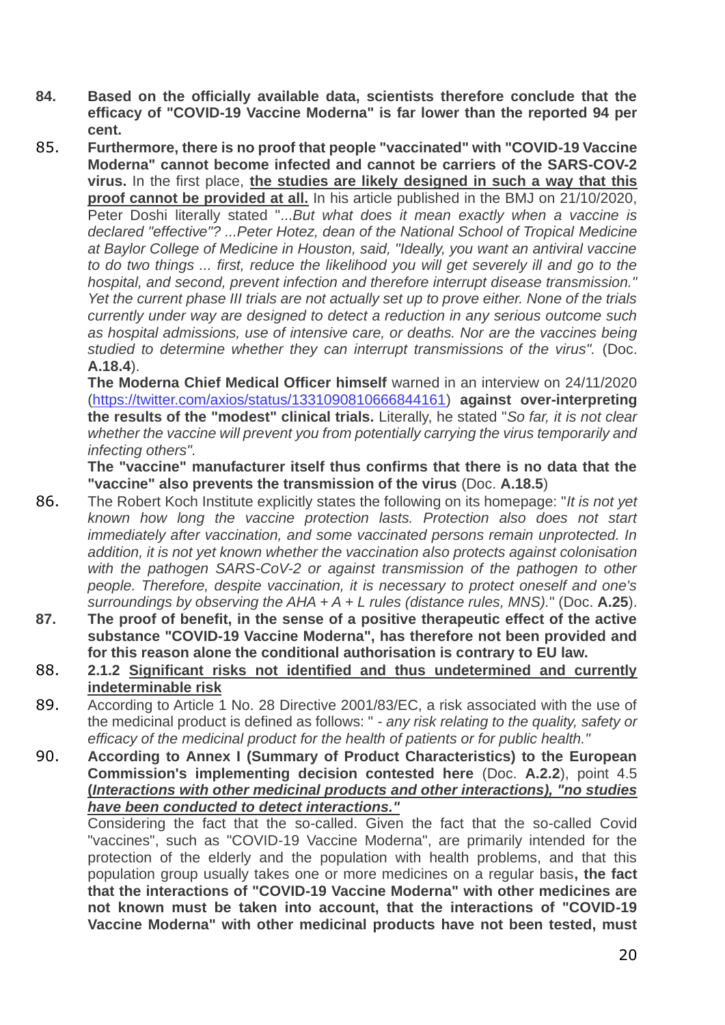- **84. Based on the officially available data, scientists therefore conclude that the efficacy of "COVID-19 Vaccine Moderna" is far lower than the reported 94 per cent.**
- 85. **Furthermore, there is no proof that people "vaccinated" with "COVID-19 Vaccine Moderna" cannot become infected and cannot be carriers of the SARS-COV-2 virus.** In the first place, **the studies are likely designed in such a way that this proof cannot be provided at all.** In his article published in the BMJ on 21/10/2020, Peter Doshi literally stated "...*But what does it mean exactly when a vaccine is declared "effective"? ...Peter Hotez, dean of the National School of Tropical Medicine at Baylor College of Medicine in Houston, said, "Ideally, you want an antiviral vaccine to do two things ... first, reduce the likelihood you will get severely ill and go to the hospital, and second, prevent infection and therefore interrupt disease transmission." Yet the current phase III trials are not actually set up to prove either. None of the trials currently under way are designed to detect a reduction in any serious outcome such as hospital admissions, use of intensive care, or deaths. Nor are the vaccines being studied to determine whether they can interrupt transmissions of the virus".* (Doc. **A.18.4**).

**The Moderna Chief Medical Officer himself** warned in an interview on 24/11/2020 (https://twitter.com/axios/status/1331090810666844161) **against over-interpreting the results of the "modest" clinical trials.** Literally, he stated "*So far, it is not clear whether the vaccine will prevent you from potentially carrying the virus temporarily and infecting others".*

**The "vaccine" manufacturer itself thus confirms that there is no data that the "vaccine" also prevents the transmission of the virus** (Doc. **A.18.5**)

- 86. The Robert Koch Institute explicitly states the following on its homepage: "*It is not yet known how long the vaccine protection lasts. Protection also does not start immediately after vaccination, and some vaccinated persons remain unprotected. In addition, it is not yet known whether the vaccination also protects against colonisation with the pathogen SARS-CoV-2 or against transmission of the pathogen to other people. Therefore, despite vaccination, it is necessary to protect oneself and one's surroundings by observing the AHA + A + L rules (distance rules, MNS).*" (Doc. **A.25**).
- **87. The proof of benefit, in the sense of a positive therapeutic effect of the active substance "COVID-19 Vaccine Moderna", has therefore not been provided and for this reason alone the conditional authorisation is contrary to EU law.**
- 88. **2.1.2 Significant risks not identified and thus undetermined and currently indeterminable risk**
- 89. According to Article 1 No. 28 Directive 2001/83/EC, a risk associated with the use of the medicinal product is defined as follows: " - *any risk relating to the quality, safety or efficacy of the medicinal product for the health of patients or for public health."*
- 90. **According to Annex I (Summary of Product Characteristics) to the European Commission's implementing decision contested here** (Doc. **A.2.2**), point 4.5 **(***Interactions with other medicinal products and other interactions), "no studies have been conducted to detect interactions."*

Considering the fact that the so-called. Given the fact that the so-called Covid "vaccines", such as "COVID-19 Vaccine Moderna", are primarily intended for the protection of the elderly and the population with health problems, and that this population group usually takes one or more medicines on a regular basis**, the fact that the interactions of "COVID-19 Vaccine Moderna" with other medicines are not known must be taken into account, that the interactions of "COVID-19 Vaccine Moderna" with other medicinal products have not been tested, must**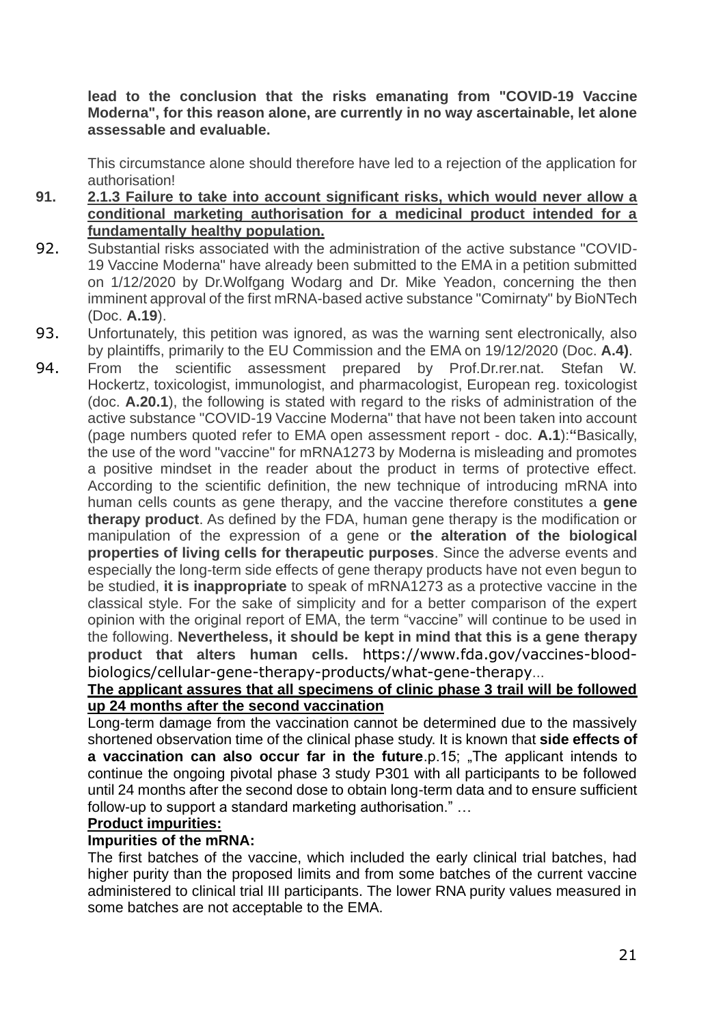#### **lead to the conclusion that the risks emanating from "COVID-19 Vaccine Moderna", for this reason alone, are currently in no way ascertainable, let alone assessable and evaluable.**

This circumstance alone should therefore have led to a rejection of the application for authorisation!

- **91. 2.1.3 Failure to take into account significant risks, which would never allow a conditional marketing authorisation for a medicinal product intended for a fundamentally healthy population.**
- 92. Substantial risks associated with the administration of the active substance "COVID-19 Vaccine Moderna" have already been submitted to the EMA in a petition submitted on 1/12/2020 by Dr.Wolfgang Wodarg and Dr. Mike Yeadon, concerning the then imminent approval of the first mRNA-based active substance "Comirnaty" by BioNTech (Doc. **A.19**).
- 93. Unfortunately, this petition was ignored, as was the warning sent electronically, also by plaintiffs, primarily to the EU Commission and the EMA on 19/12/2020 (Doc. **A.4)**.
- 94. From the scientific assessment prepared by Prof.Dr.rer.nat. Stefan W. Hockertz, toxicologist, immunologist, and pharmacologist, European reg. toxicologist (doc. **A.20.1**), the following is stated with regard to the risks of administration of the active substance "COVID-19 Vaccine Moderna" that have not been taken into account (page numbers quoted refer to EMA open assessment report - doc. **A.1**):**"**Basically, the use of the word "vaccine" for mRNA1273 by Moderna is misleading and promotes a positive mindset in the reader about the product in terms of protective effect. According to the scientific definition, the new technique of introducing mRNA into human cells counts as gene therapy, and the vaccine therefore constitutes a **gene therapy product**. As defined by the FDA, human gene therapy is the modification or manipulation of the expression of a gene or **the alteration of the biological properties of living cells for therapeutic purposes**. Since the adverse events and especially the long-term side effects of gene therapy products have not even begun to be studied, **it is inappropriate** to speak of mRNA1273 as a protective vaccine in the classical style. For the sake of simplicity and for a better comparison of the expert opinion with the original report of EMA, the term "vaccine" will continue to be used in the following. **Nevertheless, it should be kept in mind that this is a gene therapy product that alters human cells.** [https://www.fda.gov/vaccines-blood](https://www.fda.gov/vaccines-blood-biologics/cellular-gene-therapy-products/what-gene-therapy)[biologics/cellular-gene-therapy-products/what-gene-therapy](https://www.fda.gov/vaccines-blood-biologics/cellular-gene-therapy-products/what-gene-therapy)...

### **The applicant assures that all specimens of clinic phase 3 trail will be followed up 24 months after the second vaccination**

Long-term damage from the vaccination cannot be determined due to the massively shortened observation time of the clinical phase study. It is known that **side effects of a vaccination can also occur far in the future**.p.15; "The applicant intends to continue the ongoing pivotal phase 3 study P301 with all participants to be followed until 24 months after the second dose to obtain long-term data and to ensure sufficient follow-up to support a standard marketing authorisation." …

#### **Product impurities:**

#### **Impurities of the mRNA:**

The first batches of the vaccine, which included the early clinical trial batches, had higher purity than the proposed limits and from some batches of the current vaccine administered to clinical trial III participants. The lower RNA purity values measured in some batches are not acceptable to the EMA.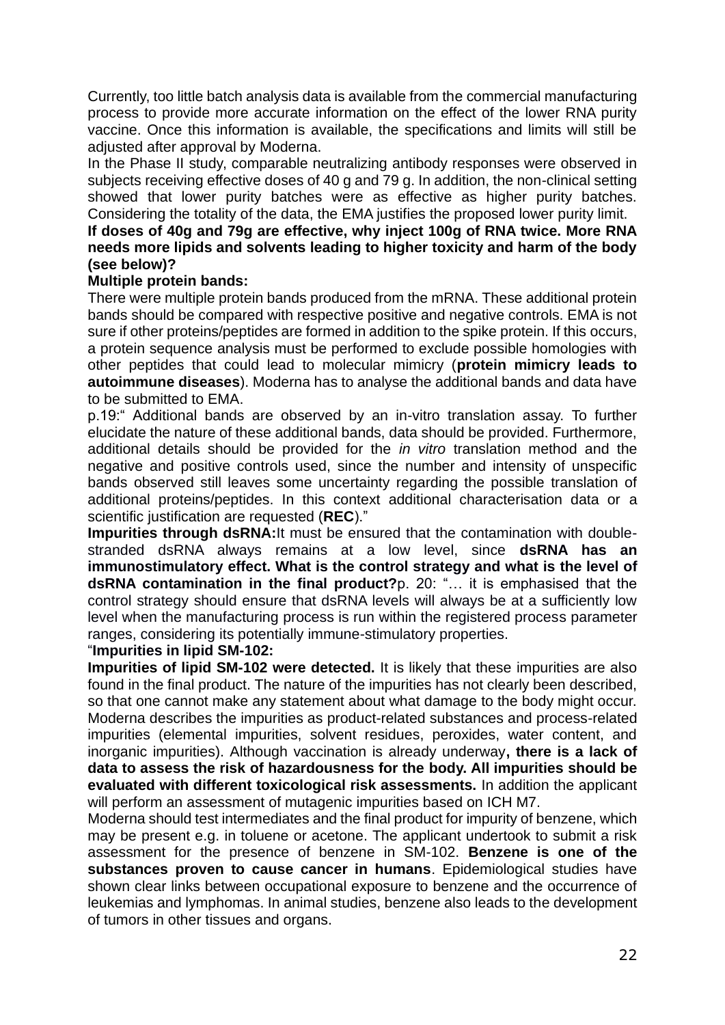Currently, too little batch analysis data is available from the commercial manufacturing process to provide more accurate information on the effect of the lower RNA purity vaccine. Once this information is available, the specifications and limits will still be adjusted after approval by Moderna.

In the Phase II study, comparable neutralizing antibody responses were observed in subjects receiving effective doses of 40 g and 79 g. In addition, the non-clinical setting showed that lower purity batches were as effective as higher purity batches. Considering the totality of the data, the EMA justifies the proposed lower purity limit.

#### **If doses of 40g and 79g are effective, why inject 100g of RNA twice. More RNA needs more lipids and solvents leading to higher toxicity and harm of the body (see below)?**

#### **Multiple protein bands:**

There were multiple protein bands produced from the mRNA. These additional protein bands should be compared with respective positive and negative controls. EMA is not sure if other proteins/peptides are formed in addition to the spike protein. If this occurs, a protein sequence analysis must be performed to exclude possible homologies with other peptides that could lead to molecular mimicry (**protein mimicry leads to autoimmune diseases**). Moderna has to analyse the additional bands and data have to be submitted to EMA.

p.19:" Additional bands are observed by an in-vitro translation assay. To further elucidate the nature of these additional bands, data should be provided. Furthermore, additional details should be provided for the *in vitro* translation method and the negative and positive controls used, since the number and intensity of unspecific bands observed still leaves some uncertainty regarding the possible translation of additional proteins/peptides. In this context additional characterisation data or a scientific justification are requested (**REC**)."

**Impurities through dsRNA:**It must be ensured that the contamination with doublestranded dsRNA always remains at a low level, since **dsRNA has an immunostimulatory effect. What is the control strategy and what is the level of dsRNA contamination in the final product?**p. 20: "… it is emphasised that the control strategy should ensure that dsRNA levels will always be at a sufficiently low level when the manufacturing process is run within the registered process parameter ranges, considering its potentially immune-stimulatory properties.

#### "**Impurities in lipid SM-102:**

**Impurities of lipid SM-102 were detected.** It is likely that these impurities are also found in the final product. The nature of the impurities has not clearly been described, so that one cannot make any statement about what damage to the body might occur. Moderna describes the impurities as product-related substances and process-related impurities (elemental impurities, solvent residues, peroxides, water content, and inorganic impurities). Although vaccination is already underway**, there is a lack of data to assess the risk of hazardousness for the body. All impurities should be evaluated with different toxicological risk assessments.** In addition the applicant will perform an assessment of mutagenic impurities based on ICH M7.

Moderna should test intermediates and the final product for impurity of benzene, which may be present e.g. in toluene or acetone. The applicant undertook to submit a risk assessment for the presence of benzene in SM-102. **Benzene is one of the substances proven to cause cancer in humans**. Epidemiological studies have shown clear links between occupational exposure to benzene and the occurrence of leukemias and lymphomas. In animal studies, benzene also leads to the development of tumors in other tissues and organs.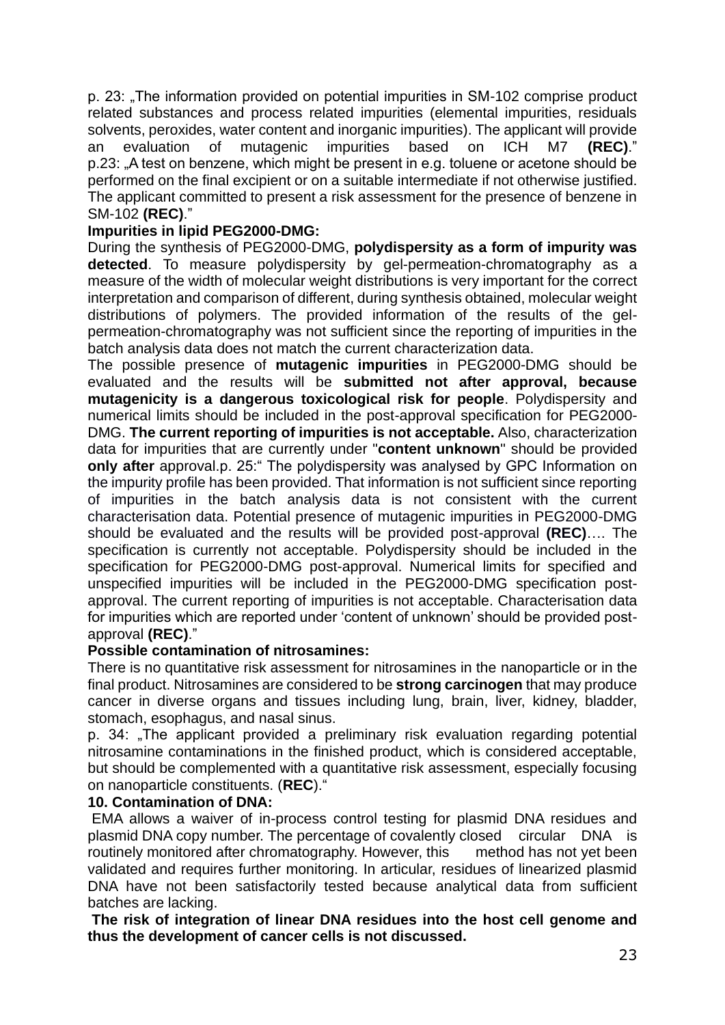p. 23: "The information provided on potential impurities in SM-102 comprise product related substances and process related impurities (elemental impurities, residuals solvents, peroxides, water content and inorganic impurities). The applicant will provide an evaluation of mutagenic impurities based on ICH M7 **(REC)**." p.23: "A test on benzene, which might be present in e.g. toluene or acetone should be performed on the final excipient or on a suitable intermediate if not otherwise justified. The applicant committed to present a risk assessment for the presence of benzene in SM-102 **(REC)**."

### **Impurities in lipid PEG2000-DMG:**

During the synthesis of PEG2000-DMG, **polydispersity as a form of impurity was detected**. To measure polydispersity by gel-permeation-chromatography as a measure of the width of molecular weight distributions is very important for the correct interpretation and comparison of different, during synthesis obtained, molecular weight distributions of polymers. The provided information of the results of the gelpermeation-chromatography was not sufficient since the reporting of impurities in the batch analysis data does not match the current characterization data.

The possible presence of **mutagenic impurities** in PEG2000-DMG should be evaluated and the results will be **submitted not after approval, because mutagenicity is a dangerous toxicological risk for people**. Polydispersity and numerical limits should be included in the post-approval specification for PEG2000- DMG. **The current reporting of impurities is not acceptable.** Also, characterization data for impurities that are currently under "**content unknown**" should be provided **only after** approval.p. 25:" The polydispersity was analysed by GPC Information on the impurity profile has been provided. That information is not sufficient since reporting of impurities in the batch analysis data is not consistent with the current characterisation data. Potential presence of mutagenic impurities in PEG2000-DMG should be evaluated and the results will be provided post-approval **(REC)**…. The specification is currently not acceptable. Polydispersity should be included in the specification for PEG2000-DMG post-approval. Numerical limits for specified and unspecified impurities will be included in the PEG2000-DMG specification postapproval. The current reporting of impurities is not acceptable. Characterisation data for impurities which are reported under 'content of unknown' should be provided postapproval **(REC)**."

#### **Possible contamination of nitrosamines:**

There is no quantitative risk assessment for nitrosamines in the nanoparticle or in the final product. Nitrosamines are considered to be **strong carcinogen** that may produce cancer in diverse organs and tissues including lung, brain, liver, kidney, bladder, stomach, esophagus, and nasal sinus.

p. 34: "The applicant provided a preliminary risk evaluation regarding potential nitrosamine contaminations in the finished product, which is considered acceptable, but should be complemented with a quantitative risk assessment, especially focusing on nanoparticle constituents. (**REC**)."

#### **10. Contamination of DNA:**

EMA allows a waiver of in-process control testing for plasmid DNA residues and plasmid DNA copy number. The percentage of covalently closed circular DNA is routinely monitored after chromatography. However, this method has not yet been validated and requires further monitoring. In articular, residues of linearized plasmid DNA have not been satisfactorily tested because analytical data from sufficient batches are lacking.

**The risk of integration of linear DNA residues into the host cell genome and thus the development of cancer cells is not discussed.**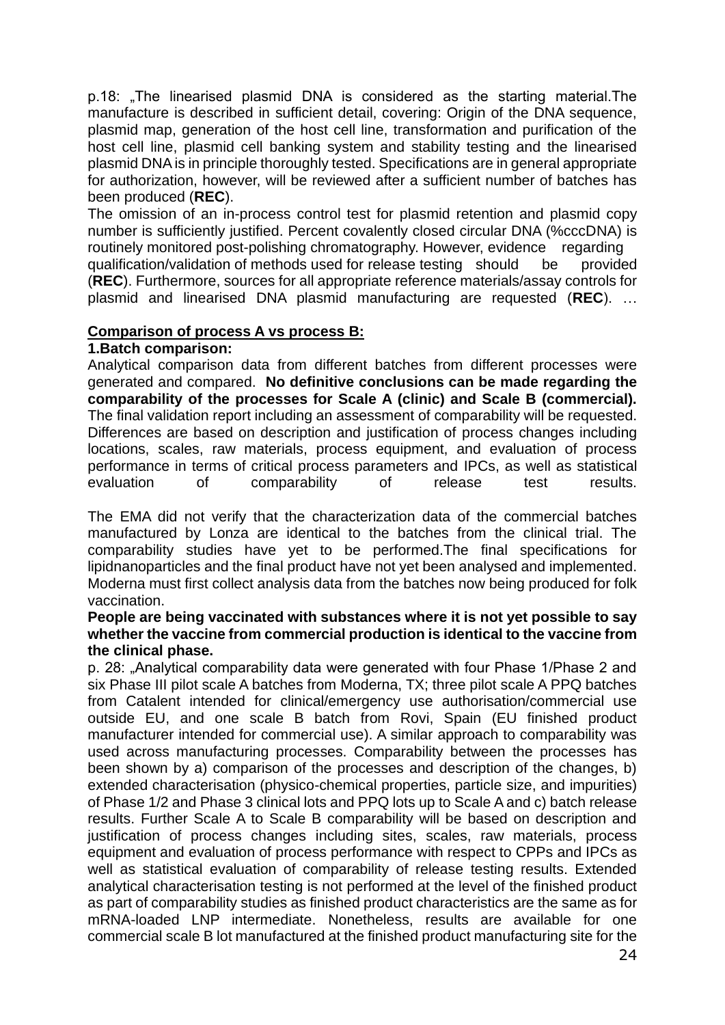p.18: "The linearised plasmid DNA is considered as the starting material. The manufacture is described in sufficient detail, covering: Origin of the DNA sequence, plasmid map, generation of the host cell line, transformation and purification of the host cell line, plasmid cell banking system and stability testing and the linearised plasmid DNA is in principle thoroughly tested. Specifications are in general appropriate for authorization, however, will be reviewed after a sufficient number of batches has been produced (**REC**).

The omission of an in-process control test for plasmid retention and plasmid copy number is sufficiently justified. Percent covalently closed circular DNA (%cccDNA) is routinely monitored post-polishing chromatography. However, evidence regarding qualification/validation of methods used for release testing should be provided (**REC**). Furthermore, sources for all appropriate reference materials/assay controls for plasmid and linearised DNA plasmid manufacturing are requested (**REC**). …

#### **Comparison of process A vs process B:**

#### **1.Batch comparison:**

Analytical comparison data from different batches from different processes were generated and compared. **No definitive conclusions can be made regarding the comparability of the processes for Scale A (clinic) and Scale B (commercial).** The final validation report including an assessment of comparability will be requested. Differences are based on description and justification of process changes including locations, scales, raw materials, process equipment, and evaluation of process performance in terms of critical process parameters and IPCs, as well as statistical evaluation of comparability of release test results.

The EMA did not verify that the characterization data of the commercial batches manufactured by Lonza are identical to the batches from the clinical trial. The comparability studies have yet to be performed.The final specifications for lipidnanoparticles and the final product have not yet been analysed and implemented. Moderna must first collect analysis data from the batches now being produced for folk vaccination.

#### **People are being vaccinated with substances where it is not yet possible to say whether the vaccine from commercial production is identical to the vaccine from the clinical phase.**

p. 28: "Analytical comparability data were generated with four Phase 1/Phase 2 and six Phase III pilot scale A batches from Moderna, TX; three pilot scale A PPQ batches from Catalent intended for clinical/emergency use authorisation/commercial use outside EU, and one scale B batch from Rovi, Spain (EU finished product manufacturer intended for commercial use). A similar approach to comparability was used across manufacturing processes. Comparability between the processes has been shown by a) comparison of the processes and description of the changes, b) extended characterisation (physico-chemical properties, particle size, and impurities) of Phase 1/2 and Phase 3 clinical lots and PPQ lots up to Scale A and c) batch release results. Further Scale A to Scale B comparability will be based on description and justification of process changes including sites, scales, raw materials, process equipment and evaluation of process performance with respect to CPPs and IPCs as well as statistical evaluation of comparability of release testing results. Extended analytical characterisation testing is not performed at the level of the finished product as part of comparability studies as finished product characteristics are the same as for mRNA-loaded LNP intermediate. Nonetheless, results are available for one commercial scale B lot manufactured at the finished product manufacturing site for the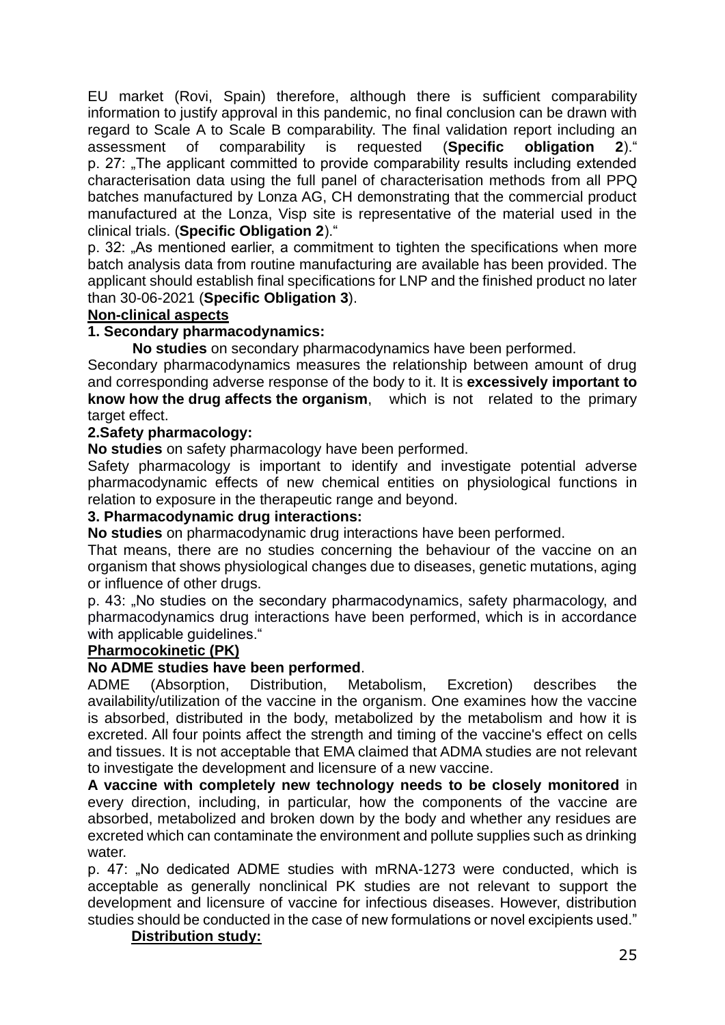EU market (Rovi, Spain) therefore, although there is sufficient comparability information to justify approval in this pandemic, no final conclusion can be drawn with regard to Scale A to Scale B comparability. The final validation report including an assessment of comparability is requested (**Specific obligation 2**)." p. 27: "The applicant committed to provide comparability results including extended characterisation data using the full panel of characterisation methods from all PPQ batches manufactured by Lonza AG, CH demonstrating that the commercial product manufactured at the Lonza, Visp site is representative of the material used in the clinical trials. (**Specific Obligation 2**)."

p. 32: "As mentioned earlier, a commitment to tighten the specifications when more batch analysis data from routine manufacturing are available has been provided. The applicant should establish final specifications for LNP and the finished product no later than 30-06-2021 (**Specific Obligation 3**).

### **Non-clinical aspects**

### **1. Secondary pharmacodynamics:**

 **No studies** on secondary pharmacodynamics have been performed.

Secondary pharmacodynamics measures the relationship between amount of drug and corresponding adverse response of the body to it. It is **excessively important to know how the drug affects the organism**, which is not related to the primary target effect.

#### **2.Safety pharmacology:**

**No studies** on safety pharmacology have been performed.

Safety pharmacology is important to identify and investigate potential adverse pharmacodynamic effects of new chemical entities on physiological functions in relation to exposure in the therapeutic range and beyond.

#### **3. Pharmacodynamic drug interactions:**

**No studies** on pharmacodynamic drug interactions have been performed.

That means, there are no studies concerning the behaviour of the vaccine on an organism that shows physiological changes due to diseases, genetic mutations, aging or influence of other drugs.

p. 43: "No studies on the secondary pharmacodynamics, safety pharmacology, and pharmacodynamics drug interactions have been performed, which is in accordance with applicable guidelines."

#### **Pharmocokinetic (PK)**

#### **No ADME studies have been performed**.

ADME (Absorption, Distribution, Metabolism, Excretion) describes the availability/utilization of the vaccine in the organism. One examines how the vaccine is absorbed, distributed in the body, metabolized by the metabolism and how it is excreted. All four points affect the strength and timing of the vaccine's effect on cells and tissues. It is not acceptable that EMA claimed that ADMA studies are not relevant to investigate the development and licensure of a new vaccine.

**A vaccine with completely new technology needs to be closely monitored** in every direction, including, in particular, how the components of the vaccine are absorbed, metabolized and broken down by the body and whether any residues are excreted which can contaminate the environment and pollute supplies such as drinking water.

p. 47: "No dedicated ADME studies with mRNA-1273 were conducted, which is acceptable as generally nonclinical PK studies are not relevant to support the development and licensure of vaccine for infectious diseases. However, distribution studies should be conducted in the case of new formulations or novel excipients used."

## **Distribution study:**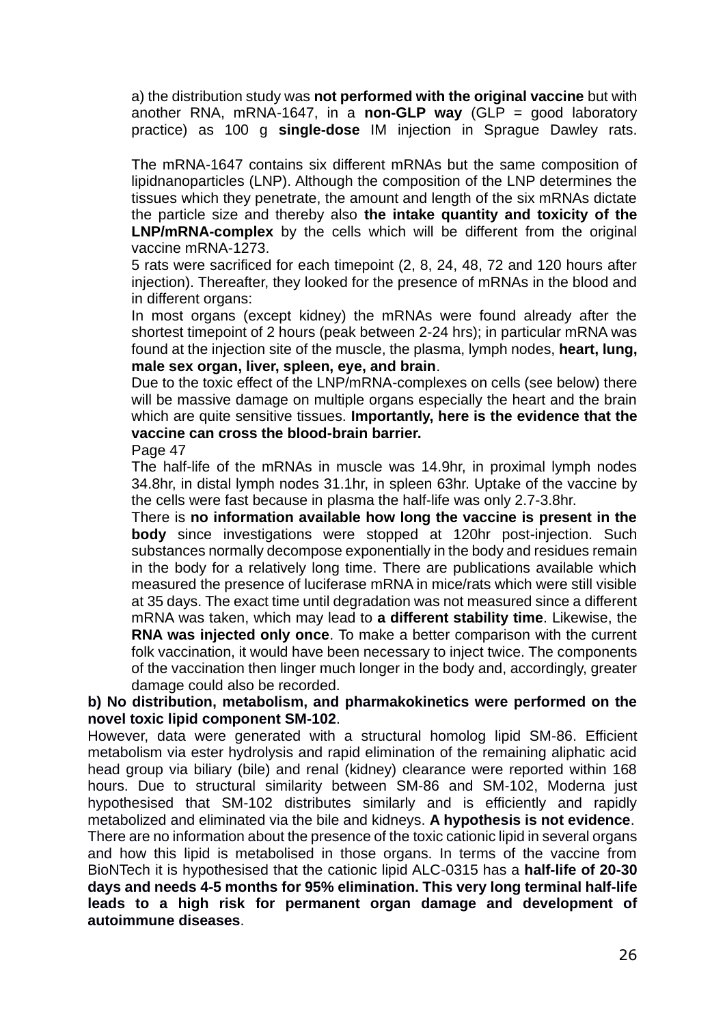a) the distribution study was **not performed with the original vaccine** but with another RNA, mRNA-1647, in a **non-GLP way** (GLP = good laboratory practice) as 100 g **single-dose** IM injection in Sprague Dawley rats.

The mRNA-1647 contains six different mRNAs but the same composition of lipidnanoparticles (LNP). Although the composition of the LNP determines the tissues which they penetrate, the amount and length of the six mRNAs dictate the particle size and thereby also **the intake quantity and toxicity of the LNP/mRNA-complex** by the cells which will be different from the original vaccine mRNA-1273.

5 rats were sacrificed for each timepoint (2, 8, 24, 48, 72 and 120 hours after injection). Thereafter, they looked for the presence of mRNAs in the blood and in different organs:

In most organs (except kidney) the mRNAs were found already after the shortest timepoint of 2 hours (peak between 2-24 hrs); in particular mRNA was found at the injection site of the muscle, the plasma, lymph nodes, **heart, lung, male sex organ, liver, spleen, eye, and brain**.

Due to the toxic effect of the LNP/mRNA-complexes on cells (see below) there will be massive damage on multiple organs especially the heart and the brain which are quite sensitive tissues. **Importantly, here is the evidence that the vaccine can cross the blood-brain barrier.**

Page 47

The half-life of the mRNAs in muscle was 14.9hr, in proximal lymph nodes 34.8hr, in distal lymph nodes 31.1hr, in spleen 63hr. Uptake of the vaccine by the cells were fast because in plasma the half-life was only 2.7-3.8hr.

There is **no information available how long the vaccine is present in the body** since investigations were stopped at 120hr post-injection. Such substances normally decompose exponentially in the body and residues remain in the body for a relatively long time. There are publications available which measured the presence of luciferase mRNA in mice/rats which were still visible at 35 days. The exact time until degradation was not measured since a different mRNA was taken, which may lead to **a different stability time**. Likewise, the **RNA was injected only once**. To make a better comparison with the current folk vaccination, it would have been necessary to inject twice. The components of the vaccination then linger much longer in the body and, accordingly, greater damage could also be recorded.

#### **b) No distribution, metabolism, and pharmakokinetics were performed on the novel toxic lipid component SM-102**.

However, data were generated with a structural homolog lipid SM-86. Efficient metabolism via ester hydrolysis and rapid elimination of the remaining aliphatic acid head group via biliary (bile) and renal (kidney) clearance were reported within 168 hours. Due to structural similarity between SM-86 and SM-102, Moderna just hypothesised that SM-102 distributes similarly and is efficiently and rapidly metabolized and eliminated via the bile and kidneys. **A hypothesis is not evidence**.

There are no information about the presence of the toxic cationic lipid in several organs and how this lipid is metabolised in those organs. In terms of the vaccine from BioNTech it is hypothesised that the cationic lipid ALC-0315 has a **half-life of 20-30 days and needs 4-5 months for 95% elimination. This very long terminal half-life leads to a high risk for permanent organ damage and development of autoimmune diseases**.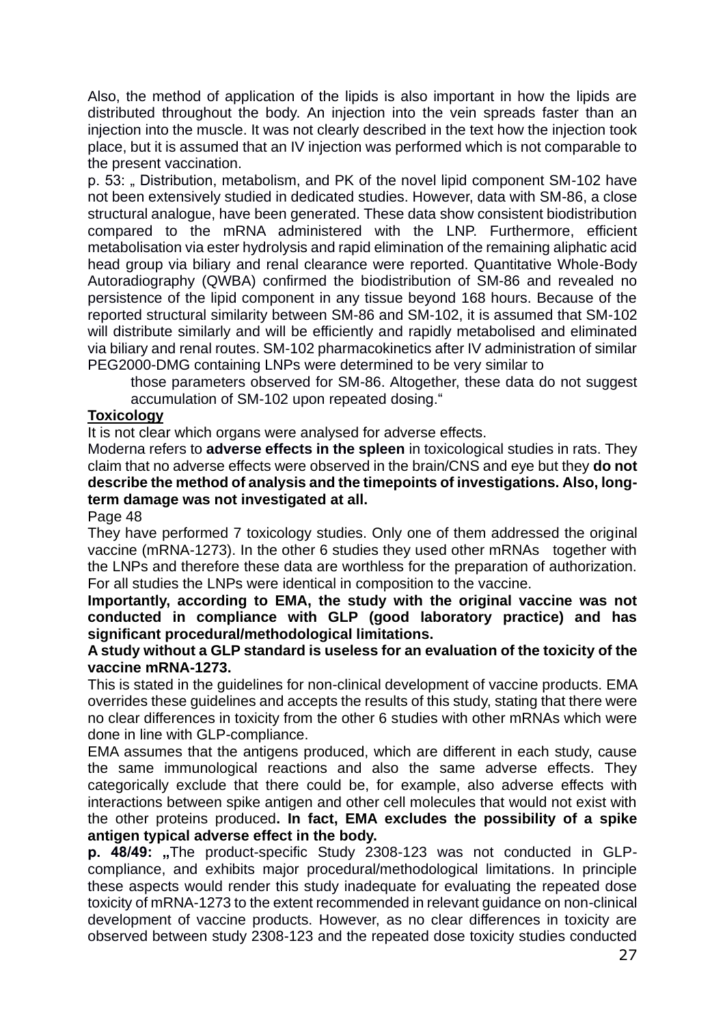Also, the method of application of the lipids is also important in how the lipids are distributed throughout the body. An injection into the vein spreads faster than an injection into the muscle. It was not clearly described in the text how the injection took place, but it is assumed that an IV injection was performed which is not comparable to the present vaccination.

p. 53: " Distribution, metabolism, and PK of the novel lipid component SM-102 have not been extensively studied in dedicated studies. However, data with SM-86, a close structural analogue, have been generated. These data show consistent biodistribution compared to the mRNA administered with the LNP. Furthermore, efficient metabolisation via ester hydrolysis and rapid elimination of the remaining aliphatic acid head group via biliary and renal clearance were reported. Quantitative Whole-Body Autoradiography (QWBA) confirmed the biodistribution of SM-86 and revealed no persistence of the lipid component in any tissue beyond 168 hours. Because of the reported structural similarity between SM-86 and SM-102, it is assumed that SM-102 will distribute similarly and will be efficiently and rapidly metabolised and eliminated via biliary and renal routes. SM-102 pharmacokinetics after IV administration of similar PEG2000-DMG containing LNPs were determined to be very similar to

those parameters observed for SM-86. Altogether, these data do not suggest accumulation of SM-102 upon repeated dosing."

### **Toxicology**

It is not clear which organs were analysed for adverse effects.

Moderna refers to **adverse effects in the spleen** in toxicological studies in rats. They claim that no adverse effects were observed in the brain/CNS and eye but they **do not describe the method of analysis and the timepoints of investigations. Also, longterm damage was not investigated at all.**

Page 48

They have performed 7 toxicology studies. Only one of them addressed the original vaccine (mRNA-1273). In the other 6 studies they used other mRNAs together with the LNPs and therefore these data are worthless for the preparation of authorization. For all studies the LNPs were identical in composition to the vaccine.

**Importantly, according to EMA, the study with the original vaccine was not conducted in compliance with GLP (good laboratory practice) and has significant procedural/methodological limitations.**

#### **A study without a GLP standard is useless for an evaluation of the toxicity of the vaccine mRNA-1273.**

This is stated in the guidelines for non-clinical development of vaccine products. EMA overrides these guidelines and accepts the results of this study, stating that there were no clear differences in toxicity from the other 6 studies with other mRNAs which were done in line with GLP-compliance.

EMA assumes that the antigens produced, which are different in each study, cause the same immunological reactions and also the same adverse effects. They categorically exclude that there could be, for example, also adverse effects with interactions between spike antigen and other cell molecules that would not exist with the other proteins produced**. In fact, EMA excludes the possibility of a spike antigen typical adverse effect in the body.**

**p. 48/49:** "The product-specific Study 2308-123 was not conducted in GLPcompliance, and exhibits major procedural/methodological limitations. In principle these aspects would render this study inadequate for evaluating the repeated dose toxicity of mRNA-1273 to the extent recommended in relevant guidance on non-clinical development of vaccine products. However, as no clear differences in toxicity are observed between study 2308-123 and the repeated dose toxicity studies conducted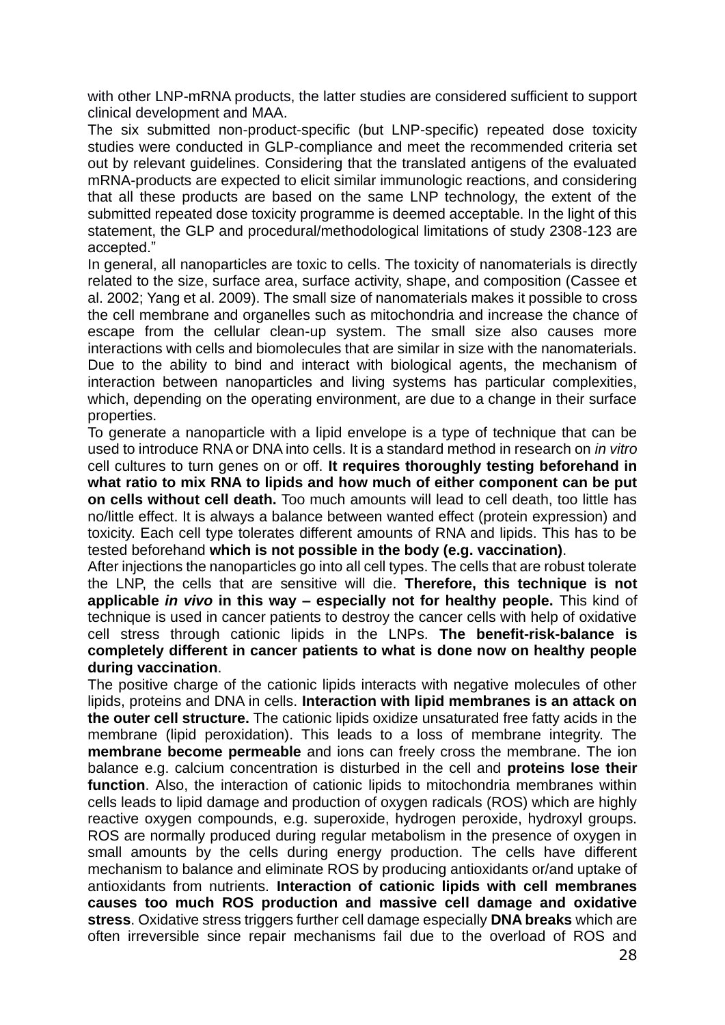with other LNP-mRNA products, the latter studies are considered sufficient to support clinical development and MAA.

The six submitted non-product-specific (but LNP-specific) repeated dose toxicity studies were conducted in GLP-compliance and meet the recommended criteria set out by relevant guidelines. Considering that the translated antigens of the evaluated mRNA-products are expected to elicit similar immunologic reactions, and considering that all these products are based on the same LNP technology, the extent of the submitted repeated dose toxicity programme is deemed acceptable. In the light of this statement, the GLP and procedural/methodological limitations of study 2308-123 are accepted."

In general, all nanoparticles are toxic to cells. The toxicity of nanomaterials is directly related to the size, surface area, surface activity, shape, and composition (Cassee et al. 2002; Yang et al. 2009). The small size of nanomaterials makes it possible to cross the cell membrane and organelles such as mitochondria and increase the chance of escape from the cellular clean-up system. The small size also causes more interactions with cells and biomolecules that are similar in size with the nanomaterials. Due to the ability to bind and interact with biological agents, the mechanism of interaction between nanoparticles and living systems has particular complexities, which, depending on the operating environment, are due to a change in their surface properties.

To generate a nanoparticle with a lipid envelope is a type of technique that can be used to introduce RNA or DNA into cells. It is a standard method in research on *in vitro* cell cultures to turn genes on or off. **It requires thoroughly testing beforehand in what ratio to mix RNA to lipids and how much of either component can be put on cells without cell death.** Too much amounts will lead to cell death, too little has no/little effect. It is always a balance between wanted effect (protein expression) and toxicity. Each cell type tolerates different amounts of RNA and lipids. This has to be tested beforehand **which is not possible in the body (e.g. vaccination)**.

After injections the nanoparticles go into all cell types. The cells that are robust tolerate the LNP, the cells that are sensitive will die. **Therefore, this technique is not applicable** *in vivo* **in this way – especially not for healthy people.** This kind of technique is used in cancer patients to destroy the cancer cells with help of oxidative cell stress through cationic lipids in the LNPs. **The benefit-risk-balance is completely different in cancer patients to what is done now on healthy people during vaccination**.

The positive charge of the cationic lipids interacts with negative molecules of other lipids, proteins and DNA in cells. **Interaction with lipid membranes is an attack on the outer cell structure.** The cationic lipids oxidize unsaturated free fatty acids in the membrane (lipid peroxidation). This leads to a loss of membrane integrity. The **membrane become permeable** and ions can freely cross the membrane. The ion balance e.g. calcium concentration is disturbed in the cell and **proteins lose their function**. Also, the interaction of cationic lipids to mitochondria membranes within cells leads to lipid damage and production of oxygen radicals (ROS) which are highly reactive oxygen compounds, e.g. superoxide, hydrogen peroxide, hydroxyl groups. ROS are normally produced during regular metabolism in the presence of oxygen in small amounts by the cells during energy production. The cells have different mechanism to balance and eliminate ROS by producing antioxidants or/and uptake of antioxidants from nutrients. **Interaction of cationic lipids with cell membranes causes too much ROS production and massive cell damage and oxidative stress**. Oxidative stress triggers further cell damage especially **DNA breaks** which are often irreversible since repair mechanisms fail due to the overload of ROS and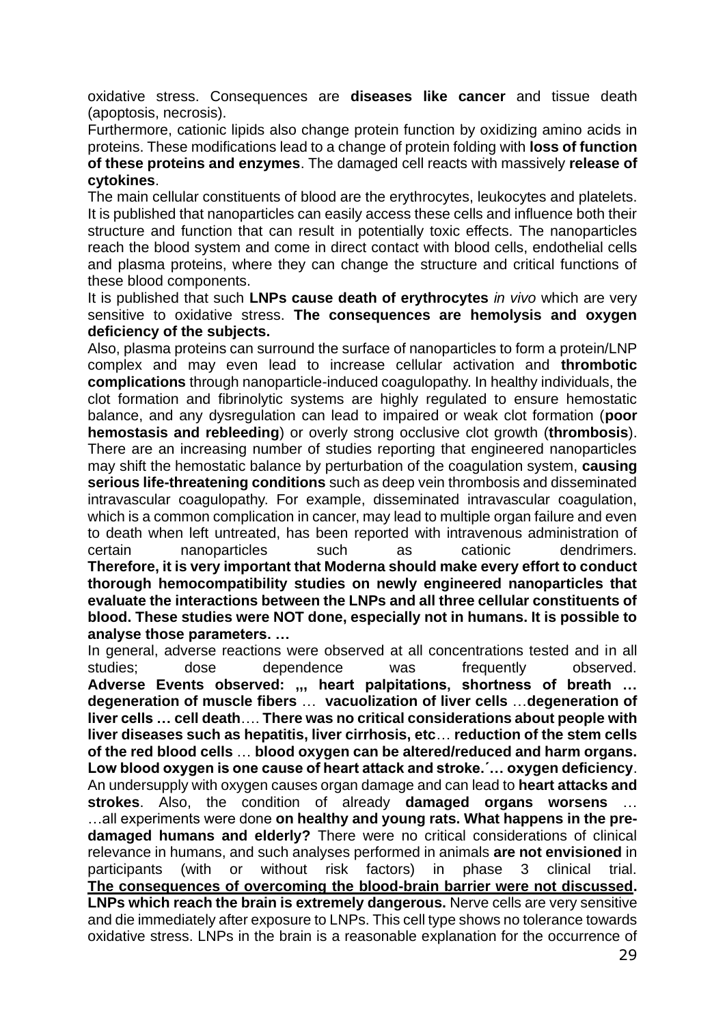oxidative stress. Consequences are **diseases like cancer** and tissue death (apoptosis, necrosis).

Furthermore, cationic lipids also change protein function by oxidizing amino acids in proteins. These modifications lead to a change of protein folding with **loss of function of these proteins and enzymes**. The damaged cell reacts with massively **release of cytokines**.

The main cellular constituents of blood are the erythrocytes, leukocytes and platelets. It is published that nanoparticles can easily access these cells and influence both their structure and function that can result in potentially toxic effects. The nanoparticles reach the blood system and come in direct contact with blood cells, endothelial cells and plasma proteins, where they can change the structure and critical functions of these blood components.

It is published that such **LNPs cause death of erythrocytes** *in vivo* which are very sensitive to oxidative stress. **The consequences are hemolysis and oxygen deficiency of the subjects.**

Also, plasma proteins can surround the surface of nanoparticles to form a protein/LNP complex and may even lead to increase cellular activation and **thrombotic complications** through nanoparticle-induced coagulopathy. In healthy individuals, the clot formation and fibrinolytic systems are highly regulated to ensure hemostatic balance, and any dysregulation can lead to impaired or weak clot formation (**poor hemostasis and rebleeding**) or overly strong occlusive clot growth (**thrombosis**). There are an increasing number of studies reporting that engineered nanoparticles may shift the hemostatic balance by perturbation of the coagulation system, **causing serious life-threatening conditions** such as deep vein thrombosis and disseminated intravascular coagulopathy. For example, disseminated intravascular coagulation, which is a common complication in cancer, may lead to multiple organ failure and even to death when left untreated, has been reported with intravenous administration of certain nanoparticles such as cationic dendrimers. **Therefore, it is very important that Moderna should make every effort to conduct thorough hemocompatibility studies on newly engineered nanoparticles that evaluate the interactions between the LNPs and all three cellular constituents of blood. These studies were NOT done, especially not in humans. It is possible to analyse those parameters. …**

In general, adverse reactions were observed at all concentrations tested and in all studies; dose dependence was frequently observed. **Adverse Events observed: ,,, heart palpitations, shortness of breath … degeneration of muscle fibers** … **vacuolization of liver cells** …**degeneration of liver cells … cell death**…. **There was no critical considerations about people with liver diseases such as hepatitis, liver cirrhosis, etc**… **reduction of the stem cells of the red blood cells** … **blood oxygen can be altered/reduced and harm organs. Low blood oxygen is one cause of heart attack and stroke.´… oxygen deficiency**. An undersupply with oxygen causes organ damage and can lead to **heart attacks and strokes**. Also, the condition of already **damaged organs worsens** … …all experiments were done **on healthy and young rats. What happens in the predamaged humans and elderly?** There were no critical considerations of clinical relevance in humans, and such analyses performed in animals **are not envisioned** in participants (with or without risk factors) in phase 3 clinical trial. **The consequences of overcoming the blood-brain barrier were not discussed. LNPs which reach the brain is extremely dangerous.** Nerve cells are very sensitive and die immediately after exposure to LNPs. This cell type shows no tolerance towards oxidative stress. LNPs in the brain is a reasonable explanation for the occurrence of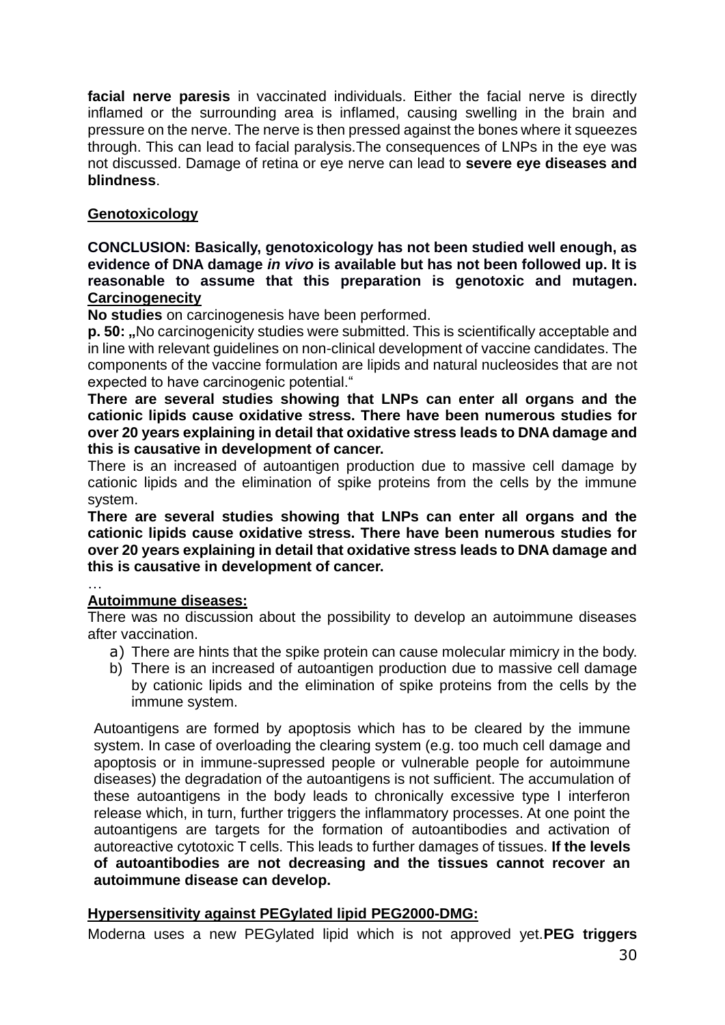**facial nerve paresis** in vaccinated individuals. Either the facial nerve is directly inflamed or the surrounding area is inflamed, causing swelling in the brain and pressure on the nerve. The nerve is then pressed against the bones where it squeezes through. This can lead to facial paralysis.The consequences of LNPs in the eye was not discussed. Damage of retina or eye nerve can lead to **severe eye diseases and blindness**.

## **Genotoxicology**

**CONCLUSION: Basically, genotoxicology has not been studied well enough, as evidence of DNA damage** *in vivo* **is available but has not been followed up. It is reasonable to assume that this preparation is genotoxic and mutagen. Carcinogenecity**

**No studies** on carcinogenesis have been performed.

**p. 50:** ..No carcinogenicity studies were submitted. This is scientifically acceptable and in line with relevant guidelines on non-clinical development of vaccine candidates. The components of the vaccine formulation are lipids and natural nucleosides that are not expected to have carcinogenic potential."

**There are several studies showing that LNPs can enter all organs and the cationic lipids cause oxidative stress. There have been numerous studies for over 20 years explaining in detail that oxidative stress leads to DNA damage and this is causative in development of cancer.**

There is an increased of autoantigen production due to massive cell damage by cationic lipids and the elimination of spike proteins from the cells by the immune system.

**There are several studies showing that LNPs can enter all organs and the cationic lipids cause oxidative stress. There have been numerous studies for over 20 years explaining in detail that oxidative stress leads to DNA damage and this is causative in development of cancer.**

# …

**Autoimmune diseases:** There was no discussion about the possibility to develop an autoimmune diseases after vaccination.

- a) There are hints that the spike protein can cause molecular mimicry in the body.
- b) There is an increased of autoantigen production due to massive cell damage by cationic lipids and the elimination of spike proteins from the cells by the immune system.

Autoantigens are formed by apoptosis which has to be cleared by the immune system. In case of overloading the clearing system (e.g. too much cell damage and apoptosis or in immune-supressed people or vulnerable people for autoimmune diseases) the degradation of the autoantigens is not sufficient. The accumulation of these autoantigens in the body leads to chronically excessive type I interferon release which, in turn, further triggers the inflammatory processes. At one point the autoantigens are targets for the formation of autoantibodies and activation of autoreactive cytotoxic T cells. This leads to further damages of tissues. **If the levels of autoantibodies are not decreasing and the tissues cannot recover an autoimmune disease can develop.**

#### **Hypersensitivity against PEGylated lipid PEG2000-DMG:**

Moderna uses a new PEGylated lipid which is not approved yet.**PEG triggers**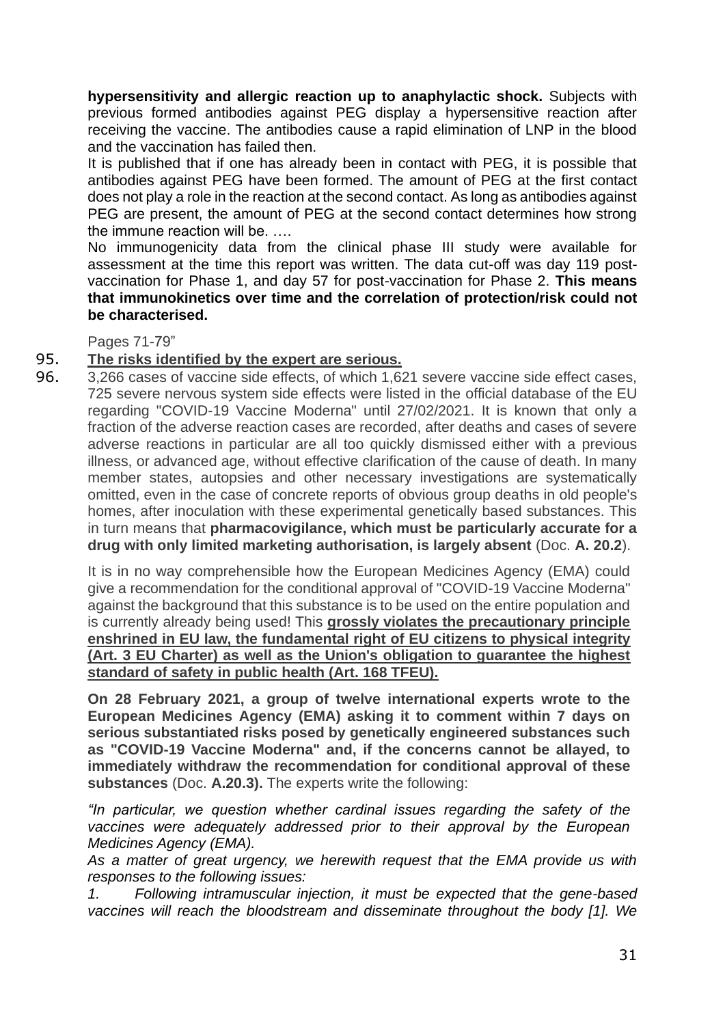**hypersensitivity and allergic reaction up to anaphylactic shock.** Subjects with previous formed antibodies against PEG display a hypersensitive reaction after receiving the vaccine. The antibodies cause a rapid elimination of LNP in the blood and the vaccination has failed then.

It is published that if one has already been in contact with PEG, it is possible that antibodies against PEG have been formed. The amount of PEG at the first contact does not play a role in the reaction at the second contact. As long as antibodies against PEG are present, the amount of PEG at the second contact determines how strong the immune reaction will be. ….

No immunogenicity data from the clinical phase III study were available for assessment at the time this report was written. The data cut-off was day 119 postvaccination for Phase 1, and day 57 for post-vaccination for Phase 2. **This means that immunokinetics over time and the correlation of protection/risk could not be characterised.**

Pages 71-79"

### 95. **The risks identified by the expert are serious.**

96. 3,266 cases of vaccine side effects, of which 1,621 severe vaccine side effect cases, 725 severe nervous system side effects were listed in the official database of the EU regarding "COVID-19 Vaccine Moderna" until 27/02/2021. It is known that only a fraction of the adverse reaction cases are recorded, after deaths and cases of severe adverse reactions in particular are all too quickly dismissed either with a previous illness, or advanced age, without effective clarification of the cause of death. In many member states, autopsies and other necessary investigations are systematically omitted, even in the case of concrete reports of obvious group deaths in old people's homes, after inoculation with these experimental genetically based substances. This in turn means that **pharmacovigilance, which must be particularly accurate for a drug with only limited marketing authorisation, is largely absent** (Doc. **A. 20.2**).

It is in no way comprehensible how the European Medicines Agency (EMA) could give a recommendation for the conditional approval of "COVID-19 Vaccine Moderna" against the background that this substance is to be used on the entire population and is currently already being used! This **grossly violates the precautionary principle enshrined in EU law, the fundamental right of EU citizens to physical integrity (Art. 3 EU Charter) as well as the Union's obligation to guarantee the highest standard of safety in public health (Art. 168 TFEU).**

**On 28 February 2021, a group of twelve international experts wrote to the European Medicines Agency (EMA) asking it to comment within 7 days on serious substantiated risks posed by genetically engineered substances such as "COVID-19 Vaccine Moderna" and, if the concerns cannot be allayed, to immediately withdraw the recommendation for conditional approval of these substances** (Doc. **A.20.3).** The experts write the following:

*"In particular, we question whether cardinal issues regarding the safety of the vaccines were adequately addressed prior to their approval by the European Medicines Agency (EMA).*

*As a matter of great urgency, we herewith request that the EMA provide us with responses to the following issues:*

*1. Following intramuscular injection, it must be expected that the gene-based vaccines will reach the bloodstream and disseminate throughout the body [1]. We*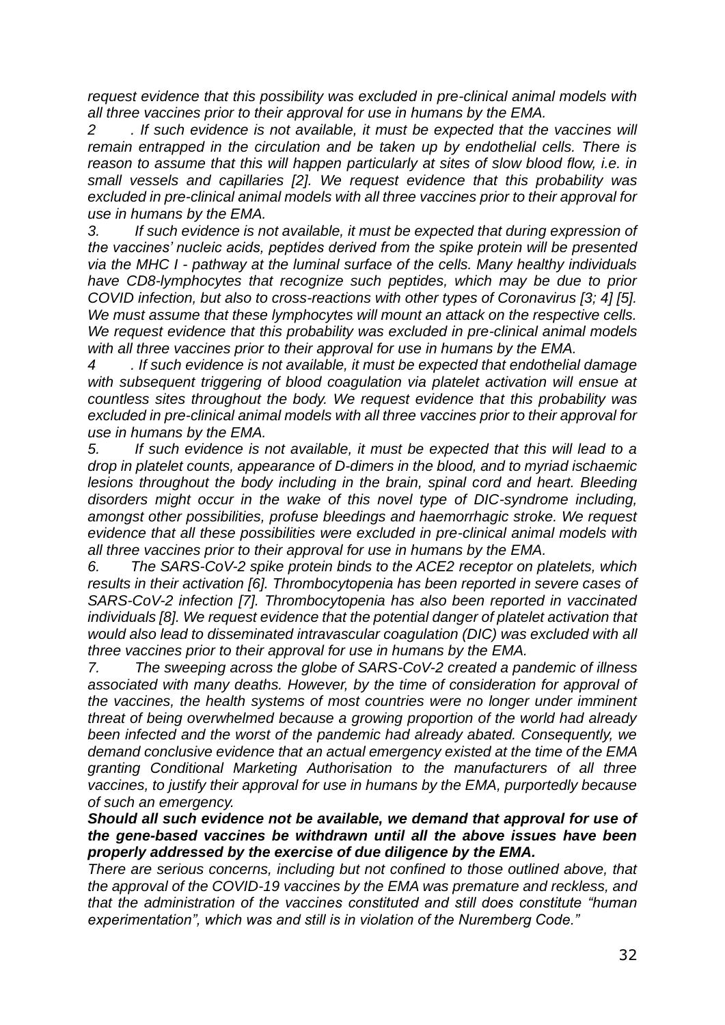*request evidence that this possibility was excluded in pre-clinical animal models with all three vaccines prior to their approval for use in humans by the EMA.*

*2 . If such evidence is not available, it must be expected that the vaccines will remain entrapped in the circulation and be taken up by endothelial cells. There is reason to assume that this will happen particularly at sites of slow blood flow, i.e. in small vessels and capillaries [2]. We request evidence that this probability was excluded in pre-clinical animal models with all three vaccines prior to their approval for use in humans by the EMA.*

*3. If such evidence is not available, it must be expected that during expression of the vaccines' nucleic acids, peptides derived from the spike protein will be presented via the MHC I - pathway at the luminal surface of the cells. Many healthy individuals have CD8-lymphocytes that recognize such peptides, which may be due to prior COVID infection, but also to cross-reactions with other types of Coronavirus [3; 4] [5]. We must assume that these lymphocytes will mount an attack on the respective cells. We request evidence that this probability was excluded in pre-clinical animal models with all three vaccines prior to their approval for use in humans by the EMA.*

*4 . If such evidence is not available, it must be expected that endothelial damage with subsequent triggering of blood coagulation via platelet activation will ensue at countless sites throughout the body. We request evidence that this probability was excluded in pre-clinical animal models with all three vaccines prior to their approval for use in humans by the EMA.*

*5. If such evidence is not available, it must be expected that this will lead to a drop in platelet counts, appearance of D-dimers in the blood, and to myriad ischaemic lesions throughout the body including in the brain, spinal cord and heart. Bleeding disorders might occur in the wake of this novel type of DIC-syndrome including, amongst other possibilities, profuse bleedings and haemorrhagic stroke. We request evidence that all these possibilities were excluded in pre-clinical animal models with all three vaccines prior to their approval for use in humans by the EMA.*

*6. The SARS-CoV-2 spike protein binds to the ACE2 receptor on platelets, which results in their activation [6]. Thrombocytopenia has been reported in severe cases of SARS-CoV-2 infection [7]. Thrombocytopenia has also been reported in vaccinated individuals [8]. We request evidence that the potential danger of platelet activation that would also lead to disseminated intravascular coagulation (DIC) was excluded with all three vaccines prior to their approval for use in humans by the EMA.*

*7. The sweeping across the globe of SARS-CoV-2 created a pandemic of illness associated with many deaths. However, by the time of consideration for approval of the vaccines, the health systems of most countries were no longer under imminent threat of being overwhelmed because a growing proportion of the world had already been infected and the worst of the pandemic had already abated. Consequently, we demand conclusive evidence that an actual emergency existed at the time of the EMA granting Conditional Marketing Authorisation to the manufacturers of all three vaccines, to justify their approval for use in humans by the EMA, purportedly because of such an emergency.*

*Should all such evidence not be available, we demand that approval for use of the gene-based vaccines be withdrawn until all the above issues have been properly addressed by the exercise of due diligence by the EMA.*

*There are serious concerns, including but not confined to those outlined above, that the approval of the COVID-19 vaccines by the EMA was premature and reckless, and that the administration of the vaccines constituted and still does constitute "human experimentation", which was and still is in violation of the Nuremberg Code."*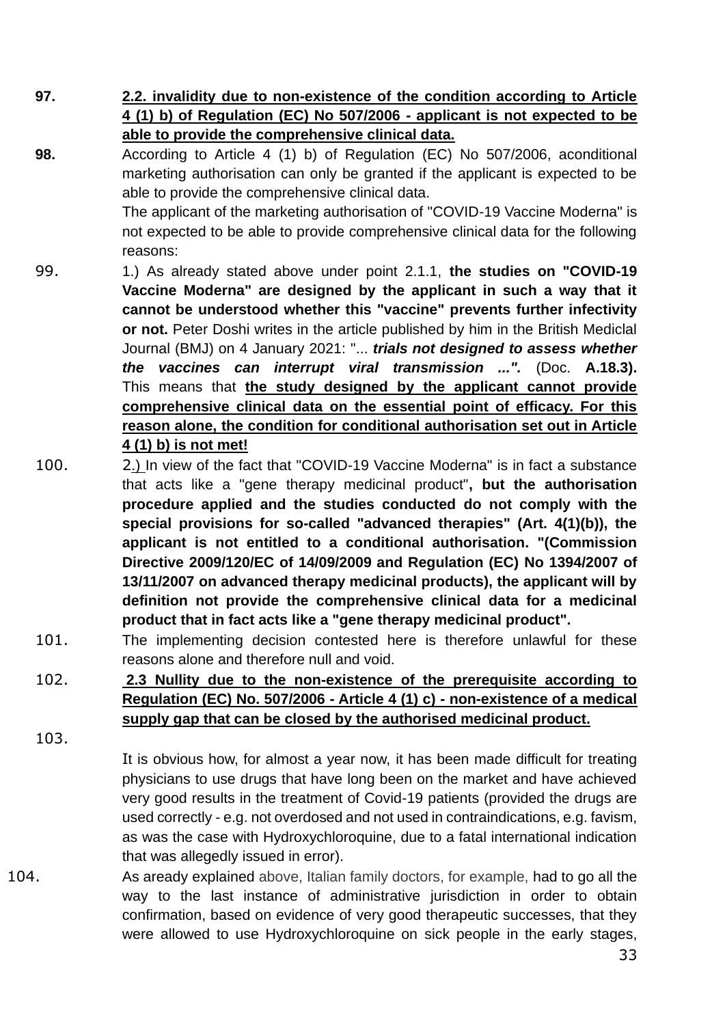**97. 2.2. invalidity due to non-existence of the condition according to Article 4 (1) b) of Regulation (EC) No 507/2006 - applicant is not expected to be able to provide the comprehensive clinical data.**

**98.** According to Article 4 (1) b) of Regulation (EC) No 507/2006, aconditional marketing authorisation can only be granted if the applicant is expected to be able to provide the comprehensive clinical data.

The applicant of the marketing authorisation of "COVID-19 Vaccine Moderna" is not expected to be able to provide comprehensive clinical data for the following reasons:

- 99. 1.) As already stated above under point 2.1.1, **the studies on "COVID-19 Vaccine Moderna" are designed by the applicant in such a way that it cannot be understood whether this "vaccine" prevents further infectivity or not.** Peter Doshi writes in the article published by him in the British Mediclal Journal (BMJ) on 4 January 2021: "... *trials not designed to assess whether the vaccines can interrupt viral transmission ...".* (Doc. **A.18.3).** This means that **the study designed by the applicant cannot provide comprehensive clinical data on the essential point of efficacy. For this reason alone, the condition for conditional authorisation set out in Article 4 (1) b) is not met!**
- 100. 2.) In view of the fact that "COVID-19 Vaccine Moderna" is in fact a substance that acts like a "gene therapy medicinal product"**, but the authorisation procedure applied and the studies conducted do not comply with the special provisions for so-called "advanced therapies" (Art. 4(1)(b)), the applicant is not entitled to a conditional authorisation. "(Commission Directive 2009/120/EC of 14/09/2009 and Regulation (EC) No 1394/2007 of 13/11/2007 on advanced therapy medicinal products), the applicant will by definition not provide the comprehensive clinical data for a medicinal product that in fact acts like a "gene therapy medicinal product".**
- 101. The implementing decision contested here is therefore unlawful for these reasons alone and therefore null and void.
- 102. **2.3 Nullity due to the non-existence of the prerequisite according to Regulation (EC) No. 507/2006 - Article 4 (1) c) - non-existence of a medical supply gap that can be closed by the authorised medicinal product.**

103.

It is obvious how, for almost a year now, it has been made difficult for treating physicians to use drugs that have long been on the market and have achieved very good results in the treatment of Covid-19 patients (provided the drugs are used correctly - e.g. not overdosed and not used in contraindications, e.g. favism, as was the case with Hydroxychloroquine, due to a fatal international indication that was allegedly issued in error).

104. As aready explained above, Italian family doctors, for example, had to go all the way to the last instance of administrative jurisdiction in order to obtain confirmation, based on evidence of very good therapeutic successes, that they were allowed to use Hydroxychloroquine on sick people in the early stages,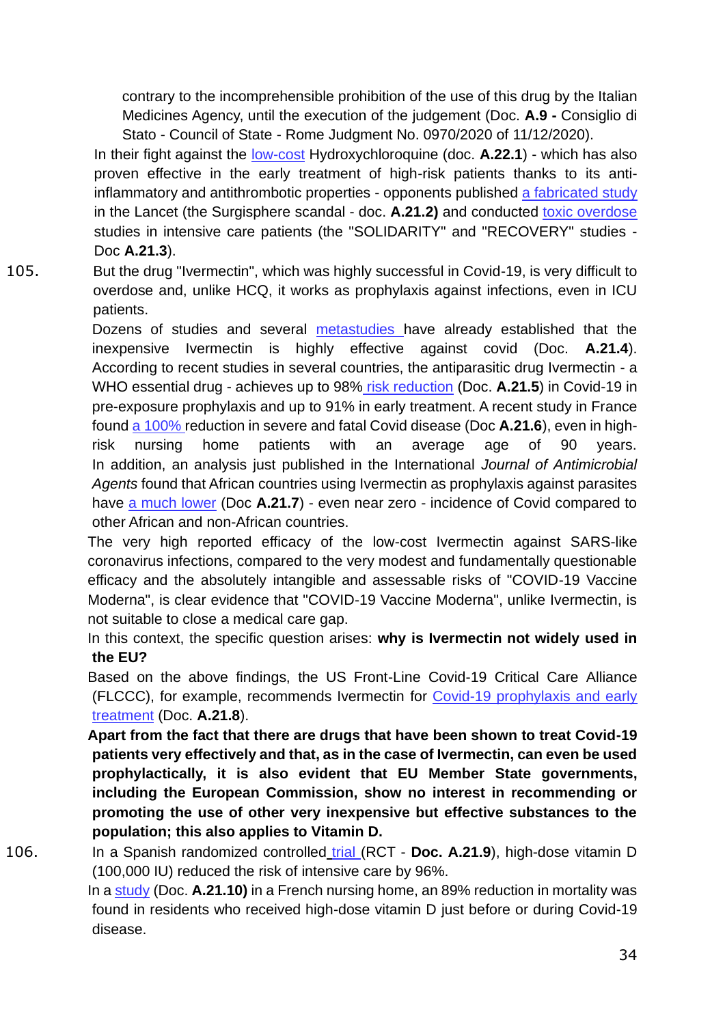contrary to the incomprehensible prohibition of the use of this drug by the Italian Medicines Agency, until the execution of the judgement (Doc. **A.9 -** Consiglio di Stato - Council of State - Rome Judgment No. 0970/2020 of 11/12/2020).

In their fight against the low-cost Hydroxychloroquine (doc. **A.22.1**) - which has also proven effective in the early treatment of high-risk patients thanks to its antiinflammatory and antithrombotic properties - opponents published a fabricated study in the Lancet (the Surgisphere scandal - doc. **A.21.2)** and conducted toxic overdose studies in intensive care patients (the "SOLIDARITY" and "RECOVERY" studies - Doc **A.21.3**).

105. But the drug "Ivermectin", which was highly successful in Covid-19, is very difficult to overdose and, unlike HCQ, it works as prophylaxis against infections, even in ICU patients.

> Dozens of studies and several metastudies have already established that the inexpensive Ivermectin is highly effective against covid (Doc. **A.21.4**). According to recent studies in several countries, the antiparasitic drug Ivermectin - a WHO essential drug - achieves up to 98% risk reduction (Doc. **A.21.5**) in Covid-19 in pre-exposure prophylaxis and up to 91% in early treatment. A recent study in France found a 100% reduction in severe and fatal Covid disease (Doc **A.21.6**), even in highrisk nursing home patients with an average age of 90 years. In addition, an analysis just published in the International *Journal of Antimicrobial Agents* found that African countries using Ivermectin as prophylaxis against parasites have a much lower (Doc **A.21.7**) - even near zero - incidence of Covid compared to other African and non-African countries.

> The very high reported efficacy of the low-cost Ivermectin against SARS-like coronavirus infections, compared to the very modest and fundamentally questionable efficacy and the absolutely intangible and assessable risks of "COVID-19 Vaccine Moderna", is clear evidence that "COVID-19 Vaccine Moderna", unlike Ivermectin, is not suitable to close a medical care gap.

> In this context, the specific question arises: **why is Ivermectin not widely used in the EU?**

> Based on the above findings, the US Front-Line Covid-19 Critical Care Alliance (FLCCC), for example, recommends Ivermectin for Covid-19 prophylaxis and early treatment (Doc. **A.21.8**).

> **Apart from the fact that there are drugs that have been shown to treat Covid-19 patients very effectively and that, as in the case of Ivermectin, can even be used prophylactically, it is also evident that EU Member State governments, including the European Commission, show no interest in recommending or promoting the use of other very inexpensive but effective substances to the population; this also applies to Vitamin D.**

106. In a Spanish randomized controlled trial (RCT - **Doc. A.21.9**), high-dose vitamin D (100,000 IU) reduced the risk of intensive care by 96%.

In a study (Doc. **A.21.10)** in a French nursing home, an 89% reduction in mortality was found in residents who received high-dose vitamin D just before or during Covid-19 disease.

34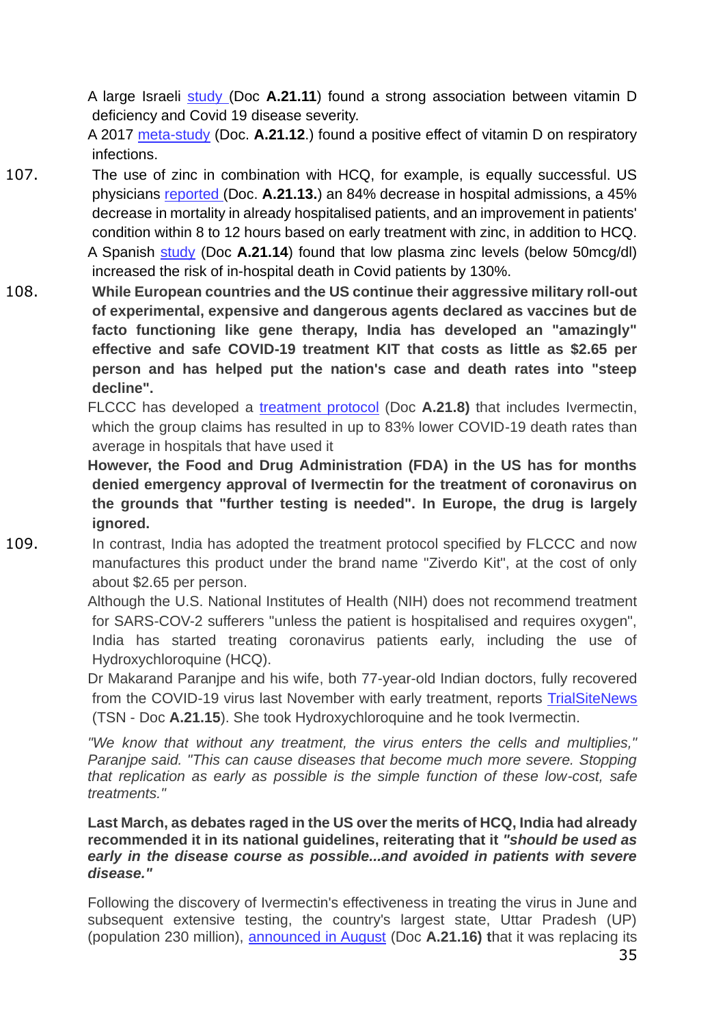A large Israeli study (Doc **A.21.11**) found a strong association between vitamin D deficiency and Covid 19 disease severity.

A 2017 meta-study (Doc. **A.21.12**.) found a positive effect of vitamin D on respiratory infections.

- 107. The use of zinc in combination with HCQ, for example, is equally successful. US physicians reported (Doc. **A.21.13.**) an 84% decrease in hospital admissions, a 45% decrease in mortality in already hospitalised patients, and an improvement in patients' condition within 8 to 12 hours based on early treatment with zinc, in addition to HCQ. A Spanish study (Doc **A.21.14**) found that low plasma zinc levels (below 50mcg/dl) increased the risk of in-hospital death in Covid patients by 130%.
- 108. **While European countries and the US continue their aggressive military roll-out of experimental, expensive and dangerous agents declared as vaccines but de facto functioning like gene therapy, India has developed an "amazingly" effective and safe COVID-19 treatment KIT that costs as little as \$2.65 per person and has helped put the nation's case and death rates into "steep decline".**

FLCCC has developed a treatment protocol (Doc **A.21.8)** that includes Ivermectin, which the group claims has resulted in up to 83% lower COVID-19 death rates than average in hospitals that have used it

**However, the Food and Drug Administration (FDA) in the US has for months denied emergency approval of Ivermectin for the treatment of coronavirus on the grounds that "further testing is needed". In Europe, the drug is largely ignored.**

109. In contrast, India has adopted the treatment protocol specified by FLCCC and now manufactures this product under the brand name "Ziverdo Kit", at the cost of only about \$2.65 per person.

> Although the U.S. National Institutes of Health (NIH) does not recommend treatment for SARS-COV-2 sufferers "unless the patient is hospitalised and requires oxygen", India has started treating coronavirus patients early, including the use of Hydroxychloroquine (HCQ).

> Dr Makarand Paranjpe and his wife, both 77-year-old Indian doctors, fully recovered from the COVID-19 virus last November with early treatment, reports TrialSiteNews (TSN - Doc **A.21.15**). She took Hydroxychloroquine and he took Ivermectin.

> *"We know that without any treatment, the virus enters the cells and multiplies," Paranjpe said. "This can cause diseases that become much more severe. Stopping that replication as early as possible is the simple function of these low-cost, safe treatments."*

> **Last March, as debates raged in the US over the merits of HCQ, India had already recommended it in its national guidelines, reiterating that it** *"should be used as early in the disease course as possible...and avoided in patients with severe disease."*

> Following the discovery of Ivermectin's effectiveness in treating the virus in June and subsequent extensive testing, the country's largest state, Uttar Pradesh (UP) (population 230 million), announced in August (Doc **A.21.16) t**hat it was replacing its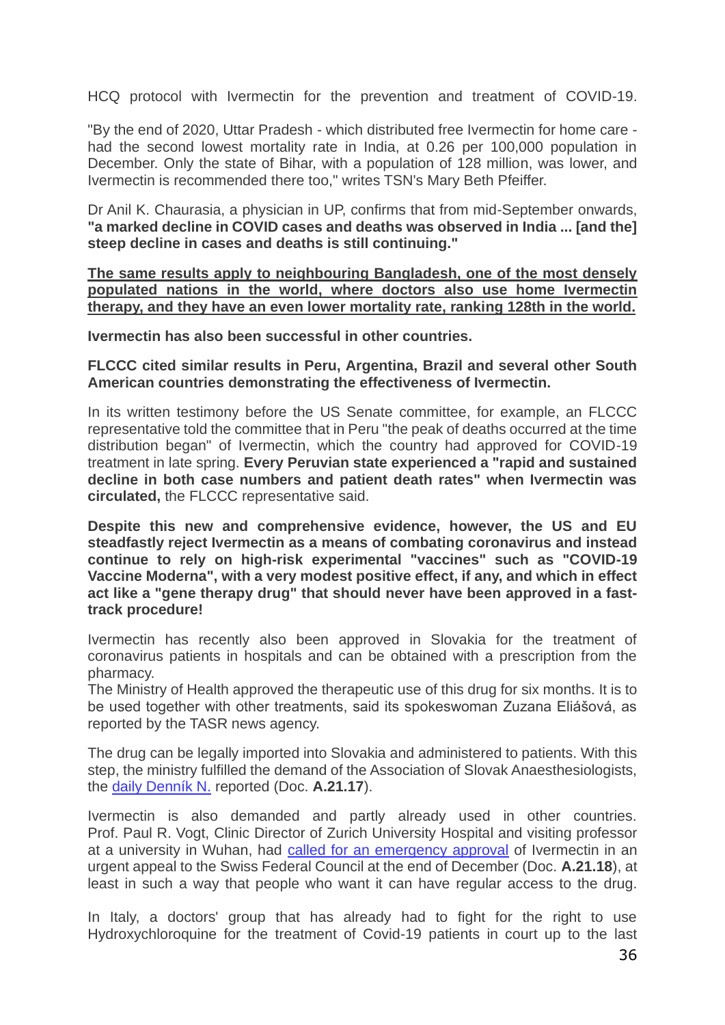HCQ protocol with Ivermectin for the prevention and treatment of COVID-19.

"By the end of 2020, Uttar Pradesh - which distributed free Ivermectin for home care had the second lowest mortality rate in India, at 0.26 per 100,000 population in December. Only the state of Bihar, with a population of 128 million, was lower, and Ivermectin is recommended there too," writes TSN's Mary Beth Pfeiffer.

Dr Anil K. Chaurasia, a physician in UP, confirms that from mid-September onwards, **"a marked decline in COVID cases and deaths was observed in India ... [and the] steep decline in cases and deaths is still continuing."**

**The same results apply to neighbouring Bangladesh, one of the most densely populated nations in the world, where doctors also use home Ivermectin therapy, and they have an even lower mortality rate, ranking 128th in the world.**

**Ivermectin has also been successful in other countries.**

**FLCCC cited similar results in Peru, Argentina, Brazil and several other South American countries demonstrating the effectiveness of Ivermectin.**

In its written testimony before the US Senate committee, for example, an FLCCC representative told the committee that in Peru "the peak of deaths occurred at the time distribution began" of Ivermectin, which the country had approved for COVID-19 treatment in late spring. **Every Peruvian state experienced a "rapid and sustained decline in both case numbers and patient death rates" when Ivermectin was circulated,** the FLCCC representative said.

**Despite this new and comprehensive evidence, however, the US and EU steadfastly reject Ivermectin as a means of combating coronavirus and instead continue to rely on high-risk experimental "vaccines" such as "COVID-19 Vaccine Moderna", with a very modest positive effect, if any, and which in effect act like a "gene therapy drug" that should never have been approved in a fasttrack procedure!**

Ivermectin has recently also been approved in Slovakia for the treatment of coronavirus patients in hospitals and can be obtained with a prescription from the pharmacy.

The Ministry of Health approved the therapeutic use of this drug for six months. It is to be used together with other treatments, said its spokeswoman Zuzana Eliášová, as reported by the TASR news agency.

The drug can be legally imported into Slovakia and administered to patients. With this step, the ministry fulfilled the demand of the Association of Slovak Anaesthesiologists, the daily Denník N. reported (Doc. **A.21.17**).

Ivermectin is also demanded and partly already used in other countries. Prof. Paul R. Vogt, Clinic Director of Zurich University Hospital and visiting professor at a university in Wuhan, had called for an emergency approval of Ivermectin in an urgent appeal to the Swiss Federal Council at the end of December (Doc. **A.21.18**), at least in such a way that people who want it can have regular access to the drug.

In Italy, a doctors' group that has already had to fight for the right to use Hydroxychloroquine for the treatment of Covid-19 patients in court up to the last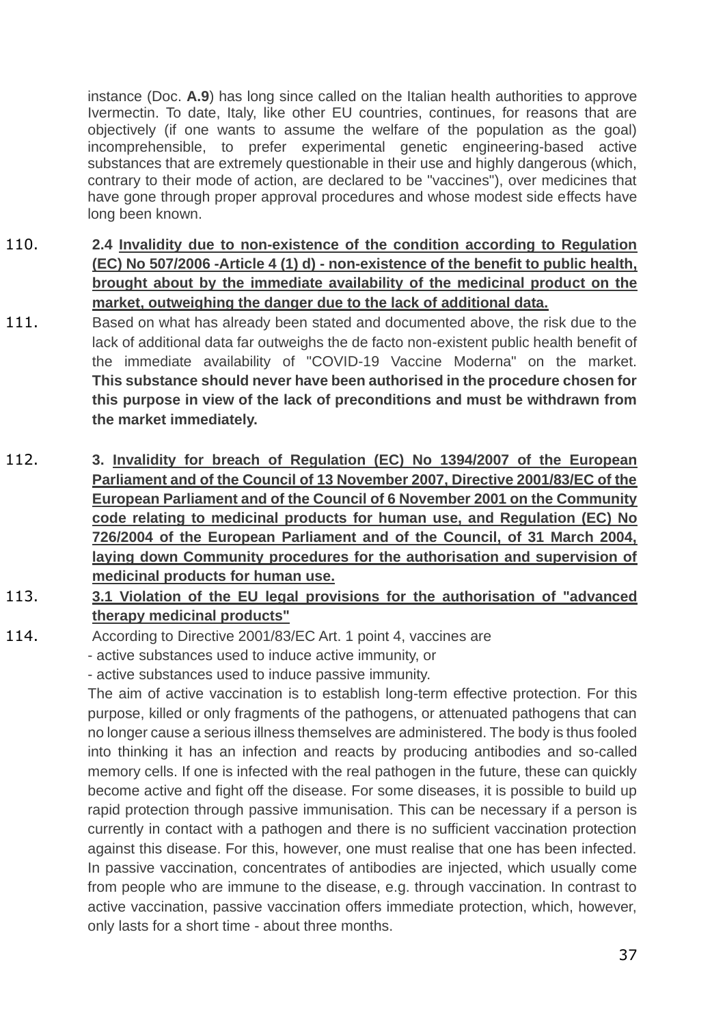instance (Doc. **A.9**) has long since called on the Italian health authorities to approve Ivermectin. To date, Italy, like other EU countries, continues, for reasons that are objectively (if one wants to assume the welfare of the population as the goal) incomprehensible, to prefer experimental genetic engineering-based active substances that are extremely questionable in their use and highly dangerous (which, contrary to their mode of action, are declared to be "vaccines"), over medicines that have gone through proper approval procedures and whose modest side effects have long been known.

- 110. **2.4 Invalidity due to non-existence of the condition according to Regulation (EC) No 507/2006 -Article 4 (1) d) - non-existence of the benefit to public health, brought about by the immediate availability of the medicinal product on the market, outweighing the danger due to the lack of additional data.**
- 111. Based on what has already been stated and documented above, the risk due to the lack of additional data far outweighs the de facto non-existent public health benefit of the immediate availability of "COVID-19 Vaccine Moderna" on the market. **This substance should never have been authorised in the procedure chosen for this purpose in view of the lack of preconditions and must be withdrawn from the market immediately.**
- 112. **3. Invalidity for breach of Regulation (EC) No 1394/2007 of the European Parliament and of the Council of 13 November 2007, Directive 2001/83/EC of the European Parliament and of the Council of 6 November 2001 on the Community code relating to medicinal products for human use, and Regulation (EC) No 726/2004 of the European Parliament and of the Council, of 31 March 2004, laying down Community procedures for the authorisation and supervision of medicinal products for human use.**
- 113. **3.1 Violation of the EU legal provisions for the authorisation of "advanced therapy medicinal products"**

114. According to Directive 2001/83/EC Art. 1 point 4, vaccines are

- active substances used to induce active immunity, or

- active substances used to induce passive immunity.

The aim of active vaccination is to establish long-term effective protection. For this purpose, killed or only fragments of the pathogens, or attenuated pathogens that can no longer cause a serious illness themselves are administered. The body is thus fooled into thinking it has an infection and reacts by producing antibodies and so-called memory cells. If one is infected with the real pathogen in the future, these can quickly become active and fight off the disease. For some diseases, it is possible to build up rapid protection through passive immunisation. This can be necessary if a person is currently in contact with a pathogen and there is no sufficient vaccination protection against this disease. For this, however, one must realise that one has been infected. In passive vaccination, concentrates of antibodies are injected, which usually come from people who are immune to the disease, e.g. through vaccination. In contrast to active vaccination, passive vaccination offers immediate protection, which, however, only lasts for a short time - about three months.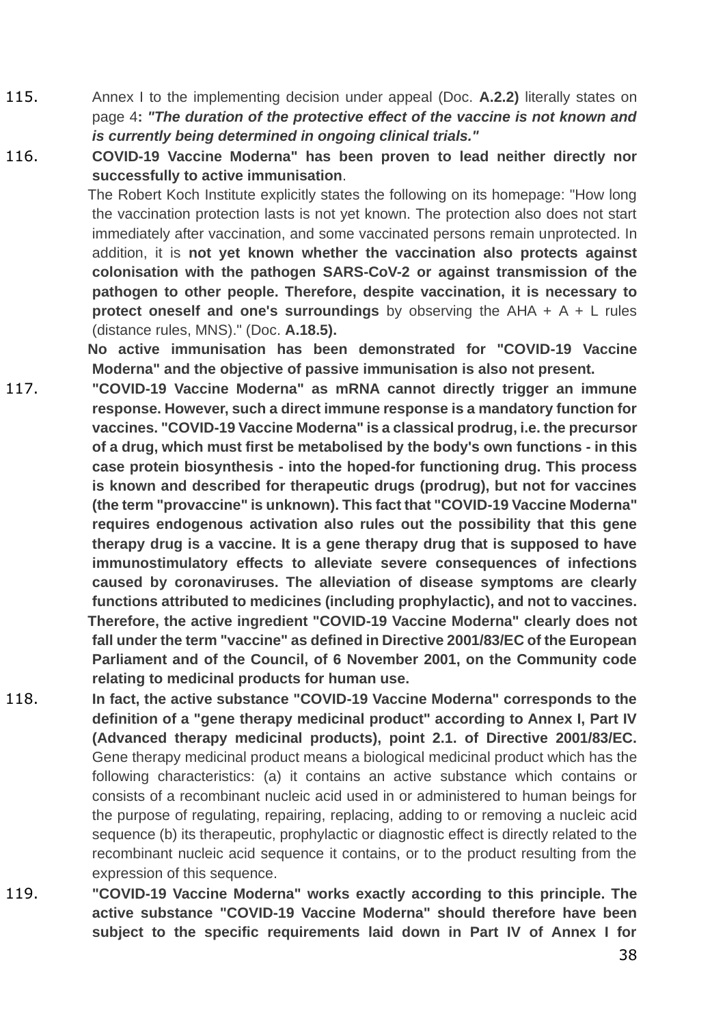115. Annex I to the implementing decision under appeal (Doc. **A.2.2)** literally states on page 4**:** *"The duration of the protective effect of the vaccine is not known and is currently being determined in ongoing clinical trials."*

116. **COVID-19 Vaccine Moderna" has been proven to lead neither directly nor successfully to active immunisation**.

> The Robert Koch Institute explicitly states the following on its homepage: "How long the vaccination protection lasts is not yet known. The protection also does not start immediately after vaccination, and some vaccinated persons remain unprotected. In addition, it is **not yet known whether the vaccination also protects against colonisation with the pathogen SARS-CoV-2 or against transmission of the pathogen to other people. Therefore, despite vaccination, it is necessary to protect oneself and one's surroundings** by observing the AHA + A + L rules (distance rules, MNS)." (Doc. **A.18.5).**

> **No active immunisation has been demonstrated for "COVID-19 Vaccine Moderna" and the objective of passive immunisation is also not present.**

- 117. **"COVID-19 Vaccine Moderna" as mRNA cannot directly trigger an immune response. However, such a direct immune response is a mandatory function for vaccines. "COVID-19 Vaccine Moderna" is a classical prodrug, i.e. the precursor of a drug, which must first be metabolised by the body's own functions - in this case protein biosynthesis - into the hoped-for functioning drug. This process is known and described for therapeutic drugs (prodrug), but not for vaccines (the term "provaccine" is unknown). This fact that "COVID-19 Vaccine Moderna" requires endogenous activation also rules out the possibility that this gene therapy drug is a vaccine. It is a gene therapy drug that is supposed to have immunostimulatory effects to alleviate severe consequences of infections caused by coronaviruses. The alleviation of disease symptoms are clearly functions attributed to medicines (including prophylactic), and not to vaccines. Therefore, the active ingredient "COVID-19 Vaccine Moderna" clearly does not fall under the term "vaccine" as defined in Directive 2001/83/EC of the European Parliament and of the Council, of 6 November 2001, on the Community code relating to medicinal products for human use.**
- 118. **In fact, the active substance "COVID-19 Vaccine Moderna" corresponds to the definition of a "gene therapy medicinal product" according to Annex I, Part IV (Advanced therapy medicinal products), point 2.1. of Directive 2001/83/EC.** Gene therapy medicinal product means a biological medicinal product which has the following characteristics: (a) it contains an active substance which contains or consists of a recombinant nucleic acid used in or administered to human beings for the purpose of regulating, repairing, replacing, adding to or removing a nucleic acid sequence (b) its therapeutic, prophylactic or diagnostic effect is directly related to the recombinant nucleic acid sequence it contains, or to the product resulting from the expression of this sequence.
- 119. **"COVID-19 Vaccine Moderna" works exactly according to this principle. The active substance "COVID-19 Vaccine Moderna" should therefore have been subject to the specific requirements laid down in Part IV of Annex I for**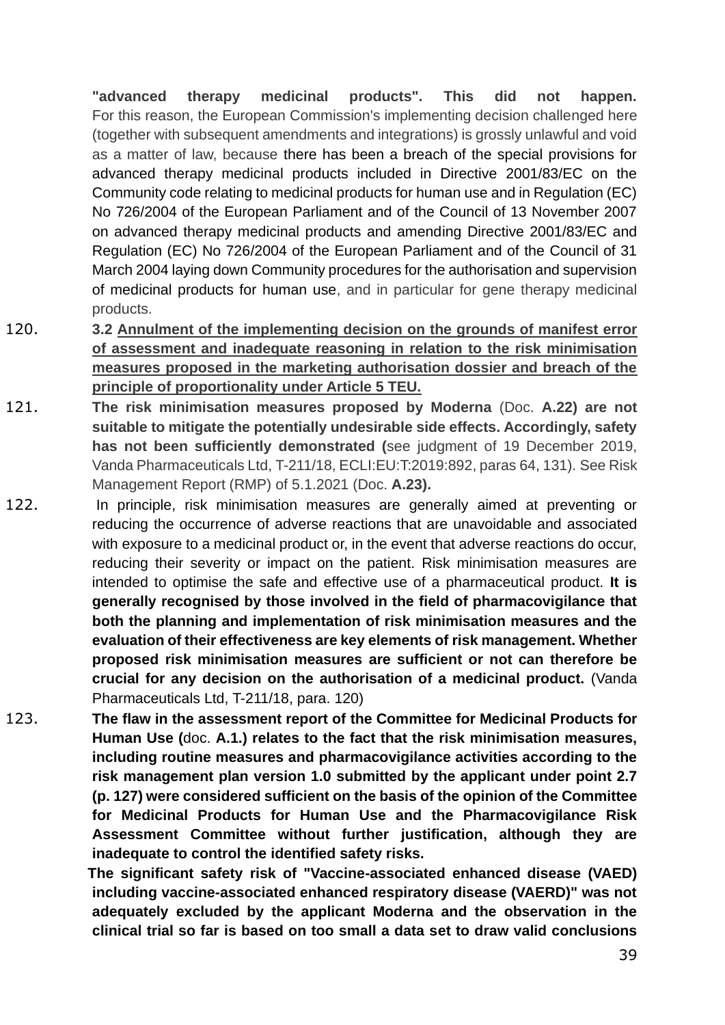**"advanced therapy medicinal products". This did not happen.** For this reason, the European Commission's implementing decision challenged here (together with subsequent amendments and integrations) is grossly unlawful and void as a matter of law, because there has been a breach of the special provisions for advanced therapy medicinal products included in Directive 2001/83/EC on the Community code relating to medicinal products for human use and in Regulation (EC) No 726/2004 of the European Parliament and of the Council of 13 November 2007 on advanced therapy medicinal products and amending Directive 2001/83/EC and Regulation (EC) No 726/2004 of the European Parliament and of the Council of 31 March 2004 laying down Community procedures for the authorisation and supervision of medicinal products for human use, and in particular for gene therapy medicinal products.

- 120. **3.2 Annulment of the implementing decision on the grounds of manifest error of assessment and inadequate reasoning in relation to the risk minimisation measures proposed in the marketing authorisation dossier and breach of the principle of proportionality under Article 5 TEU.**
- 121. **The risk minimisation measures proposed by Moderna** (Doc. **A.22) are not suitable to mitigate the potentially undesirable side effects. Accordingly, safety has not been sufficiently demonstrated (**see judgment of 19 December 2019, Vanda Pharmaceuticals Ltd, T-211/18, ECLI:EU:T:2019:892, paras 64, 131). See Risk Management Report (RMP) of 5.1.2021 (Doc. **A.23).**
- 122. In principle, risk minimisation measures are generally aimed at preventing or reducing the occurrence of adverse reactions that are unavoidable and associated with exposure to a medicinal product or, in the event that adverse reactions do occur, reducing their severity or impact on the patient. Risk minimisation measures are intended to optimise the safe and effective use of a pharmaceutical product. **It is generally recognised by those involved in the field of pharmacovigilance that both the planning and implementation of risk minimisation measures and the evaluation of their effectiveness are key elements of risk management. Whether proposed risk minimisation measures are sufficient or not can therefore be crucial for any decision on the authorisation of a medicinal product.** (Vanda Pharmaceuticals Ltd, T-211/18, para. 120)
- 123. **The flaw in the assessment report of the Committee for Medicinal Products for Human Use (**doc. **A.1.) relates to the fact that the risk minimisation measures, including routine measures and pharmacovigilance activities according to the risk management plan version 1.0 submitted by the applicant under point 2.7 (p. 127) were considered sufficient on the basis of the opinion of the Committee for Medicinal Products for Human Use and the Pharmacovigilance Risk Assessment Committee without further justification, although they are inadequate to control the identified safety risks.**

**The significant safety risk of "Vaccine-associated enhanced disease (VAED) including vaccine-associated enhanced respiratory disease (VAERD)" was not adequately excluded by the applicant Moderna and the observation in the clinical trial so far is based on too small a data set to draw valid conclusions**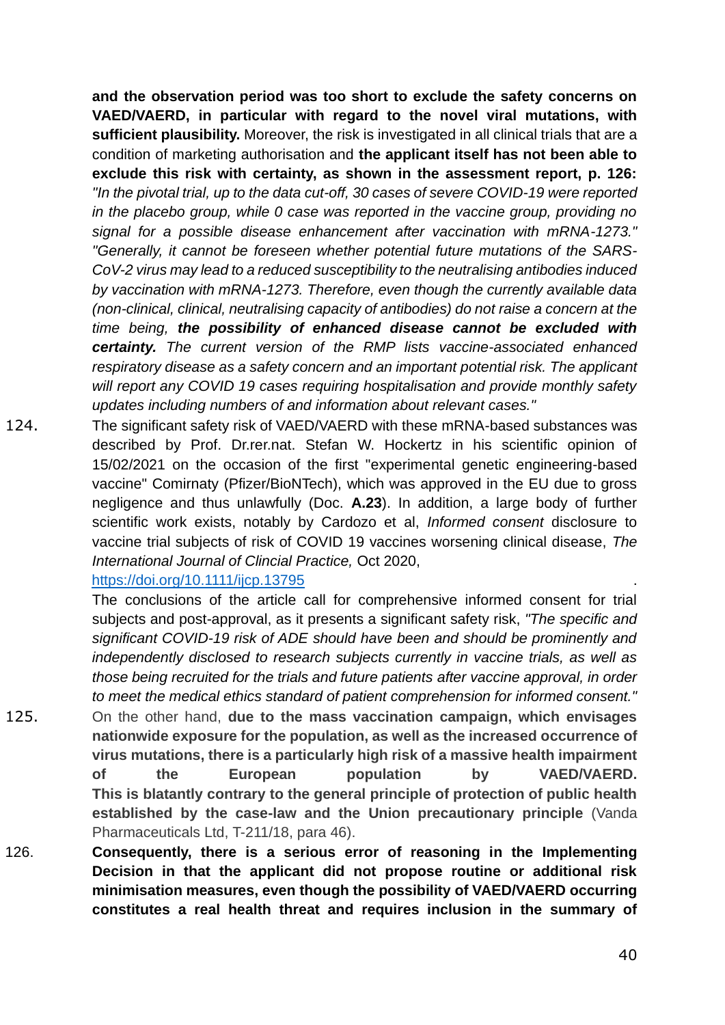**and the observation period was too short to exclude the safety concerns on VAED/VAERD, in particular with regard to the novel viral mutations, with sufficient plausibility.** Moreover, the risk is investigated in all clinical trials that are a condition of marketing authorisation and **the applicant itself has not been able to exclude this risk with certainty, as shown in the assessment report, p. 126:** *"In the pivotal trial, up to the data cut-off, 30 cases of severe COVID-19 were reported in the placebo group, while 0 case was reported in the vaccine group, providing no signal for a possible disease enhancement after vaccination with mRNA-1273." "Generally, it cannot be foreseen whether potential future mutations of the SARS-CoV-2 virus may lead to a reduced susceptibility to the neutralising antibodies induced by vaccination with mRNA-1273. Therefore, even though the currently available data (non-clinical, clinical, neutralising capacity of antibodies) do not raise a concern at the time being, the possibility of enhanced disease cannot be excluded with certainty. The current version of the RMP lists vaccine-associated enhanced respiratory disease as a safety concern and an important potential risk. The applicant will report any COVID 19 cases requiring hospitalisation and provide monthly safety updates including numbers of and information about relevant cases."*

124. The significant safety risk of VAED/VAERD with these mRNA-based substances was described by Prof. Dr.rer.nat. Stefan W. Hockertz in his scientific opinion of 15/02/2021 on the occasion of the first "experimental genetic engineering-based vaccine" Comirnaty (Pfizer/BioNTech), which was approved in the EU due to gross negligence and thus unlawfully (Doc. **A.23**). In addition, a large body of further scientific work exists, notably by Cardozo et al, *Informed consent* disclosure to vaccine trial subjects of risk of COVID 19 vaccines worsening clinical disease, *The International Journal of Clincial Practice,* Oct 2020,

<https://doi.org/10.1111/ijcp.13795>

The conclusions of the article call for comprehensive informed consent for trial subjects and post-approval, as it presents a significant safety risk, *"The specific and significant COVID-19 risk of ADE should have been and should be prominently and independently disclosed to research subjects currently in vaccine trials, as well as those being recruited for the trials and future patients after vaccine approval, in order to meet the medical ethics standard of patient comprehension for informed consent."*

- 125. On the other hand, **due to the mass vaccination campaign, which envisages nationwide exposure for the population, as well as the increased occurrence of virus mutations, there is a particularly high risk of a massive health impairment of the European population by VAED/VAERD. This is blatantly contrary to the general principle of protection of public health established by the case-law and the Union precautionary principle** (Vanda Pharmaceuticals Ltd, T-211/18, para 46).
- 126. **Consequently, there is a serious error of reasoning in the Implementing Decision in that the applicant did not propose routine or additional risk minimisation measures, even though the possibility of VAED/VAERD occurring constitutes a real health threat and requires inclusion in the summary of**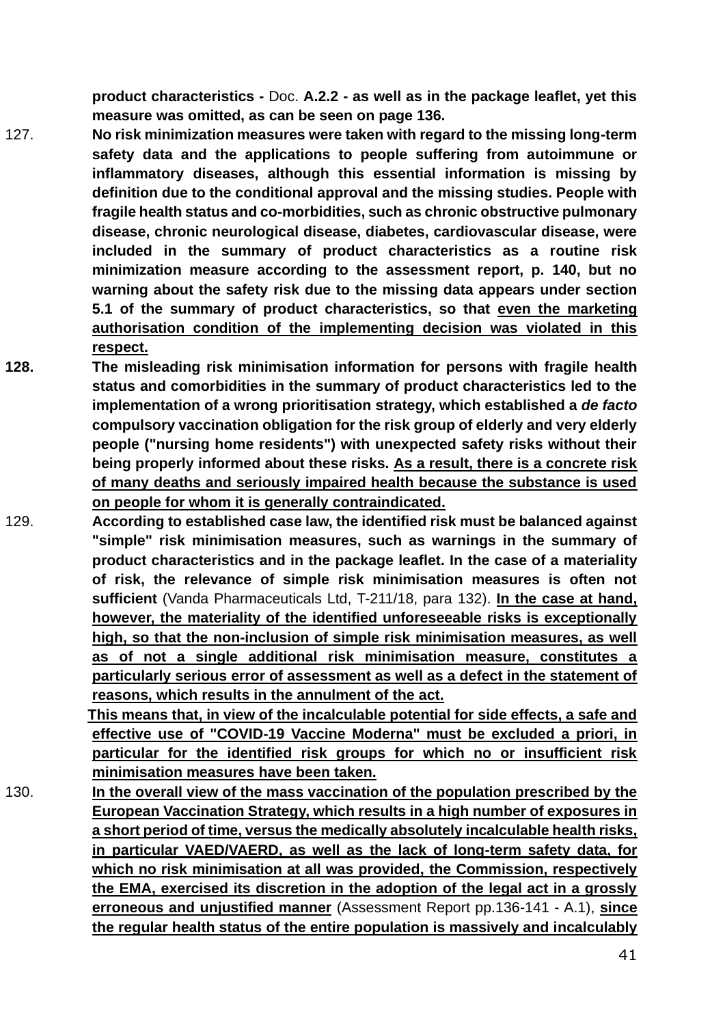**product characteristics -** Doc. **A.2.2 - as well as in the package leaflet, yet this measure was omitted, as can be seen on page 136.**

- 127. **No risk minimization measures were taken with regard to the missing long-term safety data and the applications to people suffering from autoimmune or inflammatory diseases, although this essential information is missing by definition due to the conditional approval and the missing studies. People with fragile health status and co-morbidities, such as chronic obstructive pulmonary disease, chronic neurological disease, diabetes, cardiovascular disease, were included in the summary of product characteristics as a routine risk minimization measure according to the assessment report, p. 140, but no warning about the safety risk due to the missing data appears under section 5.1 of the summary of product characteristics, so that even the marketing authorisation condition of the implementing decision was violated in this respect.**
- **128. The misleading risk minimisation information for persons with fragile health status and comorbidities in the summary of product characteristics led to the implementation of a wrong prioritisation strategy, which established a** *de facto* **compulsory vaccination obligation for the risk group of elderly and very elderly people ("nursing home residents") with unexpected safety risks without their being properly informed about these risks. As a result, there is a concrete risk of many deaths and seriously impaired health because the substance is used on people for whom it is generally contraindicated.**
- 129. **According to established case law, the identified risk must be balanced against "simple" risk minimisation measures, such as warnings in the summary of product characteristics and in the package leaflet. In the case of a materiality of risk, the relevance of simple risk minimisation measures is often not sufficient** (Vanda Pharmaceuticals Ltd, T-211/18, para 132). **In the case at hand, however, the materiality of the identified unforeseeable risks is exceptionally high, so that the non-inclusion of simple risk minimisation measures, as well as of not a single additional risk minimisation measure, constitutes a particularly serious error of assessment as well as a defect in the statement of reasons, which results in the annulment of the act.**

**This means that, in view of the incalculable potential for side effects, a safe and effective use of "COVID-19 Vaccine Moderna" must be excluded a priori, in particular for the identified risk groups for which no or insufficient risk minimisation measures have been taken.**

130. **In the overall view of the mass vaccination of the population prescribed by the European Vaccination Strategy, which results in a high number of exposures in a short period of time, versus the medically absolutely incalculable health risks, in particular VAED/VAERD, as well as the lack of long-term safety data, for which no risk minimisation at all was provided, the Commission, respectively the EMA, exercised its discretion in the adoption of the legal act in a grossly erroneous and unjustified manner** (Assessment Report pp.136-141 - A.1), **since the regular health status of the entire population is massively and incalculably**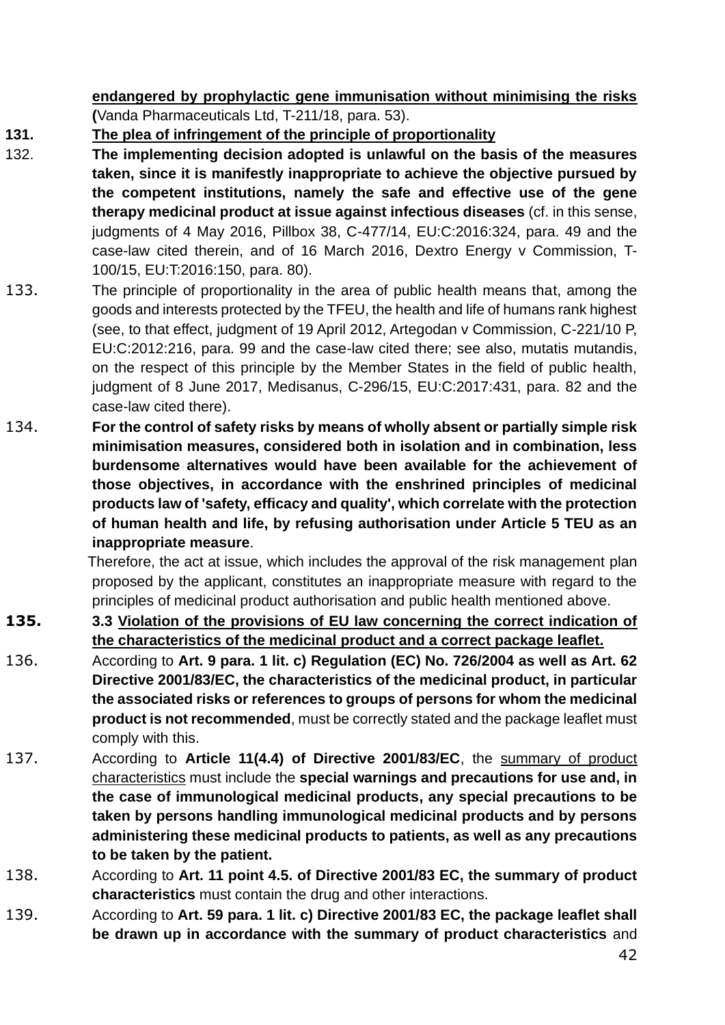**endangered by prophylactic gene immunisation without minimising the risks (**Vanda Pharmaceuticals Ltd, T-211/18, para. 53).

- **131. The plea of infringement of the principle of proportionality**
- 132. **The implementing decision adopted is unlawful on the basis of the measures taken, since it is manifestly inappropriate to achieve the objective pursued by the competent institutions, namely the safe and effective use of the gene therapy medicinal product at issue against infectious diseases** (cf. in this sense, judgments of 4 May 2016, Pillbox 38, C-477/14, EU:C:2016:324, para. 49 and the case-law cited therein, and of 16 March 2016, Dextro Energy v Commission, T-100/15, EU:T:2016:150, para. 80).
- 133. The principle of proportionality in the area of public health means that, among the goods and interests protected by the TFEU, the health and life of humans rank highest (see, to that effect, judgment of 19 April 2012, Artegodan v Commission, C-221/10 P, EU:C:2012:216, para. 99 and the case-law cited there; see also, mutatis mutandis, on the respect of this principle by the Member States in the field of public health, judgment of 8 June 2017, Medisanus, C-296/15, EU:C:2017:431, para. 82 and the case-law cited there).
- 134. **For the control of safety risks by means of wholly absent or partially simple risk minimisation measures, considered both in isolation and in combination, less burdensome alternatives would have been available for the achievement of those objectives, in accordance with the enshrined principles of medicinal products law of 'safety, efficacy and quality', which correlate with the protection of human health and life, by refusing authorisation under Article 5 TEU as an inappropriate measure**.

Therefore, the act at issue, which includes the approval of the risk management plan proposed by the applicant, constitutes an inappropriate measure with regard to the principles of medicinal product authorisation and public health mentioned above.

- **135. 3.3 Violation of the provisions of EU law concerning the correct indication of the characteristics of the medicinal product and a correct package leaflet.**
- 136. According to **Art. 9 para. 1 lit. c) Regulation (EC) No. 726/2004 as well as Art. 62 Directive 2001/83/EC, the characteristics of the medicinal product, in particular the associated risks or references to groups of persons for whom the medicinal product is not recommended**, must be correctly stated and the package leaflet must comply with this.
- 137. According to **Article 11(4.4) of Directive 2001/83/EC**, the summary of product characteristics must include the **special warnings and precautions for use and, in the case of immunological medicinal products, any special precautions to be taken by persons handling immunological medicinal products and by persons administering these medicinal products to patients, as well as any precautions to be taken by the patient.**
- 138. According to **Art. 11 point 4.5. of Directive 2001/83 EC, the summary of product characteristics** must contain the drug and other interactions.
- 139. According to **Art. 59 para. 1 lit. c) Directive 2001/83 EC, the package leaflet shall be drawn up in accordance with the summary of product characteristics** and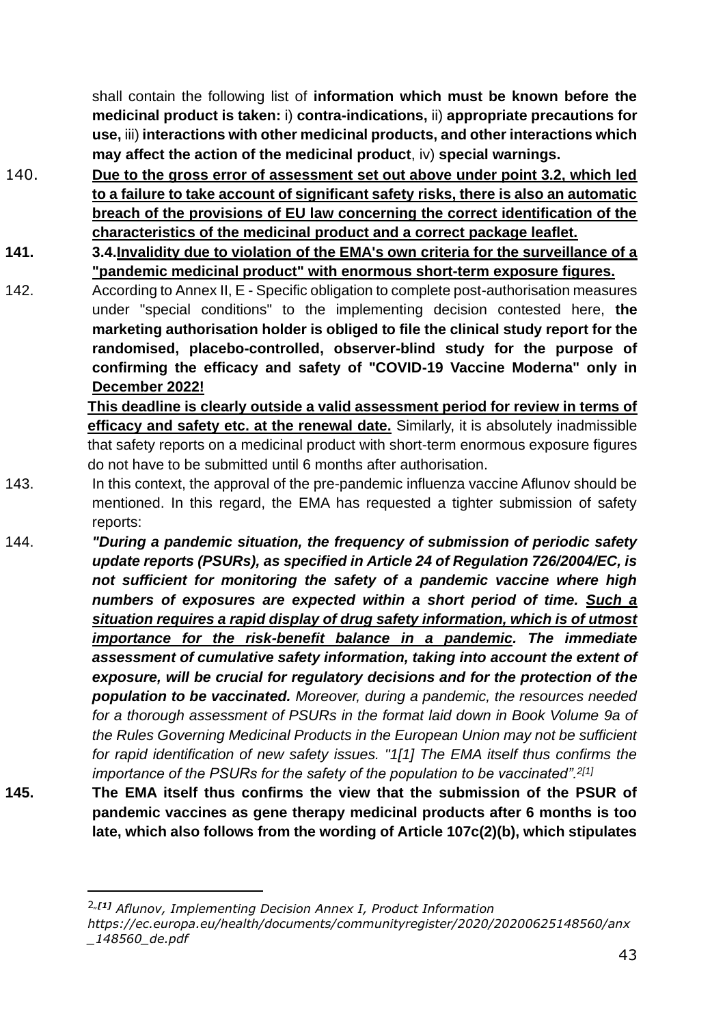shall contain the following list of **information which must be known before the medicinal product is taken:** i) **contra-indications,** ii) **appropriate precautions for use,** iii) **interactions with other medicinal products, and other interactions which may affect the action of the medicinal product**, iv) **special warnings.**

- 140. **Due to the gross error of assessment set out above under point 3.2, which led to a failure to take account of significant safety risks, there is also an automatic breach of the provisions of EU law concerning the correct identification of the characteristics of the medicinal product and a correct package leaflet.**
- **141. 3.4.Invalidity due to violation of the EMA's own criteria for the surveillance of a "pandemic medicinal product" with enormous short-term exposure figures.**

142. According to Annex II, E - Specific obligation to complete post-authorisation measures under "special conditions" to the implementing decision contested here, **the marketing authorisation holder is obliged to file the clinical study report for the randomised, placebo-controlled, observer-blind study for the purpose of confirming the efficacy and safety of "COVID-19 Vaccine Moderna" only in December 2022!**

> **This deadline is clearly outside a valid assessment period for review in terms of efficacy and safety etc. at the renewal date.** Similarly, it is absolutely inadmissible that safety reports on a medicinal product with short-term enormous exposure figures do not have to be submitted until 6 months after authorisation.

- 143. In this context, the approval of the pre-pandemic influenza vaccine Aflunov should be mentioned. In this regard, the EMA has requested a tighter submission of safety reports:
- 144. *"During a pandemic situation, the frequency of submission of periodic safety update reports (PSURs), as specified in Article 24 of Regulation 726/2004/EC, is not sufficient for monitoring the safety of a pandemic vaccine where high numbers of exposures are expected within a short period of time. Such a situation requires a rapid display of drug safety information, which is of utmost importance for the risk-benefit balance in a pandemic. The immediate assessment of cumulative safety information, taking into account the extent of exposure, will be crucial for regulatory decisions and for the protection of the population to be vaccinated. Moreover, during a pandemic, the resources needed for a thorough assessment of PSURs in the format laid down in Book Volume 9a of the Rules Governing Medicinal Products in the European Union may not be sufficient for rapid identification of new safety issues. "1[1] The EMA itself thus confirms the importance of the PSURs for the safety of the population to be vaccinated".2[1]*
- **145. The EMA itself thus confirms the view that the submission of the PSUR of pandemic vaccines as gene therapy medicinal products after 6 months is too late, which also follows from the wording of Article 107c(2)(b), which stipulates**

<sup>2</sup>*"[1] Aflunov, Implementing Decision Annex I, Product Information [https://ec.europa.eu/health/documents/communityregister/2020/20200625148560/anx](https://ec.europa.eu/health/documents/community-register/2020/20200625148560/anx_148560_de.pdf) [\\_148560\\_de.pdf](https://ec.europa.eu/health/documents/community-register/2020/20200625148560/anx_148560_de.pdf)*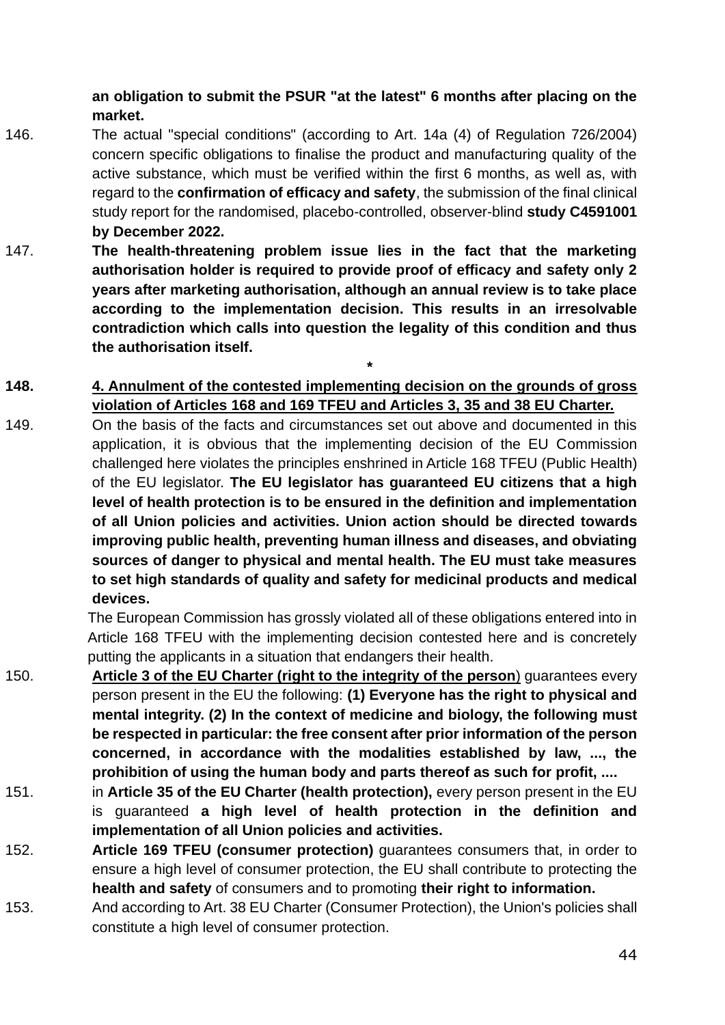**an obligation to submit the PSUR "at the latest" 6 months after placing on the market.**

- 146. The actual "special conditions" (according to Art. 14a (4) of Regulation 726/2004) concern specific obligations to finalise the product and manufacturing quality of the active substance, which must be verified within the first 6 months, as well as, with regard to the **confirmation of efficacy and safety**, the submission of the final clinical study report for the randomised, placebo-controlled, observer-blind **study C4591001 by December 2022.**
- 147. **The health-threatening problem issue lies in the fact that the marketing authorisation holder is required to provide proof of efficacy and safety only 2 years after marketing authorisation, although an annual review is to take place according to the implementation decision. This results in an irresolvable contradiction which calls into question the legality of this condition and thus the authorisation itself.**
- **148. 4. Annulment of the contested implementing decision on the grounds of gross violation of Articles 168 and 169 TFEU and Articles 3, 35 and 38 EU Charter.**

 **\***

149. On the basis of the facts and circumstances set out above and documented in this application, it is obvious that the implementing decision of the EU Commission challenged here violates the principles enshrined in Article 168 TFEU (Public Health) of the EU legislator. **The EU legislator has guaranteed EU citizens that a high level of health protection is to be ensured in the definition and implementation of all Union policies and activities. Union action should be directed towards improving public health, preventing human illness and diseases, and obviating sources of danger to physical and mental health. The EU must take measures to set high standards of quality and safety for medicinal products and medical devices.**

The European Commission has grossly violated all of these obligations entered into in Article 168 TFEU with the implementing decision contested here and is concretely putting the applicants in a situation that endangers their health.

- 150. **Article 3 of the EU Charter (right to the integrity of the person**) guarantees every person present in the EU the following: **(1) Everyone has the right to physical and mental integrity. (2) In the context of medicine and biology, the following must be respected in particular: the free consent after prior information of the person concerned, in accordance with the modalities established by law, ..., the prohibition of using the human body and parts thereof as such for profit, ....**
- 151. in **Article 35 of the EU Charter (health protection),** every person present in the EU is guaranteed **a high level of health protection in the definition and implementation of all Union policies and activities.**
- 152. **Article 169 TFEU (consumer protection)** guarantees consumers that, in order to ensure a high level of consumer protection, the EU shall contribute to protecting the **health and safety** of consumers and to promoting **their right to information.**
- 153. And according to Art. 38 EU Charter (Consumer Protection), the Union's policies shall constitute a high level of consumer protection.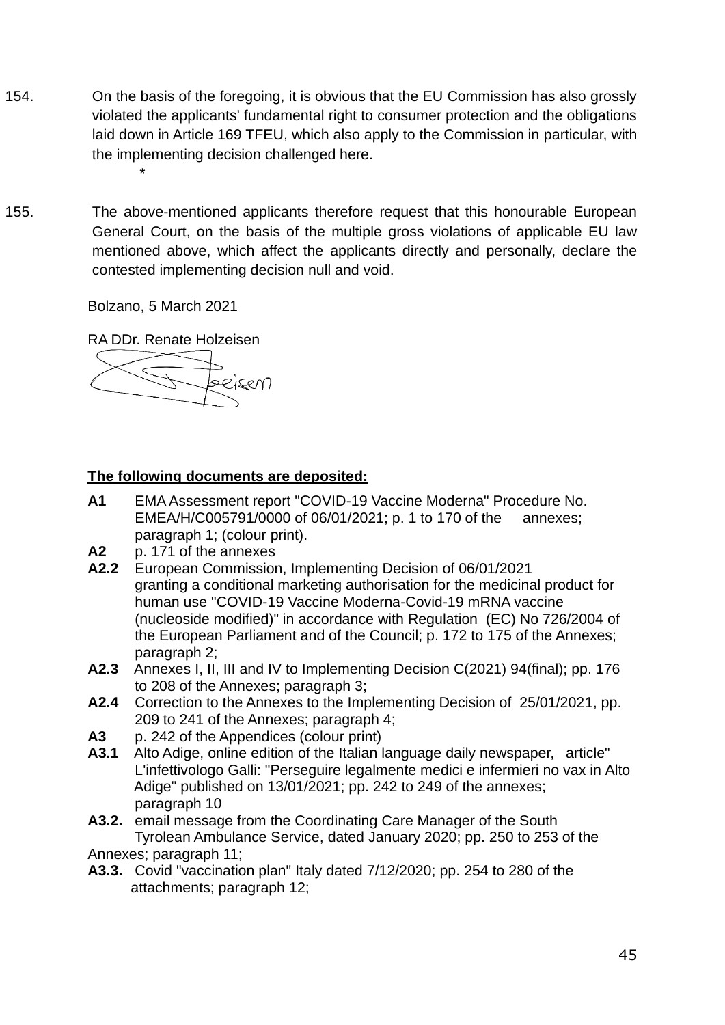- 154. On the basis of the foregoing, it is obvious that the EU Commission has also grossly violated the applicants' fundamental right to consumer protection and the obligations laid down in Article 169 TFEU, which also apply to the Commission in particular, with the implementing decision challenged here. \*
- 155. The above-mentioned applicants therefore request that this honourable European General Court, on the basis of the multiple gross violations of applicable EU law mentioned above, which affect the applicants directly and personally, declare the contested implementing decision null and void.

Bolzano, 5 March 2021

RA DDr. Renate Holzeisen



## **The following documents are deposited:**

- **A1** EMA Assessment report "COVID-19 Vaccine Moderna" Procedure No. EMEA/H/C005791/0000 of 06/01/2021; p. 1 to 170 of the annexes; paragraph 1; (colour print).
- **A2** p. 171 of the annexes
- **A2.2** European Commission, Implementing Decision of 06/01/2021 granting a conditional marketing authorisation for the medicinal product for human use "COVID-19 Vaccine Moderna-Covid-19 mRNA vaccine (nucleoside modified)" in accordance with Regulation (EC) No 726/2004 of the European Parliament and of the Council; p. 172 to 175 of the Annexes; paragraph 2;
- **A2.3** Annexes I, II, III and IV to Implementing Decision C(2021) 94(final); pp. 176 to 208 of the Annexes; paragraph 3;
- **A2.4** Correction to the Annexes to the Implementing Decision of 25/01/2021, pp. 209 to 241 of the Annexes; paragraph 4;
- **A3** p. 242 of the Appendices (colour print)
- **A3.1** Alto Adige, online edition of the Italian language daily newspaper, article" L'infettivologo Galli: "Perseguire legalmente medici e infermieri no vax in Alto Adige" published on 13/01/2021; pp. 242 to 249 of the annexes; paragraph 10
- **A3.2.** email message from the Coordinating Care Manager of the South Tyrolean Ambulance Service, dated January 2020; pp. 250 to 253 of the Annexes; paragraph 11;
- **A3.3.** Covid "vaccination plan" Italy dated 7/12/2020; pp. 254 to 280 of the attachments; paragraph 12;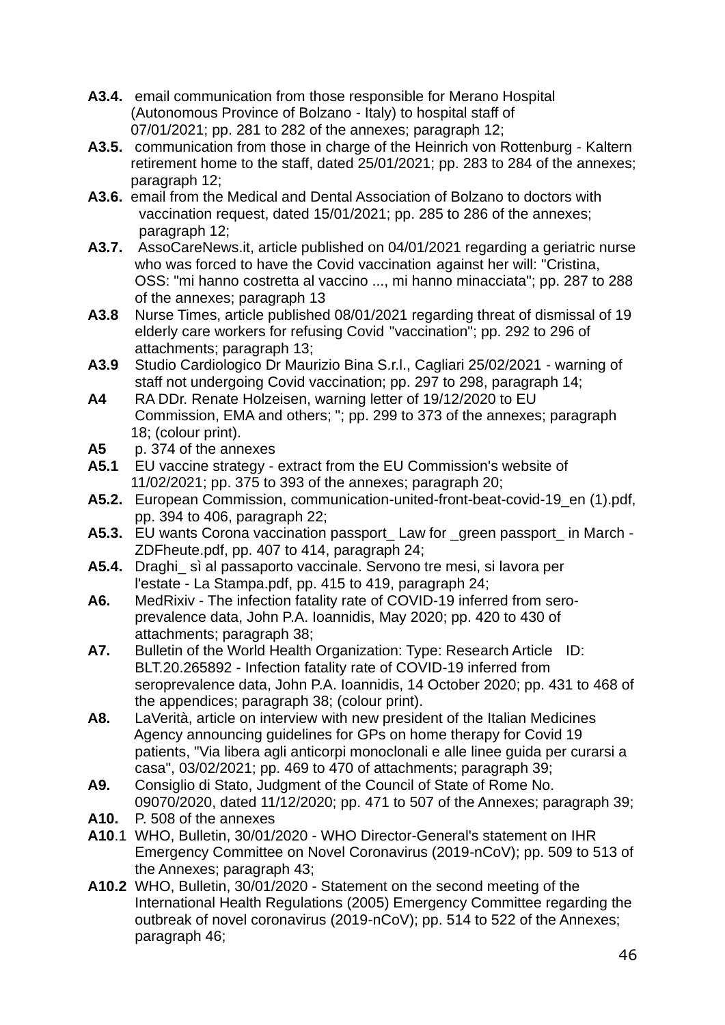- **A3.4.** email communication from those responsible for Merano Hospital (Autonomous Province of Bolzano - Italy) to hospital staff of 07/01/2021; pp. 281 to 282 of the annexes; paragraph 12;
- **A3.5.** communication from those in charge of the Heinrich von Rottenburg Kaltern retirement home to the staff, dated 25/01/2021; pp. 283 to 284 of the annexes; paragraph 12;
- **A3.6.** email from the Medical and Dental Association of Bolzano to doctors with vaccination request, dated 15/01/2021; pp. 285 to 286 of the annexes; paragraph 12;
- **A3.7.** AssoCareNews.it, article published on 04/01/2021 regarding a geriatric nurse who was forced to have the Covid vaccination against her will: "Cristina, OSS: "mi hanno costretta al vaccino ..., mi hanno minacciata"; pp. 287 to 288 of the annexes; paragraph 13
- **A3.8** Nurse Times, article published 08/01/2021 regarding threat of dismissal of 19 elderly care workers for refusing Covid "vaccination"; pp. 292 to 296 of attachments; paragraph 13;
- **A3.9** Studio Cardiologico Dr Maurizio Bina S.r.l., Cagliari 25/02/2021 warning of staff not undergoing Covid vaccination; pp. 297 to 298, paragraph 14;
- **A4** RA DDr. Renate Holzeisen, warning letter of 19/12/2020 to EU Commission, EMA and others; "; pp. 299 to 373 of the annexes; paragraph 18; (colour print).
- **A5** p. 374 of the annexes
- **A5.1** EU vaccine strategy extract from the EU Commission's website of 11/02/2021; pp. 375 to 393 of the annexes; paragraph 20;
- **A5.2.** European Commission, communication-united-front-beat-covid-19\_en (1).pdf, pp. 394 to 406, paragraph 22;
- **A5.3.** EU wants Corona vaccination passport\_ Law for \_green passport\_ in March ZDFheute.pdf, pp. 407 to 414, paragraph 24;
- **A5.4.** Draghi\_ sì al passaporto vaccinale. Servono tre mesi, si lavora per l'estate - La Stampa.pdf, pp. 415 to 419, paragraph 24;
- **A6.** MedRixiv The infection fatality rate of COVID-19 inferred from seroprevalence data, John P.A. Ioannidis, May 2020; pp. 420 to 430 of attachments; paragraph 38;
- **A7.** Bulletin of the World Health Organization: Type: Research Article ID: BLT.20.265892 - Infection fatality rate of COVID-19 inferred from seroprevalence data, John P.A. Ioannidis, 14 October 2020; pp. 431 to 468 of the appendices; paragraph 38; (colour print).
- **A8.** LaVerità, article on interview with new president of the Italian Medicines Agency announcing guidelines for GPs on home therapy for Covid 19 patients, "Via libera agli anticorpi monoclonali e alle linee guida per curarsi a casa", 03/02/2021; pp. 469 to 470 of attachments; paragraph 39;
- **A9.** Consiglio di Stato, Judgment of the Council of State of Rome No. 09070/2020, dated 11/12/2020; pp. 471 to 507 of the Annexes; paragraph 39;
- **A10.** P. 508 of the annexes
- **A10**.1 WHO, Bulletin, 30/01/2020 WHO Director-General's statement on IHR Emergency Committee on Novel Coronavirus (2019-nCoV); pp. 509 to 513 of the Annexes; paragraph 43;
- **A10.2** WHO, Bulletin, 30/01/2020 Statement on the second meeting of the International Health Regulations (2005) Emergency Committee regarding the outbreak of novel coronavirus (2019-nCoV); pp. 514 to 522 of the Annexes; paragraph 46;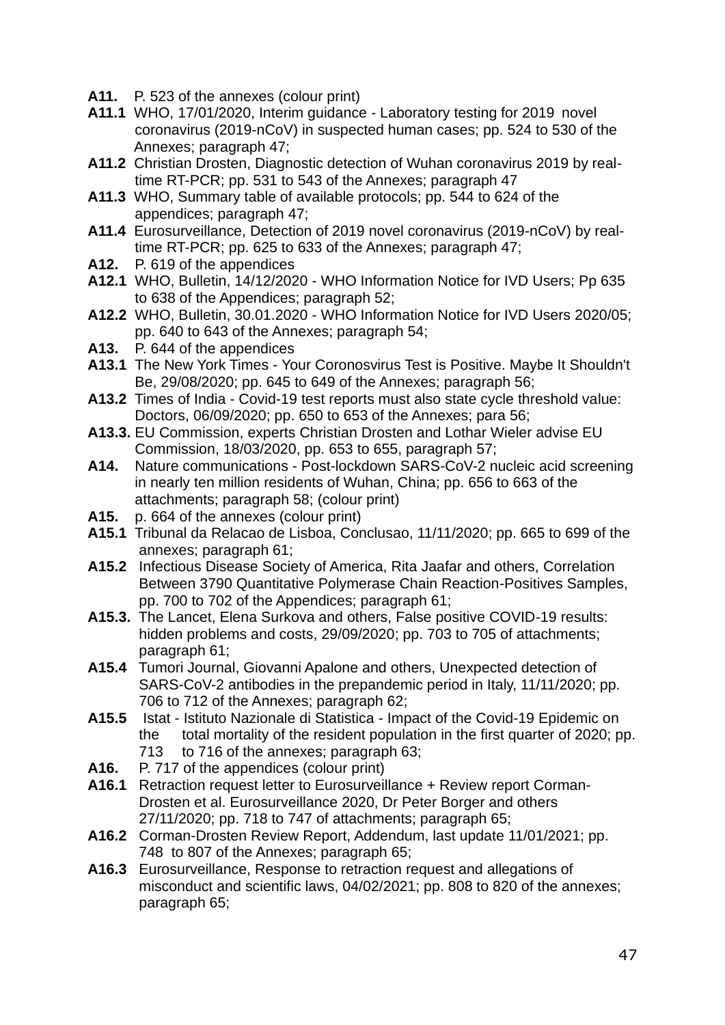- **A11.** P. 523 of the annexes (colour print)
- **A11.1** WHO, 17/01/2020, Interim guidance Laboratory testing for 2019 novel coronavirus (2019-nCoV) in suspected human cases; pp. 524 to 530 of the Annexes; paragraph 47;
- **A11.2** Christian Drosten, Diagnostic detection of Wuhan coronavirus 2019 by realtime RT-PCR; pp. 531 to 543 of the Annexes; paragraph 47
- **A11.3** WHO, Summary table of available protocols; pp. 544 to 624 of the appendices; paragraph 47;
- **A11.4** Eurosurveillance, Detection of 2019 novel coronavirus (2019-nCoV) by realtime RT-PCR; pp. 625 to 633 of the Annexes; paragraph 47;
- **A12.** P. 619 of the appendices
- **A12.1** WHO, Bulletin, 14/12/2020 WHO Information Notice for IVD Users; Pp 635 to 638 of the Appendices; paragraph 52;
- **A12.2** WHO, Bulletin, 30.01.2020 WHO Information Notice for IVD Users 2020/05; pp. 640 to 643 of the Annexes; paragraph 54;
- **A13.** P. 644 of the appendices
- **A13.1** The New York Times Your Coronosvirus Test is Positive. Maybe It Shouldn't Be, 29/08/2020; pp. 645 to 649 of the Annexes; paragraph 56;
- **A13.2** Times of India Covid-19 test reports must also state cycle threshold value: Doctors, 06/09/2020; pp. 650 to 653 of the Annexes; para 56;
- **A13.3.** EU Commission, experts Christian Drosten and Lothar Wieler advise EU Commission, 18/03/2020, pp. 653 to 655, paragraph 57;
- **A14.** Nature communications Post-lockdown SARS-CoV-2 nucleic acid screening in nearly ten million residents of Wuhan, China; pp. 656 to 663 of the attachments; paragraph 58; (colour print)
- **A15.** p. 664 of the annexes (colour print)
- **A15.1** Tribunal da Relacao de Lisboa, Conclusao, 11/11/2020; pp. 665 to 699 of the annexes; paragraph 61;
- **A15.2** Infectious Disease Society of America, Rita Jaafar and others, Correlation Between 3790 Quantitative Polymerase Chain Reaction-Positives Samples, pp. 700 to 702 of the Appendices; paragraph 61;
- **A15.3.** The Lancet, Elena Surkova and others, False positive COVID-19 results: hidden problems and costs, 29/09/2020; pp. 703 to 705 of attachments; paragraph 61;
- **A15.4** Tumori Journal, Giovanni Apalone and others, Unexpected detection of SARS-CoV-2 antibodies in the prepandemic period in Italy, 11/11/2020; pp. 706 to 712 of the Annexes; paragraph 62;
- **A15.5** Istat Istituto Nazionale di Statistica Impact of the Covid-19 Epidemic on the total mortality of the resident population in the first quarter of 2020; pp. 713 to 716 of the annexes; paragraph 63;
- **A16.** P. 717 of the appendices (colour print)
- **A16.1** Retraction request letter to Eurosurveillance + Review report Corman- Drosten et al. Eurosurveillance 2020, Dr Peter Borger and others 27/11/2020; pp. 718 to 747 of attachments; paragraph 65;
- **A16.2** Corman-Drosten Review Report, Addendum, last update 11/01/2021; pp. 748 to 807 of the Annexes; paragraph 65;
- **A16.3** Eurosurveillance, Response to retraction request and allegations of misconduct and scientific laws, 04/02/2021; pp. 808 to 820 of the annexes; paragraph 65;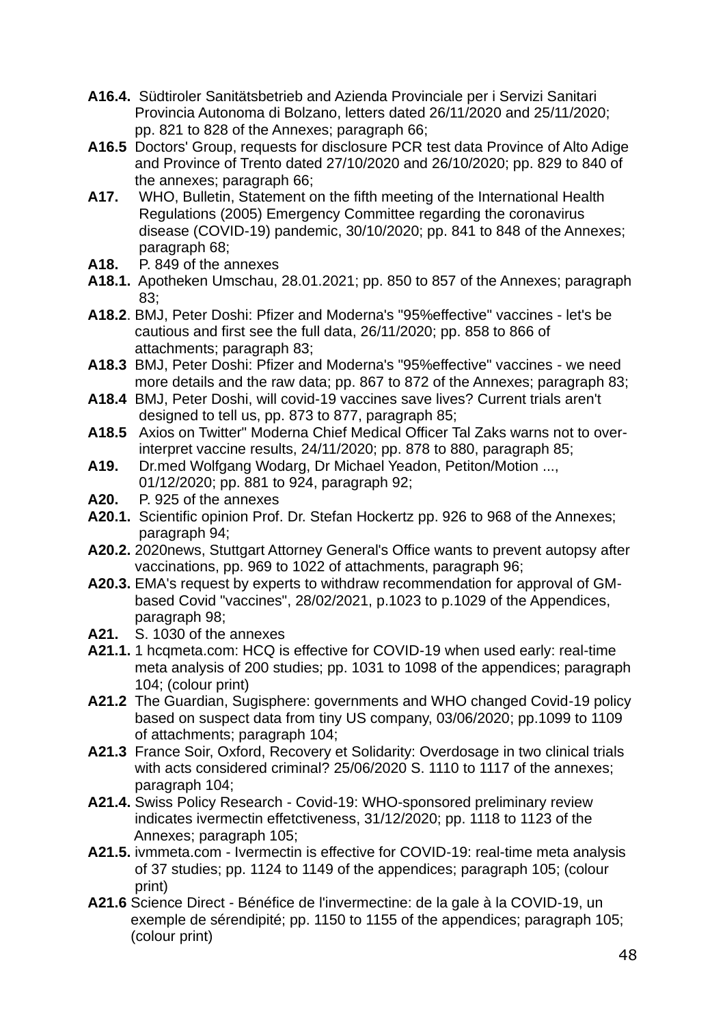- **A16.4.** Südtiroler Sanitätsbetrieb and Azienda Provinciale per i Servizi Sanitari Provincia Autonoma di Bolzano, letters dated 26/11/2020 and 25/11/2020; pp. 821 to 828 of the Annexes; paragraph 66;
- **A16.5** Doctors' Group, requests for disclosure PCR test data Province of Alto Adige and Province of Trento dated 27/10/2020 and 26/10/2020; pp. 829 to 840 of the annexes; paragraph 66;
- **A17.** WHO, Bulletin, Statement on the fifth meeting of the International Health Regulations (2005) Emergency Committee regarding the coronavirus disease (COVID-19) pandemic, 30/10/2020; pp. 841 to 848 of the Annexes; paragraph 68;
- **A18.** P. 849 of the annexes
- **A18.1.** Apotheken Umschau, 28.01.2021; pp. 850 to 857 of the Annexes; paragraph  $83<sup>2</sup>$
- **A18.2**. BMJ, Peter Doshi: Pfizer and Moderna's "95%effective" vaccines let's be cautious and first see the full data, 26/11/2020; pp. 858 to 866 of attachments; paragraph 83;
- **A18.3** BMJ, Peter Doshi: Pfizer and Moderna's "95%effective" vaccines we need more details and the raw data; pp. 867 to 872 of the Annexes; paragraph 83;
- **A18.4** BMJ, Peter Doshi, will covid-19 vaccines save lives? Current trials aren't designed to tell us, pp. 873 to 877, paragraph 85;
- **A18.5** Axios on Twitter" Moderna Chief Medical Officer Tal Zaks warns not to over interpret vaccine results, 24/11/2020; pp. 878 to 880, paragraph 85;
- **A19.** Dr.med Wolfgang Wodarg, Dr Michael Yeadon, Petiton/Motion ..., 01/12/2020; pp. 881 to 924, paragraph 92;
- **A20.** P. 925 of the annexes
- **A20.1.** Scientific opinion Prof. Dr. Stefan Hockertz pp. 926 to 968 of the Annexes; paragraph 94;
- **A20.2.** 2020news, Stuttgart Attorney General's Office wants to prevent autopsy after vaccinations, pp. 969 to 1022 of attachments, paragraph 96;
- **A20.3.** EMA's request by experts to withdraw recommendation for approval of GMbased Covid "vaccines", 28/02/2021, p.1023 to p.1029 of the Appendices, paragraph 98;
- **A21.** S. 1030 of the annexes
- **A21.1.** 1 hcqmeta.com: HCQ is effective for COVID-19 when used early: real-time meta analysis of 200 studies; pp. 1031 to 1098 of the appendices; paragraph 104; (colour print)
- **A21.2** The Guardian, Sugisphere: governments and WHO changed Covid-19 policy based on suspect data from tiny US company, 03/06/2020; pp.1099 to 1109 of attachments; paragraph 104;
- **A21.3** France Soir, Oxford, Recovery et Solidarity: Overdosage in two clinical trials with acts considered criminal? 25/06/2020 S. 1110 to 1117 of the annexes: paragraph 104;
- **A21.4.** Swiss Policy Research Covid-19: WHO-sponsored preliminary review indicates ivermectin effetctiveness, 31/12/2020; pp. 1118 to 1123 of the Annexes; paragraph 105;
- **A21.5.** ivmmeta.com Ivermectin is effective for COVID-19: real-time meta analysis of 37 studies; pp. 1124 to 1149 of the appendices; paragraph 105; (colour print)
- **A21.6** Science Direct Bénéfice de l'invermectine: de la gale à la COVID-19, un exemple de sérendipité; pp. 1150 to 1155 of the appendices; paragraph 105; (colour print)